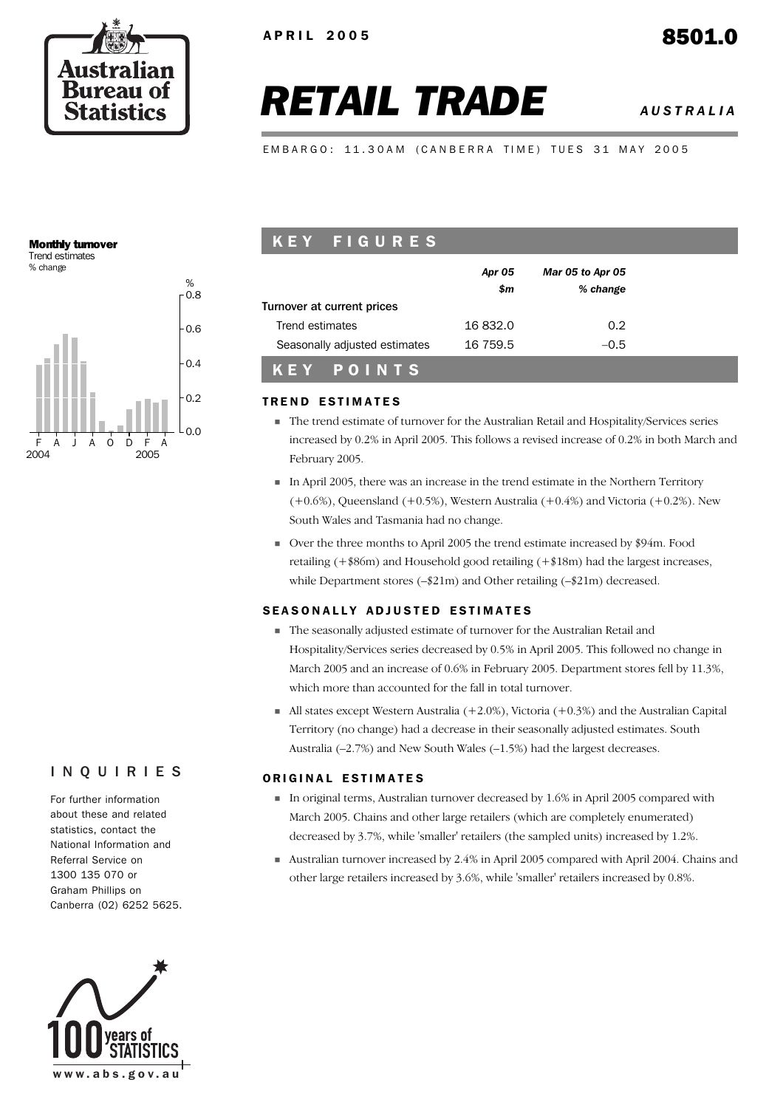

# *RETAIL TRADE AUSTRALIA*

EMBARGO: 11.30AM (CANBERRA TIME) TUES 31 MAY 2005

#### Monthly turnover Trend estimates

% change



## K E Y F I G U R E S

| Turnover at current prices    | Apr 05<br>\$m | Mar 05 to Apr 05<br>% change |  |  |
|-------------------------------|---------------|------------------------------|--|--|
| Trend estimates               | 16832.0       | $0.2^{\circ}$                |  |  |
| Seasonally adjusted estimates | 16 759.5      | $-0.5$                       |  |  |
| KEY POINTS                    |               |                              |  |  |

#### **TREND ESTIMATES**

- The trend estimate of turnover for the Australian Retail and Hospitality/Services series increased by 0.2% in April 2005. This follows a revised increase of 0.2% in both March and February 2005.
- In April 2005, there was an increase in the trend estimate in the Northern Territory  $(+0.6%)$ , Queensland  $(+0.5%)$ , Western Australia  $(+0.4%)$  and Victoria  $(+0.2%)$ . New South Wales and Tasmania had no change.
- Over the three months to April 2005 the trend estimate increased by \$94m. Food retailing (+\$86m) and Household good retailing (+\$18m) had the largest increases, while Department stores (–\$21m) and Other retailing (–\$21m) decreased.

## SEASONALLY ADJUSTED ESTIMATES

- The seasonally adjusted estimate of turnover for the Australian Retail and Hospitality/Services series decreased by 0.5% in April 2005. This followed no change in March 2005 and an increase of 0.6% in February 2005. Department stores fell by 11.3%, which more than accounted for the fall in total turnover.
- $\blacksquare$  All states except Western Australia (+2.0%), Victoria (+0.3%) and the Australian Capital Territory (no change) had a decrease in their seasonally adjusted estimates. South Australia (–2.7%) and New South Wales (–1.5%) had the largest decreases.

#### ORIGINAL ESTIMATES

- In original terms, Australian turnover decreased by 1.6% in April 2005 compared with March 2005. Chains and other large retailers (which are completely enumerated) decreased by 3.7%, while 'smaller' retailers (the sampled units) increased by 1.2%.
- Australian turnover increased by 2.4% in April 2005 compared with April 2004. Chains and other large retailers increased by 3.6%, while 'smaller' retailers increased by 0.8%.

## INQUIRIES

For further information about these and related statistics, contact the National Information and Referral Service on 1300 135 070 or Graham Phillips on Canberra (02) 6252 5625.

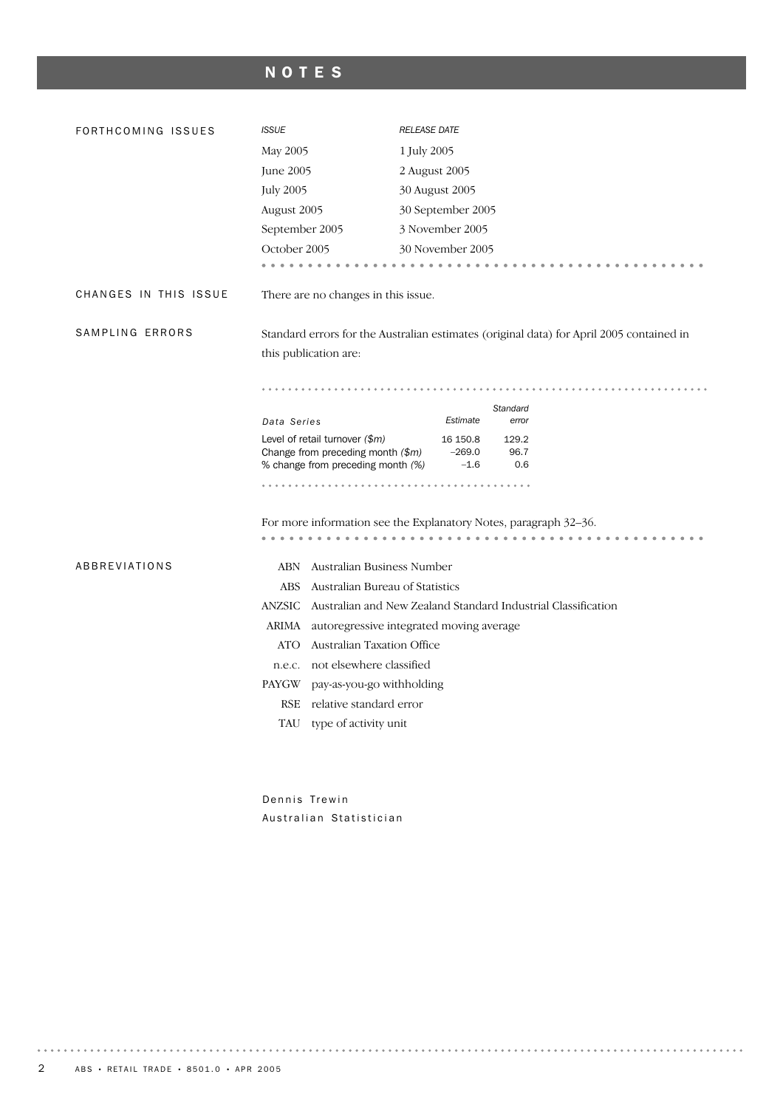## NOTES

| FORTHCOMING ISSUES    | <b>ISSUE</b>                                                                                                 | <b>RELEASE DATE</b>                                                                      |  |  |  |  |  |
|-----------------------|--------------------------------------------------------------------------------------------------------------|------------------------------------------------------------------------------------------|--|--|--|--|--|
|                       | May 2005                                                                                                     | 1 July 2005                                                                              |  |  |  |  |  |
|                       | June 2005                                                                                                    | 2 August 2005                                                                            |  |  |  |  |  |
|                       | <b>July 2005</b>                                                                                             | 30 August 2005                                                                           |  |  |  |  |  |
|                       | August 2005                                                                                                  | 30 September 2005                                                                        |  |  |  |  |  |
|                       | September 2005                                                                                               | 3 November 2005                                                                          |  |  |  |  |  |
|                       | October 2005                                                                                                 | 30 November 2005                                                                         |  |  |  |  |  |
|                       | .                                                                                                            |                                                                                          |  |  |  |  |  |
| CHANGES IN THIS ISSUE | There are no changes in this issue.                                                                          |                                                                                          |  |  |  |  |  |
| SAMPLING ERRORS       |                                                                                                              | Standard errors for the Australian estimates (original data) for April 2005 contained in |  |  |  |  |  |
|                       | this publication are:                                                                                        |                                                                                          |  |  |  |  |  |
|                       |                                                                                                              |                                                                                          |  |  |  |  |  |
|                       |                                                                                                              | Standard                                                                                 |  |  |  |  |  |
|                       | Data Series                                                                                                  | Estimate<br>error                                                                        |  |  |  |  |  |
|                       | Level of retail turnover $(\$m)$<br>Change from preceding month $(\$m)$<br>% change from preceding month (%) | 16 150.8<br>129.2<br>$-269.0$<br>96.7<br>$-1.6$<br>0.6                                   |  |  |  |  |  |
|                       |                                                                                                              |                                                                                          |  |  |  |  |  |
|                       | For more information see the Explanatory Notes, paragraph 32-36.                                             |                                                                                          |  |  |  |  |  |
|                       |                                                                                                              | .<br>.                                                                                   |  |  |  |  |  |
| ABBREVIATIONS         | ABN Australian Business Number                                                                               |                                                                                          |  |  |  |  |  |
|                       | Australian Bureau of Statistics<br><b>ABS</b>                                                                |                                                                                          |  |  |  |  |  |
|                       |                                                                                                              | ANZSIC Australian and New Zealand Standard Industrial Classification                     |  |  |  |  |  |
|                       |                                                                                                              | ARIMA autoregressive integrated moving average                                           |  |  |  |  |  |
|                       | ATO Australian Taxation Office                                                                               |                                                                                          |  |  |  |  |  |
|                       | n.e.c. not elsewhere classified                                                                              |                                                                                          |  |  |  |  |  |
|                       | pay-as-you-go withholding<br>PAYGW                                                                           |                                                                                          |  |  |  |  |  |
|                       | RSE relative standard error                                                                                  |                                                                                          |  |  |  |  |  |
|                       | TAU type of activity unit                                                                                    |                                                                                          |  |  |  |  |  |
|                       |                                                                                                              |                                                                                          |  |  |  |  |  |
|                       |                                                                                                              |                                                                                          |  |  |  |  |  |

Dennis Trewin Australian Statistician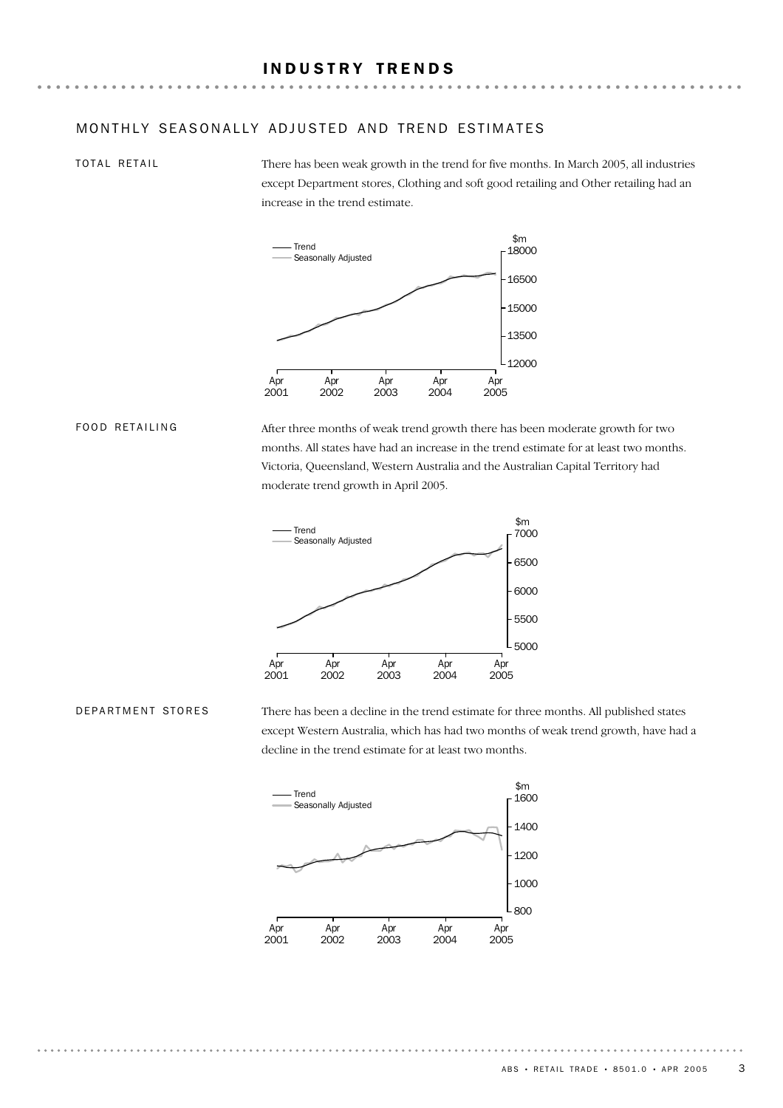TOTAL RETAIL

There has been weak growth in the trend for five months. In March 2005, all industries except Department stores, Clothing and soft good retailing and Other retailing had an increase in the trend estimate.



#### FOOD RETAILING

After three months of weak trend growth there has been moderate growth for two months. All states have had an increase in the trend estimate for at least two months. Victoria, Queensland, Western Australia and the Australian Capital Territory had moderate trend growth in April 2005.



DEPARTMENT STORES

There has been a decline in the trend estimate for three months. All published states except Western Australia, which has had two months of weak trend growth, have had a decline in the trend estimate for at least two months.

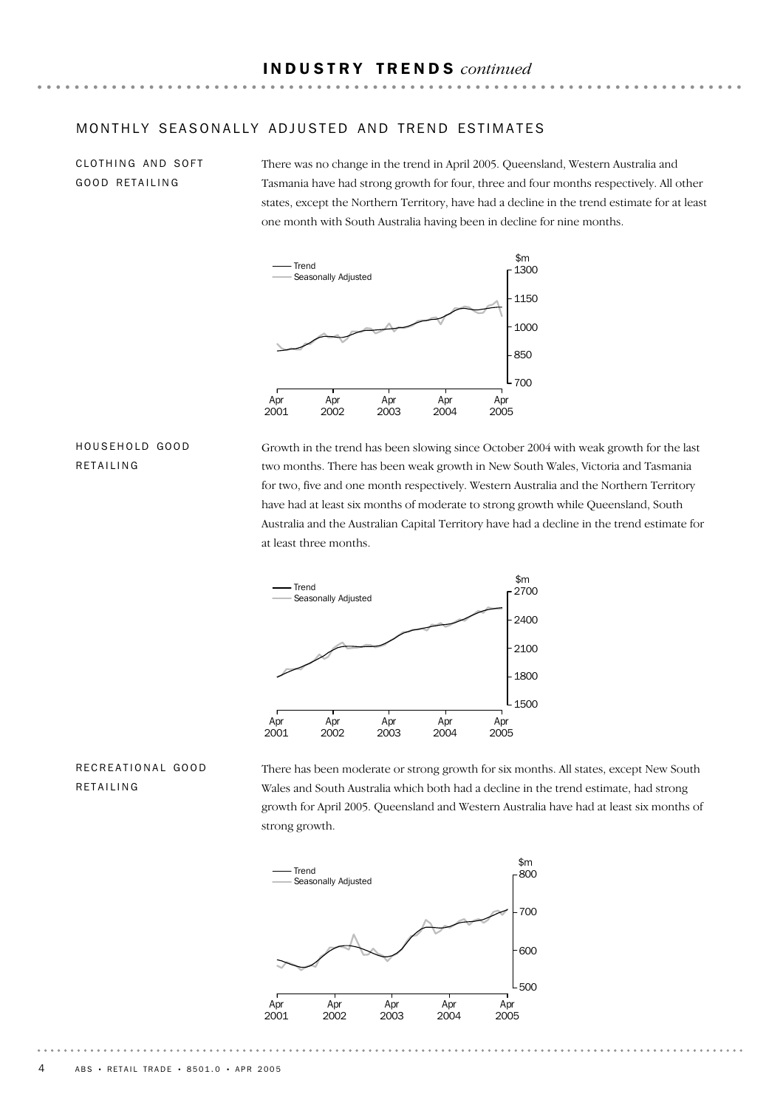CLOTHING AND SOFT GOOD RETAILING

There was no change in the trend in April 2005. Queensland, Western Australia and Tasmania have had strong growth for four, three and four months respectively. All other states, except the Northern Territory, have had a decline in the trend estimate for at least one month with South Australia having been in decline for nine months.



#### HOUSEHOLD GOOD RETAILING

Growth in the trend has been slowing since October 2004 with weak growth for the last two months. There has been weak growth in New South Wales, Victoria and Tasmania for two, five and one month respectively. Western Australia and the Northern Territory have had at least six months of moderate to strong growth while Queensland, South Australia and the Australian Capital Territory have had a decline in the trend estimate for at least three months.



### RECREATIONAL GOOD RETAILING

There has been moderate or strong growth for six months. All states, except New South Wales and South Australia which both had a decline in the trend estimate, had strong growth for April 2005. Queensland and Western Australia have had at least six months of strong growth.

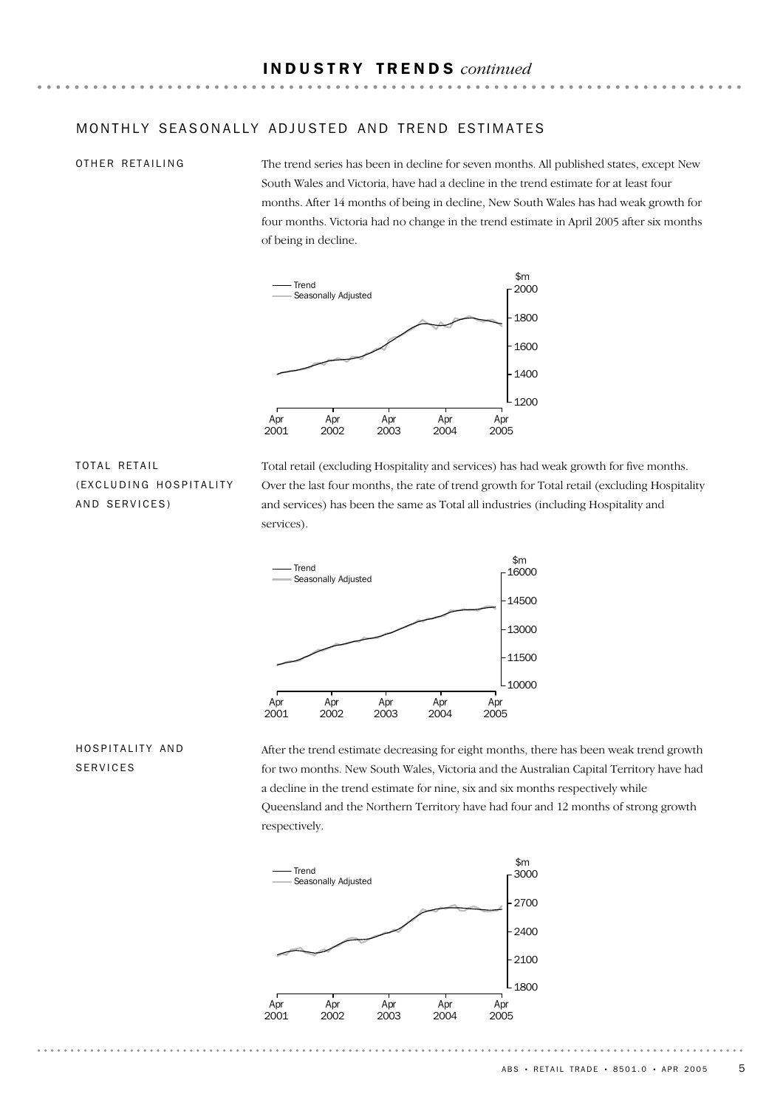#### OTHER RETAILING

The trend series has been in decline for seven months. All published states, except New South Wales and Victoria, have had a decline in the trend estimate for at least four months. After 14 months of being in decline, New South Wales has had weak growth for four months. Victoria had no change in the trend estimate in April 2005 after six months of being in decline.



### TOTAL RETAIL (EXCLUDING HOSPITALITY AND SERVICES)

Total retail (excluding Hospitality and services) has had weak growth for five months. Over the last four months, the rate of trend growth for Total retail (excluding Hospitality and services) has been the same as Total all industries (including Hospitality and services).



## HOSPITALITY AND SERVICES

After the trend estimate decreasing for eight months, there has been weak trend growth for two months. New South Wales, Victoria and the Australian Capital Territory have had a decline in the trend estimate for nine, six and six months respectively while Queensland and the Northern Territory have had four and 12 months of strong growth respectively.

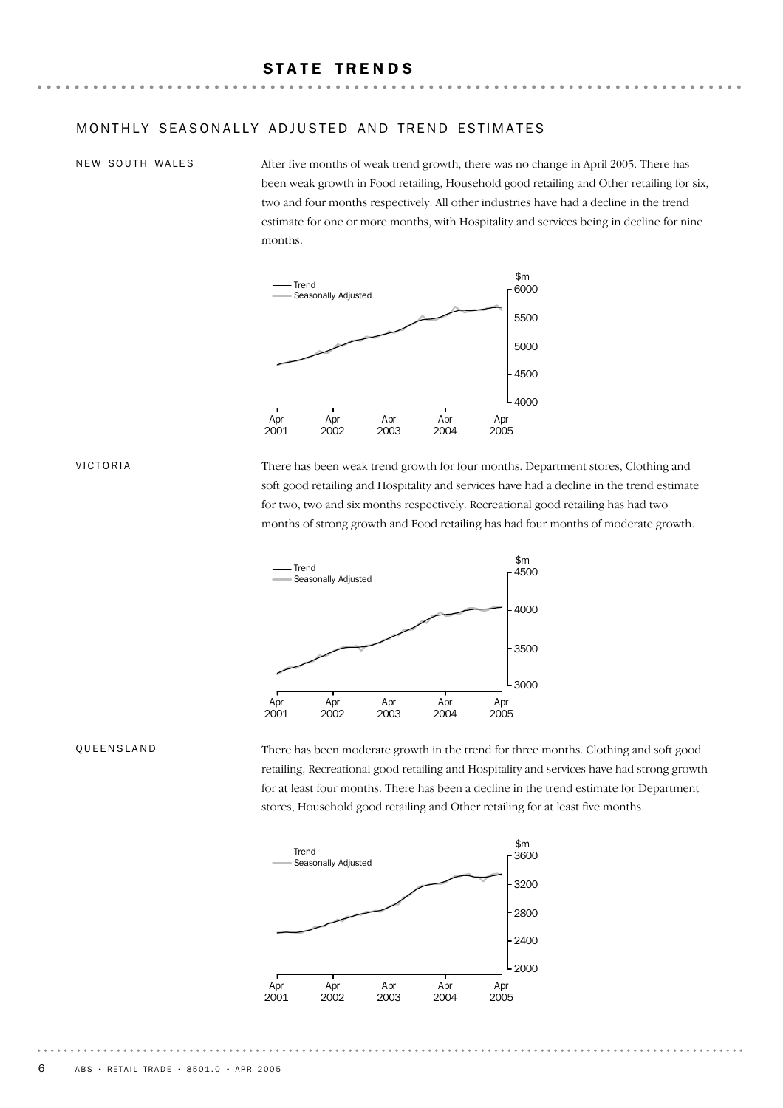#### NEW SOUTH WALES

After five months of weak trend growth, there was no change in April 2005. There has been weak growth in Food retailing, Household good retailing and Other retailing for six, two and four months respectively. All other industries have had a decline in the trend estimate for one or more months, with Hospitality and services being in decline for nine months.



VICTORIA

There has been weak trend growth for four months. Department stores, Clothing and soft good retailing and Hospitality and services have had a decline in the trend estimate for two, two and six months respectively. Recreational good retailing has had two months of strong growth and Food retailing has had four months of moderate growth.



#### QUEENSLAND

There has been moderate growth in the trend for three months. Clothing and soft good retailing, Recreational good retailing and Hospitality and services have had strong growth for at least four months. There has been a decline in the trend estimate for Department stores, Household good retailing and Other retailing for at least five months.

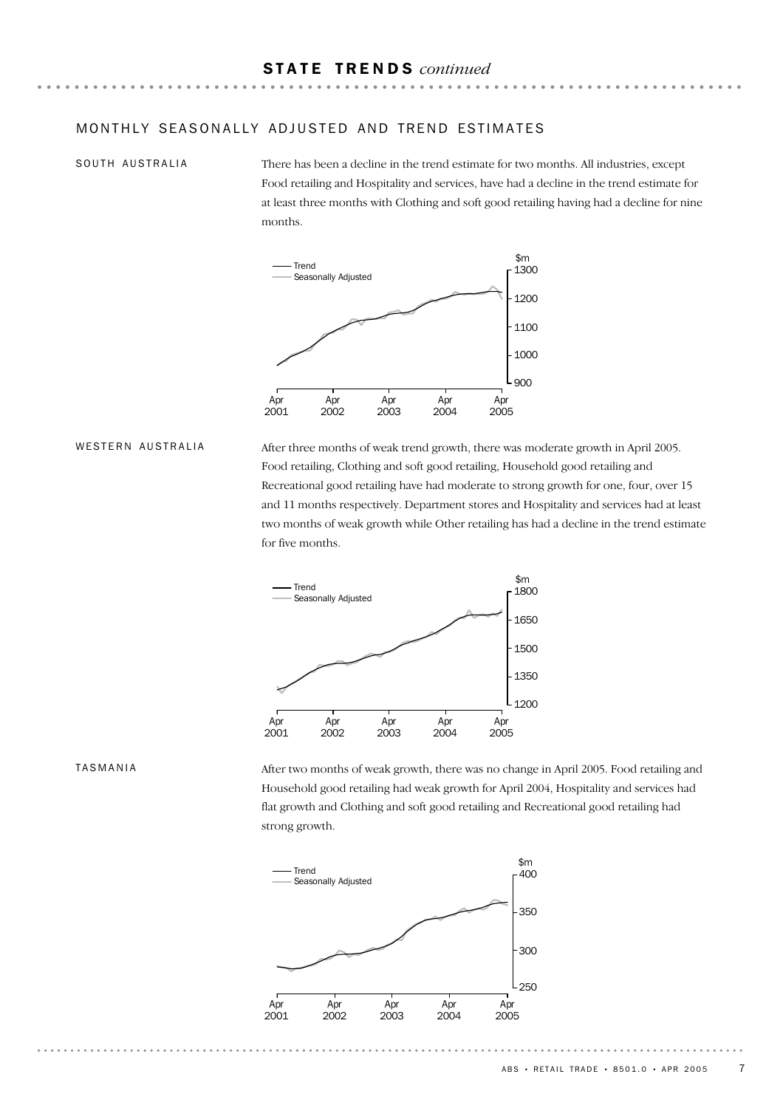#### SOUTH AUSTRALIA

There has been a decline in the trend estimate for two months. All industries, except Food retailing and Hospitality and services, have had a decline in the trend estimate for at least three months with Clothing and soft good retailing having had a decline for nine months.



#### WESTERN AUSTRALIA

After three months of weak trend growth, there was moderate growth in April 2005. Food retailing, Clothing and soft good retailing, Household good retailing and Recreational good retailing have had moderate to strong growth for one, four, over 15 and 11 months respectively. Department stores and Hospitality and services had at least two months of weak growth while Other retailing has had a decline in the trend estimate for five months.



#### TASMANIA

After two months of weak growth, there was no change in April 2005. Food retailing and Household good retailing had weak growth for April 2004, Hospitality and services had flat growth and Clothing and soft good retailing and Recreational good retailing had strong growth.

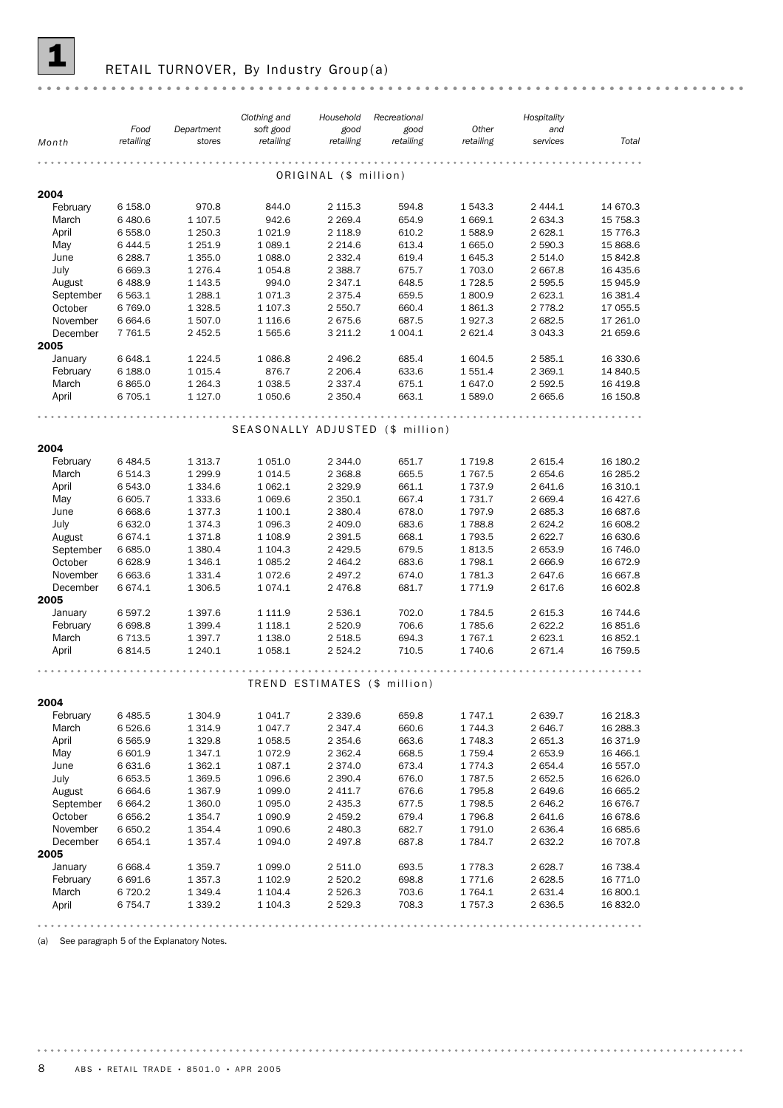

## RETAIL TURNOVER, By Industry Group(a)

|                      |                      |                          | Clothing and                     | Household              | Recreational                 |                    | Hospitality        |                      |
|----------------------|----------------------|--------------------------|----------------------------------|------------------------|------------------------------|--------------------|--------------------|----------------------|
|                      | Food                 | Department               | soft good                        | good                   | good                         | Other              | and                |                      |
| Month                | retailing            | stores                   | retailing                        | retailing              | retailing                    | retailing          | services           | Total                |
|                      |                      |                          |                                  |                        |                              |                    |                    |                      |
|                      |                      |                          |                                  | ORIGINAL (\$ million)  |                              |                    |                    |                      |
| 2004                 |                      |                          |                                  |                        |                              |                    |                    |                      |
| February             | 6 158.0              | 970.8                    | 844.0                            | 2 1 1 5 . 3            | 594.8                        | 1 543.3            | 2 4 4 4 . 1        | 14 670.3             |
| March                | 6 480.6              | 1 107.5                  | 942.6                            | 2 2 6 9.4              | 654.9                        | 1 669.1            | 2 634.3            | 15 7 58.3            |
| April                | 6 558.0              | 1 250.3                  | 1 0 2 1.9                        | 2 118.9                | 610.2                        | 1588.9             | 2 628.1            | 15 7 7 6.3           |
| May                  | 6 4 4 4.5            | 1 2 5 1.9                | 1 0 8 9.1                        | 2 2 1 4.6              | 613.4                        | 1 665.0            | 2 590.3            | 15 868.6             |
| June                 | 6 288.7              | 1 3 5 5.0                | 1 0 8 8.0                        | 2 3 3 2.4              | 619.4                        | 1 645.3            | 2 514.0            | 15 842.8             |
| July                 | 6 6 6 9.3            | 1 2 7 6.4                | 1 0 5 4.8                        | 2 3 8 8.7              | 675.7                        | 1 703.0            | 2 667.8            | 16 435.6             |
| August               | 6 4 8 8.9            | 1 1 4 3 .5               | 994.0                            | 2 3 4 7 . 1            | 648.5                        | 1728.5             | 2 595.5            | 15 945.9             |
| September            | 6 5 6 3.1            | 1 2 8 8.1                | 1071.3                           | 2 3 7 5.4              | 659.5                        | 1800.9             | 2 623.1            | 16 381.4             |
| October              | 6769.0               | 1 3 28.5                 | 1 107.3                          | 2 550.7                | 660.4                        | 1861.3             | 2 7 7 8.2          | 17 055.5             |
| November             | 6 6 6 4.6            | 1 507.0                  | 1 1 1 6.6                        | 2 675.6                | 687.5                        | 1927.3             | 2 682.5            | 17 261.0             |
| December             | 7 7 6 1.5            | 2 452.5                  | 1 565.6                          | 3 211.2                | 1 0 0 4.1                    | 2 621.4            | 3 043.3            | 21 659.6             |
| 2005                 |                      |                          |                                  |                        |                              |                    |                    |                      |
| January              | 6 648.1              | 1 2 2 4 .5               | 1 0 8 6.8                        | 2 496.2                | 685.4                        | 1 604.5            | 2 585.1            | 16 330.6             |
| February             | 6 188.0              | 1015.4                   | 876.7                            | 2 2 0 6.4              | 633.6                        | 1 551.4            | 2 3 6 9.1          | 14 840.5             |
| March                | 6865.0               | 1 2 6 4 . 3              | 1 0 38.5                         | 2 3 3 7 . 4            | 675.1                        | 1 647.0            | 2 592.5            | 16 4 19.8            |
| April                | 6 705.1              | 1 1 2 7 .0               | 1 0 5 0.6                        | 2 3 5 0.4              | 663.1                        | 1589.0             | 2 665.6            | 16 150.8             |
|                      |                      |                          |                                  |                        |                              |                    |                    |                      |
|                      |                      |                          | SEASONALLY ADJUSTED (\$ million) |                        |                              |                    |                    |                      |
|                      |                      |                          |                                  |                        |                              |                    |                    |                      |
| 2004                 |                      |                          |                                  |                        |                              |                    |                    |                      |
| February             | 6 4 8 4.5            | 1 3 1 3 . 7              | 1 0 5 1.0                        | 2 344.0                | 651.7                        | 1 7 1 9.8          | 2 615.4            | 16 180.2             |
| March                | 6 5 1 4 . 3          | 1 2 9 9.9                | 1014.5                           | 2 3 68.8               | 665.5                        | 1 7 6 7 .5         | 2 654.6            | 16 285.2             |
| April                | 6 543.0              | 1 3 3 4 . 6              | 1 0 6 2.1                        | 2 3 2 9.9              | 661.1                        | 1 7 3 7 . 9        | 2 641.6            | 16 310.1             |
| May                  | 6 605.7              | 1 3 3 3 . 6              | 1 0 6 9.6                        | 2 350.1                | 667.4                        | 1 7 3 1 . 7        | 2 669.4            | 16 427.6             |
| June                 | 6 6 6 8.6            | 1 3 7 7 . 3              | 1 100.1                          | 2 380.4                | 678.0                        | 1797.9             | 2 685.3            | 16 687.6             |
| July                 | 6 632.0              | 1 3 7 4 . 3              | 1 0 9 6.3                        | 2 409.0                | 683.6                        | 1788.8             | 2 624.2            | 16 608.2             |
| August               | 6 674.1<br>6 685.0   | 1371.8<br>1 3 8 0.4      | 1 1 08.9<br>1 104.3              | 2 3 9 1.5<br>2 4 2 9.5 | 668.1<br>679.5               | 1 793.5<br>1813.5  | 2 622.7<br>2 653.9 | 16 630.6<br>16 746.0 |
| September<br>October | 6 6 28.9             | 1 3 4 6.1                | 1 0 8 5.2                        | 2 4 64.2               | 683.6                        | 1 798.1            | 2 666.9            | 16 672.9             |
| November             | 6 663.6              | 1 3 3 1 . 4              | 1072.6                           | 2 497.2                | 674.0                        | 1781.3             | 2 647.6            | 16 667.8             |
| December             | 6 674.1              | 1 306.5                  | 1074.1                           | 2 476.8                | 681.7                        | 1 771.9            | 2 617.6            | 16 602.8             |
| 2005                 |                      |                          |                                  |                        |                              |                    |                    |                      |
| January              | 6 5 9 7.2            | 1 3 9 7 .6               | 1 1 1 1.9                        | 2 536.1                | 702.0                        | 1784.5             | 2 615.3            | 16 744.6             |
| February             | 6 6 98.8             | 1 3 9 9.4                | 1 1 18.1                         | 2 5 2 0.9              | 706.6                        | 1785.6             | 2 622.2            | 16 851.6             |
| March                | 6 713.5              | 1 3 9 7 . 7              | 1 1 38.0                         | 2 518.5                | 694.3                        | 1767.1             | 2 623.1            | 16 852.1             |
| April                | 6814.5               | 1 240.1                  | 1 0 58.1                         | 2 524.2                | 710.5                        | 1 740.6            | 2 671.4            | 16 759.5             |
|                      |                      |                          |                                  |                        |                              |                    |                    |                      |
|                      |                      |                          |                                  |                        |                              |                    |                    |                      |
|                      |                      |                          |                                  |                        | TREND ESTIMATES (\$ million) |                    |                    |                      |
| 2004                 |                      |                          |                                  |                        |                              |                    |                    |                      |
| February             | 6 4 8 5.5            | 1 3 0 4 .9               | 1 041.7                          | 2 3 3 9.6              | 659.8                        | 1 747.1            | 2 639.7            | 16 218.3             |
| March                | 6 5 2 6.6            | 1 3 1 4.9                | 1 047.7                          | 2 347.4                | 660.6                        | 1 744.3            | 2 646.7            | 16 288.3             |
| April                | 6 5 6 5.9            | 1 3 2 9.8                | 1 0 58.5                         | 2 3 5 4.6              | 663.6                        | 1 748.3            | 2 651.3            | 16 371.9             |
| May                  | 6 601.9              | 1 3 4 7 . 1              | 1072.9                           | 2 3 6 2.4              | 668.5                        | 1 759.4            | 2 653.9            | 16 466.1             |
| June                 | 6 631.6              | 1 3 6 2.1                | 1 0 8 7 . 1                      | 2 374.0                | 673.4                        | 1 774.3            | 2 654.4            | 16 557.0             |
| July                 | 6653.5               | 1 3 6 9.5                | 1 0 9 6.6                        | 2 3 9 0.4              | 676.0                        | 1787.5             | 2 652.5            | 16 626.0             |
| August               | 6 6 6 4.6            | 1 3 6 7 .9               | 1 0 9 9.0                        | 2 411.7                | 676.6                        | 1 795.8            | 2 649.6            | 16 665.2             |
| September            | 6 6 6 4.2            | 1 360.0                  | 1 0 9 5.0                        | 2 435.3                | 677.5                        | 1798.5             | 2 646.2            | 16 676.7             |
| October              | 6 6 5 6.2            | 1 3 5 4 . 7              | 1 0 9 0.9                        | 2 459.2                | 679.4                        | 1796.8             | 2 641.6            | 16 678.6             |
| November             | 6 650.2              | 1 3 5 4 . 4              | 1 0 9 0.6                        | 2 480.3                | 682.7                        | 1 791.0            | 2 636.4            | 16 685.6             |
| December             | 6 6 5 4.1            | 1 3 5 7 . 4              | 1 0 9 4 .0                       | 2 497.8                | 687.8                        | 1784.7             | 2 632.2            | 16 707.8             |
| 2005                 |                      |                          |                                  |                        |                              |                    |                    |                      |
| January              | 6 6 6 8.4            | 1 3 5 9.7                | 1 0 9 9.0                        | 2 511.0                | 693.5                        | 1778.3             | 2 628.7            | 16 738.4             |
| February<br>March    | 6 691.6<br>6 7 2 0.2 | 1 3 5 7 . 3<br>1 3 4 9.4 | 1 102.9<br>1 104.4               | 2 5 2 0.2<br>2 5 2 6.3 | 698.8<br>703.6               | 1 771.6<br>1 764.1 | 2 628.5<br>2 631.4 | 16 771.0<br>16 800.1 |
| April                | 6 754.7              | 1 3 3 9.2                | 1 104.3                          | 2 5 29.3               | 708.3                        | 1757.3             | 2 636.5            | 16 832.0             |
|                      |                      |                          |                                  |                        |                              |                    |                    |                      |
|                      |                      |                          |                                  |                        |                              |                    |                    |                      |

(a) See paragraph 5 of the Explanatory Notes.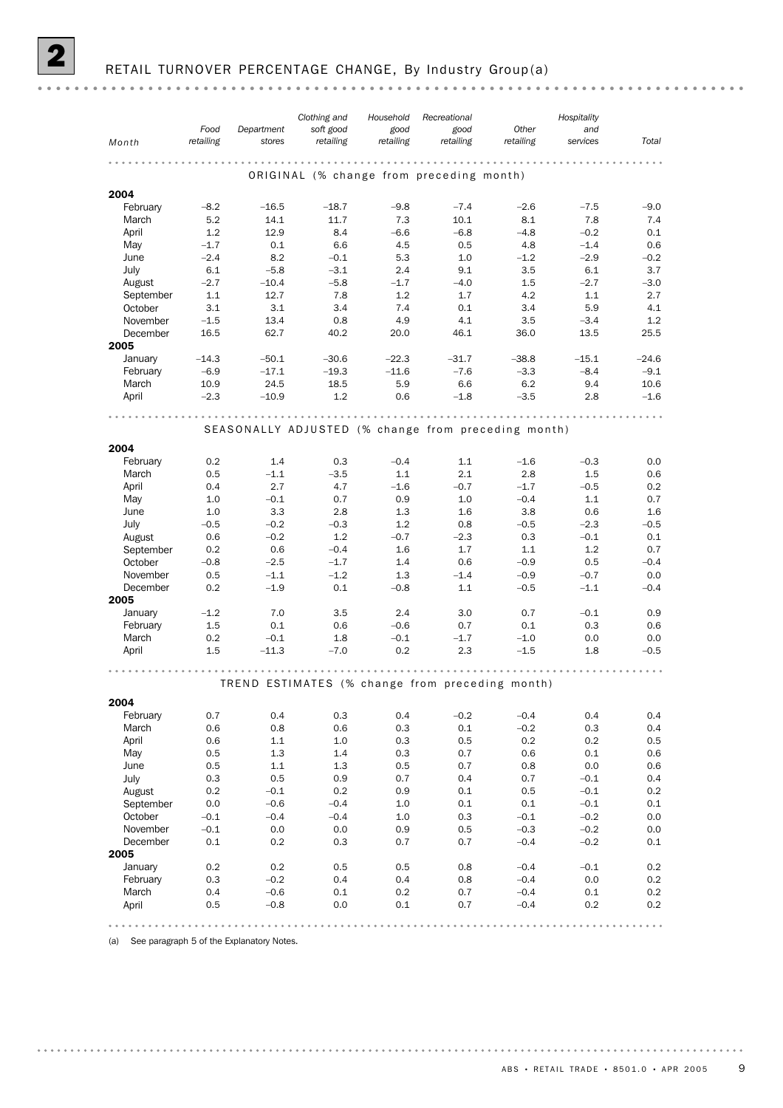|--|--|--|--|--|

|                     |                   |                                                     | Clothing and           | Household         | Recreational                             |                    | Hospitality     |               |
|---------------------|-------------------|-----------------------------------------------------|------------------------|-------------------|------------------------------------------|--------------------|-----------------|---------------|
| Month               | Food<br>retailing | Department<br>stores                                | soft good<br>retailing | good<br>retailing | good<br>retailing                        | Other<br>retailing | and<br>services | Total         |
|                     |                   |                                                     | .                      |                   | .                                        | .                  |                 |               |
|                     |                   |                                                     |                        |                   | ORIGINAL (% change from preceding month) |                    |                 |               |
| 2004                |                   |                                                     |                        |                   |                                          |                    |                 |               |
| February            | $-8.2$            | $-16.5$                                             | $-18.7$                | $-9.8$            | $-7.4$                                   | $-2.6$             | $-7.5$          | $-9.0$        |
| March               | 5.2               | 14.1                                                | 11.7                   | 7.3               | 10.1                                     | 8.1                | 7.8             | 7.4           |
| April               | 1.2               | 12.9                                                | 8.4                    | $-6.6$            | $-6.8$                                   | $-4.8$             | $-0.2$          | 0.1           |
| May                 | $-1.7$            | 0.1                                                 | 6.6                    | 4.5               | 0.5                                      | 4.8                | $-1.4$          | 0.6           |
| June                | $-2.4$            | 8.2                                                 | $-0.1$                 | 5.3               | 1.0                                      | $-1.2$             | $-2.9$          | $-0.2$        |
| July                | 6.1<br>$-2.7$     | $-5.8$                                              | $-3.1$                 | 2.4               | 9.1                                      | 3.5                | 6.1             | 3.7           |
| August<br>September | 1.1               | $-10.4$<br>12.7                                     | $-5.8$<br>7.8          | $-1.7$<br>1.2     | $-4.0$<br>1.7                            | 1.5<br>4.2         | $-2.7$<br>1.1   | $-3.0$<br>2.7 |
| October             | 3.1               | 3.1                                                 | 3.4                    | 7.4               | 0.1                                      | 3.4                | 5.9             | 4.1           |
| November            | $-1.5$            | 13.4                                                | 0.8                    | 4.9               | 4.1                                      | 3.5                | $-3.4$          | 1.2           |
| December            | 16.5              | 62.7                                                | 40.2                   | 20.0              | 46.1                                     | 36.0               | 13.5            | 25.5          |
| 2005                |                   |                                                     |                        |                   |                                          |                    |                 |               |
| January             | $-14.3$           | $-50.1$                                             | $-30.6$                | $-22.3$           | $-31.7$                                  | $-38.8$            | $-15.1$         | $-24.6$       |
| February            | $-6.9$            | $-17.1$                                             | $-19.3$                | $-11.6$           | $-7.6$                                   | $-3.3$             | $-8.4$          | $-9.1$        |
| March               | 10.9              | 24.5                                                | 18.5                   | 5.9               | 6.6                                      | 6.2                | 9.4             | 10.6          |
| April               | $-2.3$            | $-10.9$                                             | 1.2                    | 0.6               | $-1.8$                                   | $-3.5$             | 2.8             | $-1.6$        |
|                     |                   |                                                     |                        | .                 |                                          |                    |                 |               |
|                     |                   | SEASONALLY ADJUSTED (% change from preceding month) |                        |                   |                                          |                    |                 |               |
|                     |                   |                                                     |                        |                   |                                          |                    |                 |               |
| 2004<br>February    | 0.2               | 1.4                                                 | 0.3                    | $-0.4$            | 1.1                                      | $-1.6$             | $-0.3$          | 0.0           |
| March               | 0.5               | $-1.1$                                              | $-3.5$                 | 1.1               | 2.1                                      | 2.8                | 1.5             | 0.6           |
| April               | 0.4               | 2.7                                                 | 4.7                    | $-1.6$            | $-0.7$                                   | $-1.7$             | $-0.5$          | 0.2           |
| May                 | 1.0               | $-0.1$                                              | 0.7                    | 0.9               | 1.0                                      | $-0.4$             | 1.1             | 0.7           |
| June                | 1.0               | 3.3                                                 | 2.8                    | 1.3               | 1.6                                      | 3.8                | 0.6             | 1.6           |
| July                | $-0.5$            | $-0.2$                                              | $-0.3$                 | 1.2               | 0.8                                      | $-0.5$             | $-2.3$          | $-0.5$        |
| August              | 0.6               | $-0.2$                                              | 1.2                    | $-0.7$            | $-2.3$                                   | 0.3                | $-0.1$          | 0.1           |
| September           | 0.2               | 0.6                                                 | $-0.4$                 | 1.6               | 1.7                                      | 1.1                | 1.2             | 0.7           |
| October             | $-0.8$            | $-2.5$                                              | $-1.7$                 | 1.4               | 0.6                                      | $-0.9$             | 0.5             | $-0.4$        |
| November            | 0.5               | $-1.1$                                              | $-1.2$                 | 1.3               | $-1.4$                                   | $-0.9$             | $-0.7$          | 0.0           |
| December            | 0.2               | $-1.9$                                              | 0.1                    | $-0.8$            | 1.1                                      | $-0.5$             | $-1.1$          | $-0.4$        |
| 2005                | $-1.2$            | 7.0                                                 | 3.5                    | 2.4               | 3.0                                      | 0.7                | $-0.1$          | 0.9           |
| January<br>February | $1.5\,$           | 0.1                                                 | 0.6                    | $-0.6$            | 0.7                                      | 0.1                | 0.3             | 0.6           |
| March               | 0.2               | $-0.1$                                              | 1.8                    | $-0.1$            | $-1.7$                                   | $-1.0$             | 0.0             | 0.0           |
| April               | $1.5\,$           | $-11.3$                                             | $-7.0$                 | 0.2               | 2.3                                      | $-1.5$             | 1.8             | $-0.5$        |
|                     |                   |                                                     |                        |                   |                                          |                    |                 |               |
|                     |                   | TREND ESTIMATES (% change from preceding month)     |                        |                   |                                          |                    |                 |               |
|                     |                   |                                                     |                        |                   |                                          |                    |                 |               |
| 2004                |                   |                                                     |                        |                   |                                          |                    |                 |               |
| February<br>March   | 0.7<br>0.6        | 0.4<br>0.8                                          | 0.3<br>0.6             | 0.4<br>0.3        | $-0.2$<br>0.1                            | $-0.4$<br>$-0.2$   | 0.4<br>0.3      | 0.4<br>0.4    |
| April               | 0.6               | 1.1                                                 | 1.0                    | 0.3               | 0.5                                      | 0.2                | 0.2             | 0.5           |
| May                 | 0.5               | 1.3                                                 | 1.4                    | 0.3               | 0.7                                      | 0.6                | 0.1             | 0.6           |
| June                | 0.5               | $1.1\,$                                             | 1.3                    | 0.5               | 0.7                                      | 0.8                | 0.0             | 0.6           |
| July                | 0.3               | 0.5                                                 | 0.9                    | 0.7               | 0.4                                      | 0.7                | $-0.1$          | 0.4           |
| August              | 0.2               | $-0.1$                                              | 0.2                    | 0.9               | 0.1                                      | 0.5                | $-0.1$          | $0.2\,$       |
| September           | 0.0               | $-0.6$                                              | $-0.4$                 | 1.0               | 0.1                                      | 0.1                | $-0.1$          | 0.1           |
| October             | $-0.1$            | $-0.4$                                              | $-0.4$                 | 1.0               | 0.3                                      | $-0.1$             | $-0.2$          | 0.0           |
| November            | $-0.1$            | 0.0                                                 | 0.0                    | 0.9               | 0.5                                      | $-0.3$             | $-0.2$          | 0.0           |
| December            | 0.1               | 0.2                                                 | 0.3                    | 0.7               | 0.7                                      | $-0.4$             | $-0.2$          | 0.1           |
| 2005                |                   |                                                     |                        |                   |                                          |                    |                 |               |
| January             | 0.2               | 0.2                                                 | 0.5                    | 0.5               | 0.8                                      | $-0.4$             | $-0.1$          | 0.2           |
| February<br>March   | 0.3<br>0.4        | $-0.2$<br>$-0.6$                                    | 0.4<br>0.1             | 0.4<br>0.2        | 0.8<br>0.7                               | $-0.4$<br>$-0.4$   | 0.0<br>0.1      | 0.2<br>0.2    |
| April               | 0.5               | $-0.8$                                              | 0.0                    | 0.1               | 0.7                                      | $-0.4$             | 0.2             | 0.2           |
|                     |                   |                                                     |                        |                   |                                          |                    |                 |               |
|                     |                   |                                                     |                        |                   |                                          |                    |                 |               |

(a) See paragraph 5 of the Explanatory Notes.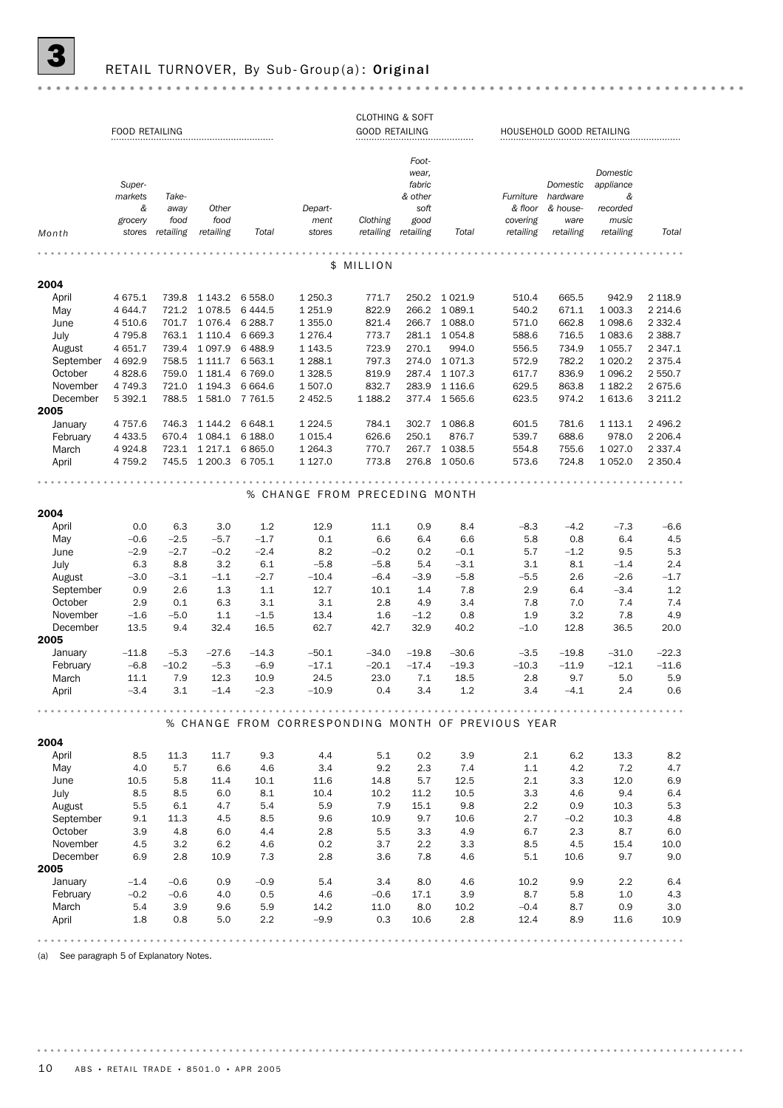## RETAIL TURNOVER, By Sub- Group(a): Original

|--|--|--|

|                   |                       |            |                   |                   |                                                    | <b>CLOTHING &amp; SOFT</b> |                |                 |            |                          |                    |                    |
|-------------------|-----------------------|------------|-------------------|-------------------|----------------------------------------------------|----------------------------|----------------|-----------------|------------|--------------------------|--------------------|--------------------|
|                   | <b>FOOD RETAILING</b> |            |                   |                   |                                                    | <b>GOOD RETAILING</b>      |                |                 |            | HOUSEHOLD GOOD RETAILING |                    |                    |
|                   |                       |            |                   |                   |                                                    |                            |                |                 |            |                          |                    |                    |
|                   |                       |            |                   |                   |                                                    |                            | Foot-          |                 |            |                          |                    |                    |
|                   |                       |            |                   |                   |                                                    |                            | wear,          |                 |            |                          | Domestic           |                    |
|                   | Super-                |            |                   |                   |                                                    |                            | fabric         |                 |            | Domestic                 | appliance          |                    |
|                   | markets               | Take-      |                   |                   |                                                    |                            | & other        |                 | Furniture  | hardware                 | &                  |                    |
|                   | &                     | away       | Other             |                   | Depart-                                            |                            | soft           |                 | & floor    | & house-                 | recorded           |                    |
|                   | grocery               | food       | food              |                   | ment                                               | Clothing                   | good           |                 | covering   | ware                     | music              |                    |
| Month             | stores                | retailing  | retailing         | Total             | stores                                             | retailing retailing        |                | Total           | retailing  | retailing                | retailing          | Total              |
|                   |                       |            |                   |                   |                                                    |                            |                |                 |            |                          |                    |                    |
|                   |                       |            |                   |                   | \$                                                 | MILLION                    |                |                 |            |                          |                    |                    |
|                   |                       |            |                   |                   |                                                    |                            |                |                 |            |                          |                    |                    |
| 2004              |                       |            |                   |                   |                                                    |                            |                |                 |            |                          |                    |                    |
| April             | 4 6 7 5 . 1           | 739.8      | 1 143.2           | 6 5 5 8.0         | 1 250.3                                            | 771.7                      |                | 250.2 1021.9    | 510.4      | 665.5                    | 942.9              | 2 1 1 8.9          |
| May               | 4 644.7               | 721.2      | 1078.5            | 6 4 4 4.5         | 1 2 5 1.9                                          | 822.9                      | 266.2          | 1 089.1         | 540.2      | 671.1                    | 1 003.3            | 2 2 1 4.6          |
| June              | 4 510.6               | 701.7      | 1076.4            | 6 2 8 8.7         | 1 3 5 5.0                                          | 821.4                      | 266.7          | 1 0 8 8.0       | 571.0      | 662.8                    | 1098.6             | 2 3 3 2.4          |
| July              | 4 7 9 5.8             | 763.1      | 1 1 1 0 . 4       | 6 6 6 9.3         | 1276.4                                             | 773.7                      | 281.1          | 1 0 5 4.8       | 588.6      | 716.5                    | 1 0 8 3.6          | 2 3 8 8.7          |
| August            | 4 651.7               | 739.4      | 1 0 9 7 .9        | 6488.9            | 1 1 4 3 .5                                         | 723.9                      | 270.1          | 994.0           | 556.5      | 734.9                    | 1 0 5 5.7          | 2 3 4 7 . 1        |
| September         | 4 6 9 2.9             | 758.5      | 1 1 1 1 .7        | 6 5 6 3.1         | 1 288.1                                            | 797.3                      | 274.0          | 1071.3          | 572.9      | 782.2                    | 1 0 20.2           | 2 3 7 5.4          |
| October           | 4 8 28.6              | 759.0      | 1 1 8 1 . 4       | 6769.0            | 1 3 28.5                                           | 819.9                      | 287.4          | 1 107.3         | 617.7      | 836.9                    | 1 0 9 6.2          | 2 550.7            |
| November          | 4 7 4 9.3             | 721.0      | 1 1 9 4 . 3       | 6 6 6 4 . 6       | 1507.0                                             | 832.7                      | 283.9          | 1 1 1 6 . 6     | 629.5      | 863.8                    | 1 1 8 2.2          | 2675.6             |
| December          | 5 3 9 2.1             | 788.5      | 1581.0            | 7 7 6 1.5         | 2 452.5                                            | 1 188.2                    | 377.4          | 1 5 6 5.6       | 623.5      | 974.2                    | 1613.6             | 3 2 1 1.2          |
| 2005              |                       |            |                   |                   |                                                    |                            |                |                 |            |                          |                    |                    |
| January           | 4 7 5 7 .6            | 746.3      | 1 144.2           | 6 648.1           | 1 2 2 4 .5                                         | 784.1                      | 302.7          | 1086.8          | 601.5      | 781.6                    | 1 1 1 3 . 1        | 2 4 9 6.2          |
| February          | 4 4 3 3.5             | 670.4      | 1 0 8 4 . 1       | 6 188.0           | 1015.4                                             | 626.6                      | 250.1          | 876.7           | 539.7      | 688.6                    | 978.0              | 2 2 0 6.4          |
| March             | 4924.8                | 723.1      | 1 2 1 7 . 1       | 6865.0            | 1 2 64.3                                           | 770.7                      | 267.7          | 1 0 38.5        | 554.8      | 755.6                    | 1 0 27.0           | 2 3 3 7 . 4        |
| April             | 4 7 5 9.2             | 745.5      | 1 200.3           | 6 705.1           | 1 1 2 7 .0                                         | 773.8                      | 276.8          | 1 0 5 0.6       | 573.6      | 724.8                    | 1 0 5 2.0          | 2 3 5 0.4          |
|                   |                       |            |                   |                   |                                                    |                            |                |                 |            |                          |                    |                    |
|                   |                       |            |                   |                   | % CHANGE FROM PRECEDING MONTH                      |                            |                |                 |            |                          |                    |                    |
|                   |                       |            |                   |                   |                                                    |                            |                |                 |            |                          |                    |                    |
| 2004              |                       |            |                   |                   |                                                    |                            |                |                 |            |                          |                    |                    |
| April             | 0.0                   | 6.3        | 3.0               | 1.2               | 12.9                                               | 11.1                       | 0.9            | 8.4             | $-8.3$     | $-4.2$                   | $-7.3$             | -6.6               |
| May               | $-0.6$                | $-2.5$     | $-5.7$            | $-1.7$            | 0.1                                                | 6.6                        | 6.4            | 6.6             | 5.8        | 0.8                      | 6.4                | 4.5                |
| June              | $-2.9$                | $-2.7$     | $-0.2$            | $-2.4$            | 8.2                                                | $-0.2$                     | 0.2            | $-0.1$          | 5.7        | $-1.2$                   | 9.5                | 5.3                |
| July              | 6.3                   | 8.8        | 3.2               | 6.1               | $-5.8$                                             | $-5.8$                     | 5.4            | $-3.1$          | 3.1        | 8.1                      | $-1.4$             | 2.4                |
| August            | $-3.0$                | $-3.1$     | $-1.1$            | $-2.7$            | $-10.4$                                            | $-6.4$                     | $-3.9$         | $-5.8$          | $-5.5$     | 2.6                      | $-2.6$             | $-1.7$             |
| September         | 0.9                   | 2.6        | 1.3               | 1.1               | 12.7                                               | 10.1                       | 1.4            | 7.8             | 2.9        | 6.4                      | $-3.4$             | 1.2                |
| October           | 2.9                   | 0.1        | 6.3               | 3.1               | 3.1                                                | 2.8                        | 4.9            | 3.4             | 7.8        | 7.0                      | 7.4                | 7.4                |
| November          | $-1.6$                | $-5.0$     | 1.1               | $-1.5$            | 13.4                                               | 1.6                        | $-1.2$         | 0.8             | 1.9        | 3.2                      | 7.8                | 4.9                |
| December          | 13.5                  | 9.4        | 32.4              | 16.5              | 62.7                                               | 42.7                       | 32.9           | 40.2            | $-1.0$     | 12.8                     | 36.5               | 20.0               |
| 2005              |                       |            |                   |                   |                                                    |                            | $-19.8$        |                 |            |                          |                    |                    |
| January           | $-11.8$<br>$-6.8$     | $-5.3$     | $-27.6$<br>$-5.3$ | $-14.3$<br>$-6.9$ | $-50.1$<br>$-17.1$                                 | $-34.0$<br>$-20.1$         |                | $-30.6$         | $-3.5$     | $-19.8$<br>$-11.9$       | $-31.0$<br>$-12.1$ | $-22.3$<br>$-11.6$ |
| February<br>March |                       | $-10.2$    | 12.3              |                   |                                                    | 23.0                       | $-17.4$<br>7.1 | $-19.3$<br>18.5 | $-10.3$    |                          |                    |                    |
| April             | 11.1<br>$-3.4$        | 7.9<br>3.1 | $-1.4$            | 10.9<br>$-2.3$    | 24.5<br>$-10.9$                                    | 0.4                        | 3.4            | 1.2             | 2.8<br>3.4 | 9.7<br>$-4.1$            | 5.0<br>2.4         | 5.9<br>0.6         |
|                   |                       |            |                   |                   |                                                    |                            |                |                 |            |                          |                    |                    |
|                   |                       |            |                   |                   |                                                    |                            |                |                 |            |                          |                    |                    |
|                   |                       |            |                   |                   | % CHANGE FROM CORRESPONDING MONTH OF PREVIOUS YEAR |                            |                |                 |            |                          |                    |                    |
| 2004              |                       |            |                   |                   |                                                    |                            |                |                 |            |                          |                    |                    |
| April             | 8.5                   | 11.3       | 11.7              | 9.3               | 4.4                                                | 5.1                        | 0.2            | 3.9             | 2.1        | 6.2                      | 13.3               | 8.2                |
| May               | 4.0                   | 5.7        | 6.6               | 4.6               | 3.4                                                | 9.2                        | 2.3            | 7.4             | 1.1        | 4.2                      | 7.2                | 4.7                |
| June              | 10.5                  | 5.8        | 11.4              | 10.1              | 11.6                                               | 14.8                       | 5.7            | 12.5            | 2.1        | 3.3                      | 12.0               | 6.9                |
| July              | 8.5                   | 8.5        | 6.0               | 8.1               | 10.4                                               | 10.2                       | 11.2           | 10.5            | 3.3        | 4.6                      | 9.4                | 6.4                |
| August            | 5.5                   | 6.1        | 4.7               | 5.4               | 5.9                                                | 7.9                        | 15.1           | 9.8             | 2.2        | 0.9                      | 10.3               | 5.3                |
| September         | 9.1                   | 11.3       | 4.5               | 8.5               | 9.6                                                | 10.9                       | 9.7            | 10.6            | 2.7        | $-0.2$                   | 10.3               | 4.8                |
| October           | 3.9                   | 4.8        | 6.0               | 4.4               | 2.8                                                | 5.5                        | 3.3            | 4.9             | 6.7        | 2.3                      | 8.7                | 6.0                |
| November          | 4.5                   | 3.2        | 6.2               | 4.6               | 0.2                                                | 3.7                        | 2.2            | 3.3             | 8.5        | 4.5                      | 15.4               | 10.0               |
| December          | 6.9                   | 2.8        | 10.9              | 7.3               | 2.8                                                | 3.6                        | 7.8            | 4.6             | 5.1        | 10.6                     | 9.7                | 9.0                |
| 2005              |                       |            |                   |                   |                                                    |                            |                |                 |            |                          |                    |                    |
| January           | $-1.4$                | $-0.6$     | 0.9               | $-0.9$            | 5.4                                                | 3.4                        | 8.0            | 4.6             | 10.2       | 9.9                      | 2.2                | 6.4                |
| February          | $-0.2$                | $-0.6$     | 4.0               | 0.5               | 4.6                                                | $-0.6$                     | 17.1           | 3.9             | 8.7        | 5.8                      | 1.0                | 4.3                |
| March             | 5.4                   | 3.9        | 9.6               | 5.9               | 14.2                                               | 11.0                       | 8.0            | 10.2            | $-0.4$     | 8.7                      | 0.9                | 3.0                |
| April             | 1.8                   | 0.8        | 5.0               | 2.2               | $-9.9$                                             | 0.3                        | 10.6           | 2.8             | 12.4       | 8.9                      | 11.6               | 10.9               |
|                   |                       |            |                   |                   |                                                    |                            |                |                 |            |                          |                    |                    |
|                   |                       |            |                   |                   |                                                    |                            |                |                 |            |                          |                    |                    |

(a) See paragraph 5 of Explanatory Notes.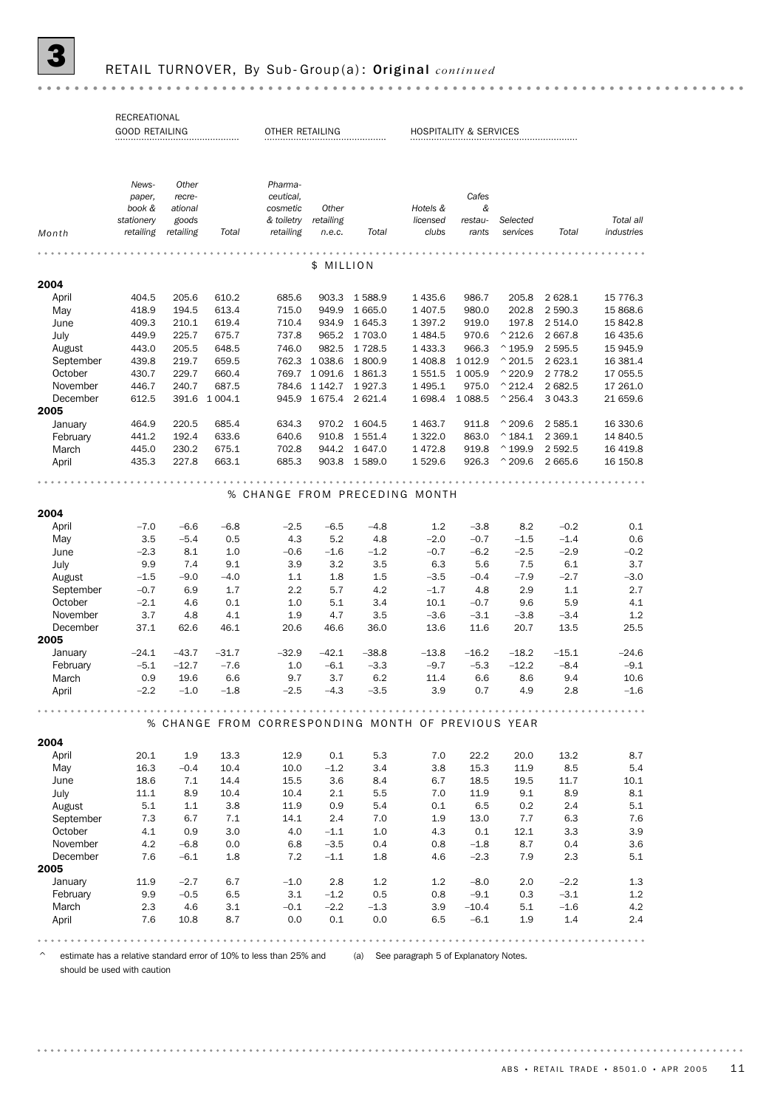## 3 RETAIL TURNOVER, By Sub- Group(a) : Original *continued*

|           | RECREATIONAL          |           |             |                 |           |                |                                                    |                                   |                   |            |            |
|-----------|-----------------------|-----------|-------------|-----------------|-----------|----------------|----------------------------------------------------|-----------------------------------|-------------------|------------|------------|
|           | <b>GOOD RETAILING</b> |           |             | OTHER RETAILING |           |                |                                                    | <b>HOSPITALITY &amp; SERVICES</b> |                   |            |            |
|           |                       |           |             |                 |           |                |                                                    |                                   |                   |            |            |
|           |                       |           |             |                 |           |                |                                                    |                                   |                   |            |            |
|           |                       |           |             |                 |           |                |                                                    |                                   |                   |            |            |
|           | News-                 | Other     |             | Pharma-         |           |                |                                                    |                                   |                   |            |            |
|           | paper,                | recre-    |             | ceutical,       |           |                |                                                    | Cafes                             |                   |            |            |
|           | book &                | ational   |             | cosmetic        | Other     |                | Hotels &                                           | &                                 |                   |            |            |
|           | stationery            | goods     |             | & toiletry      | retailing |                | licensed                                           | restau-                           | Selected          |            | Total all  |
| Month     | retailing             | retailing | Total       | retailing       | n.e.c.    | Total          | clubs                                              | rants                             | services          | Total      | industries |
|           |                       |           |             |                 |           |                |                                                    |                                   |                   |            |            |
|           |                       |           |             |                 | \$        | <b>MILLION</b> |                                                    |                                   |                   |            |            |
|           |                       |           |             |                 |           |                |                                                    |                                   |                   |            |            |
| 2004      |                       |           |             |                 |           |                |                                                    |                                   |                   |            |            |
| April     | 404.5                 | 205.6     | 610.2       | 685.6           | 903.3     | 1588.9         | 1435.6                                             | 986.7                             | 205.8             | 2 628.1    | 15 776.3   |
| May       | 418.9                 | 194.5     | 613.4       | 715.0           | 949.9     | 1 665.0        | 1 407.5                                            | 980.0                             | 202.8             | 2 590.3    | 15 868.6   |
| June      | 409.3                 | 210.1     | 619.4       | 710.4           | 934.9     | 1 645.3        | 1 3 9 7 . 2                                        | 919.0                             | 197.8             | 2514.0     | 15 842.8   |
| July      | 449.9                 | 225.7     | 675.7       | 737.8           | 965.2     | 1 703.0        | 1 4 8 4 .5                                         | 970.6                             | $^{\wedge}$ 212.6 | 2667.8     | 16 435.6   |
| August    | 443.0                 | 205.5     | 648.5       | 746.0           | 982.5     | 1 7 28.5       | 1 433.3                                            | 966.3                             | $^{\wedge}$ 195.9 | 2 595.5    | 15 945.9   |
| September | 439.8                 | 219.7     | 659.5       | 762.3           | 1 0 38.6  | 1800.9         | 1 408.8                                            | 1 0 1 2.9                         | $^{\wedge}$ 201.5 | 2 623.1    | 16 381.4   |
| October   | 430.7                 | 229.7     | 660.4       | 769.7           | 1 0 9 1.6 | 1861.3         | 1 551.5                                            | 1 0 0 5.9                         | $^{\wedge}$ 220.9 | 2 7 7 8.2  | 17 055.5   |
| November  | 446.7                 | 240.7     | 687.5       | 784.6           | 1 142.7   | 1927.3         | 1 4 9 5.1                                          | 975.0                             | $^{\wedge}$ 212.4 | 2682.5     | 17 261.0   |
| December  | 612.5                 | 391.6     | 1 0 0 4 . 1 | 945.9           | 1675.4    | 2 621.4        | 1698.4                                             | 1 0 8 8.5                         | $^{\wedge}$ 256.4 | 3 0 4 3 .3 | 21 659.6   |
| 2005      |                       |           |             |                 |           |                |                                                    |                                   |                   |            |            |
| January   | 464.9                 | 220.5     | 685.4       | 634.3           | 970.2     | 1 604.5        | 1 4 6 3.7                                          | 911.8                             | $^{\wedge}$ 209.6 | 2 585.1    | 16 330.6   |
| February  | 441.2                 | 192.4     | 633.6       | 640.6           | 910.8     | 1551.4         | 1 3 2 2.0                                          | 863.0                             | $^{\wedge}$ 184.1 | 2 3 6 9.1  | 14 840.5   |
| March     | 445.0                 | 230.2     | 675.1       | 702.8           | 944.2     | 1 647.0        | 1472.8                                             | 919.8                             | $^{\wedge}$ 199.9 | 2 5 9 2.5  | 16 419.8   |
| April     | 435.3                 | 227.8     | 663.1       | 685.3           | 903.8     | 1589.0         | 1529.6                                             | 926.3                             | $^{\wedge}$ 209.6 | 2 665.6    | 16 150.8   |
|           |                       |           |             |                 |           |                |                                                    |                                   |                   |            |            |
|           |                       |           |             |                 |           |                |                                                    |                                   |                   |            |            |
|           |                       |           |             |                 |           |                | % CHANGE FROM PRECEDING MONTH                      |                                   |                   |            |            |
|           |                       |           |             |                 |           |                |                                                    |                                   |                   |            |            |
| 2004      |                       |           |             |                 |           |                |                                                    |                                   |                   |            |            |
| April     | $-7.0$                | $-6.6$    | $-6.8$      | $-2.5$          | $-6.5$    | $-4.8$         | 1.2                                                | $-3.8$                            | 8.2               | $-0.2$     | 0.1        |
| May       | 3.5                   | $-5.4$    | 0.5         | 4.3             | 5.2       | 4.8            | $-2.0$                                             | $-0.7$                            | $-1.5$            | $-1.4$     | 0.6        |
| June      | $-2.3$                | 8.1       | 1.0         | $-0.6$          | $-1.6$    | $-1.2$         | $-0.7$                                             | $-6.2$                            | $-2.5$            | $-2.9$     | $-0.2$     |
| July      | 9.9                   | 7.4       | 9.1         | 3.9             | 3.2       | 3.5            | 6.3                                                | 5.6                               | 7.5               | 6.1        | 3.7        |
| August    | $-1.5$                | $-9.0$    | $-4.0$      | 1.1             | 1.8       | 1.5            | $-3.5$                                             | $-0.4$                            | $-7.9$            | $-2.7$     | $-3.0$     |
| September | $-0.7$                | 6.9       | 1.7         | 2.2             | 5.7       | 4.2            | $-1.7$                                             | 4.8                               | 2.9               | 1.1        | 2.7        |
| October   | $-2.1$                | 4.6       | 0.1         | 1.0             | 5.1       | 3.4            | 10.1                                               | $-0.7$                            | 9.6               | 5.9        | 4.1        |
| November  | 3.7                   | 4.8       | 4.1         | 1.9             | 4.7       | 3.5            | $-3.6$                                             | $-3.1$                            | $-3.8$            | $-3.4$     | 1.2        |
| December  | 37.1                  | 62.6      | 46.1        | 20.6            | 46.6      | 36.0           | 13.6                                               | 11.6                              | 20.7              | 13.5       | 25.5       |
| 2005      |                       |           |             |                 |           |                |                                                    |                                   |                   |            |            |
| January   | $-24.1$               | $-43.7$   | $-31.7$     | $-32.9$         | $-42.1$   | $-38.8$        | $-13.8$                                            | $-16.2$                           | $-18.2$           | $-15.1$    | $-24.6$    |
| February  | $-5.1$                | $-12.7$   | $-7.6$      | 1.0             | $-6.1$    | $-3.3$         | $-9.7$                                             | $-5.3$                            | $-12.2$           | $-8.4$     | $-9.1$     |
| March     | 0.9                   | 19.6      | 6.6         | 9.7             | 3.7       | 6.2            | 11.4                                               | 6.6                               | 8.6               | 9.4        | 10.6       |
| April     | $-2.2$                | $-1.0$    | $-1.8$      | $-2.5$          | $-4.3$    | $-3.5$         | 3.9                                                | 0.7                               | 4.9               | 2.8        | $-1.6$     |
|           |                       |           |             |                 |           |                |                                                    |                                   |                   |            |            |
|           |                       |           |             |                 |           |                |                                                    |                                   |                   |            |            |
|           |                       |           |             |                 |           |                | % CHANGE FROM CORRESPONDING MONTH OF PREVIOUS YEAR |                                   |                   |            |            |
| 2004      |                       |           |             |                 |           |                |                                                    |                                   |                   |            |            |
| April     | 20.1                  | 1.9       | 13.3        | 12.9            | 0.1       | 5.3            | 7.0                                                | 22.2                              | 20.0              | 13.2       | 8.7        |
| May       | 16.3                  | $-0.4$    | 10.4        | 10.0            | $-1.2$    | 3.4            | 3.8                                                | 15.3                              | 11.9              | 8.5        | 5.4        |
| June      | 18.6                  | 7.1       | 14.4        | 15.5            | 3.6       | 8.4            | 6.7                                                | 18.5                              | 19.5              | 11.7       | 10.1       |
| July      | 11.1                  | 8.9       | 10.4        | 10.4            | 2.1       | 5.5            | 7.0                                                | 11.9                              | 9.1               | 8.9        | 8.1        |
| August    | 5.1                   | 1.1       | 3.8         | 11.9            | 0.9       | 5.4            | 0.1                                                | 6.5                               | 0.2               | 2.4        | 5.1        |
| September | 7.3                   | 6.7       | 7.1         | 14.1            | 2.4       | 7.0            | 1.9                                                | 13.0                              | 7.7               | 6.3        | 7.6        |
| October   | 4.1                   | 0.9       | 3.0         | 4.0             | $-1.1$    | 1.0            | 4.3                                                | 0.1                               | 12.1              | 3.3        | 3.9        |
| November  | 4.2                   | $-6.8$    | 0.0         | 6.8             | $-3.5$    | 0.4            | 0.8                                                | $-1.8$                            | 8.7               | 0.4        | 3.6        |
| December  | 7.6                   | $-6.1$    | 1.8         | 7.2             | $-1.1$    | 1.8            | 4.6                                                | $-2.3$                            | 7.9               | 2.3        | 5.1        |
| 2005      |                       |           |             |                 |           |                |                                                    |                                   |                   |            |            |
|           |                       |           |             |                 |           |                |                                                    |                                   |                   |            |            |
| January   | 11.9                  | $-2.7$    | 6.7         | $-1.0$          | 2.8       | 1.2            | 1.2                                                | $-8.0$                            | 2.0               | $-2.2$     | 1.3        |
| February  | 9.9                   | $-0.5$    | 6.5         | 3.1             | $-1.2$    | 0.5            | 0.8                                                | $-9.1$                            | 0.3               | $-3.1$     | 1.2        |
| March     | 2.3                   | 4.6       | 3.1         | $-0.1$          | $-2.2$    | $-1.3$         | 3.9                                                | $-10.4$                           | 5.1               | $-1.6$     | 4.2        |
| April     | 7.6                   | 10.8      | 8.7         | 0.0             | 0.1       | 0.0            | 6.5                                                | $-6.1$                            | 1.9               | 1.4        | 2.4        |
|           |                       |           |             |                 |           |                |                                                    |                                   |                   |            |            |
|           |                       |           |             |                 |           |                |                                                    |                                   |                   |            |            |

^ estimate has a relative standard error of 10% to less than 25% and (a) See paragraph 5 of Explanatory Notes.

should be used with caution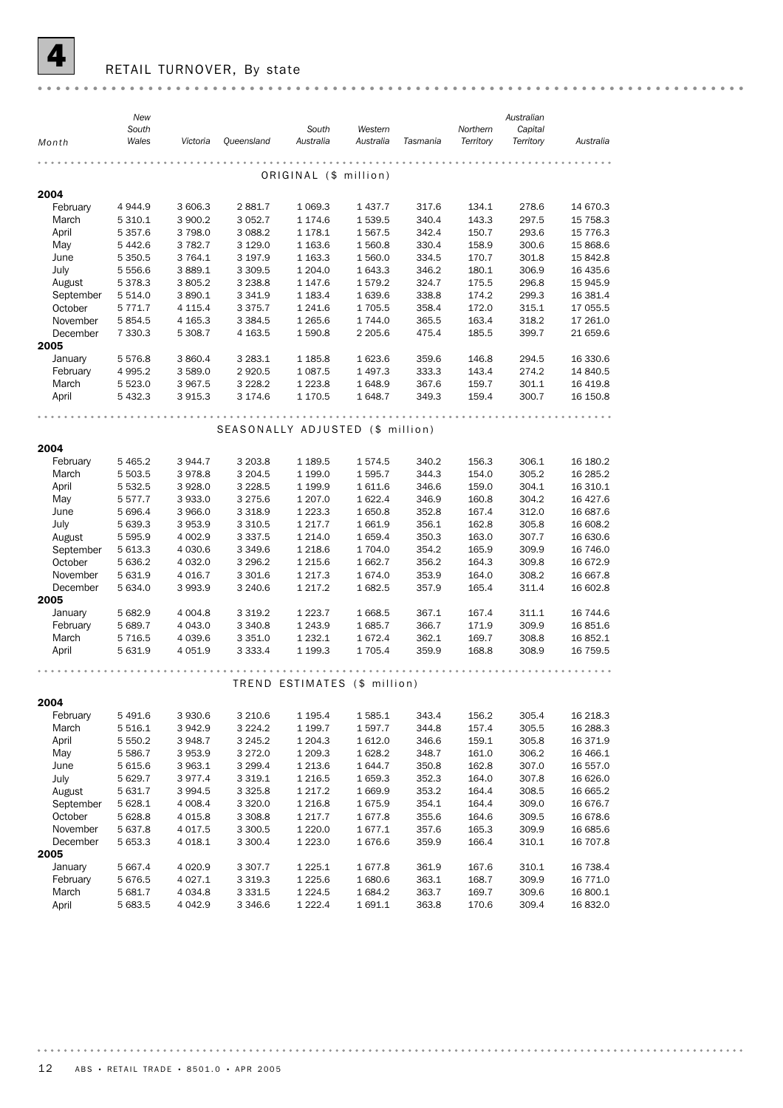

## RETAIL TURNOVER, By state

|           | New         |             |                                  |                              |                  |                |                | Australian |                      |
|-----------|-------------|-------------|----------------------------------|------------------------------|------------------|----------------|----------------|------------|----------------------|
|           | South       |             |                                  | South                        | Western          |                | Northern       | Capital    |                      |
| Month     | Wales       | Victoria    | Queensland                       | Australia                    | Australia        | Tasmania       | Territory      | Territory  | Australia            |
|           |             |             |                                  |                              |                  |                |                |            |                      |
|           |             |             |                                  | ORIGINAL (\$ million)        |                  |                |                |            |                      |
| 2004      |             |             |                                  |                              |                  |                |                |            |                      |
| February  | 4 9 4 4 .9  | 3 606.3     | 2881.7                           | 1 0 69.3                     | 1437.7           | 317.6          | 134.1          | 278.6      | 14 670.3             |
| March     | 5 3 1 0.1   | 3 900.2     | 3 0 5 2.7                        | 1 174.6                      | 1539.5           | 340.4          | 143.3          | 297.5      | 15 7 58.3            |
| April     | 5 3 5 7 . 6 | 3798.0      | 3 0 8 8.2                        | 1 1 7 8 . 1                  | 1567.5           | 342.4          | 150.7          | 293.6      | 15 7 7 6.3           |
| May       | 5 4 4 2.6   | 3 782.7     | 3 1 2 9 . 0                      | 1 1 6 3.6                    | 1 560.8          | 330.4          | 158.9          | 300.6      | 15 868.6             |
| June      | 5 3 5 0.5   | 3 764.1     | 3 197.9                          | 1 1 6 3 . 3                  | 1 560.0          | 334.5          | 170.7          | 301.8      | 15 842.8             |
| July      | 5 5 5 6 . 6 | 3 889.1     | 3 3 0 9.5                        | 1 204.0                      | 1 643.3          | 346.2          | 180.1          | 306.9      | 16 435.6             |
| August    | 5 3 7 8 . 3 | 3 805.2     | 3 2 3 8.8                        | 1 1 4 7 .6                   | 1579.2           | 324.7          | 175.5          | 296.8      | 15 945.9             |
| September | 5 5 1 4.0   | 3890.1      | 3 3 4 1.9                        | 1 1 8 3.4                    | 1639.6           | 338.8          | 174.2          | 299.3      | 16 381.4             |
| October   | 5 7 7 1 . 7 | 4 1 1 5 . 4 | 3 3 7 5 . 7                      | 1 241.6                      | 1705.5           | 358.4          | 172.0          | 315.1      | 17 055.5             |
| November  | 5 8 5 4.5   | 4 1 65.3    | 3 3 8 4 .5                       | 1 2 6 5.6                    | 1744.0           | 365.5          | 163.4          | 318.2      | 17 261.0             |
| December  | 7 330.3     | 5 308.7     | 4 1 63.5                         | 1 590.8                      | 2 2 0 5.6        | 475.4          | 185.5          | 399.7      | 21 659.6             |
| 2005      |             |             |                                  |                              |                  |                |                |            |                      |
| January   | 5 5 7 6.8   | 3 860.4     | 3 2 8 3 . 1                      | 1 1 8 5.8                    | 1 623.6          | 359.6          | 146.8          | 294.5      | 16 330.6             |
| February  | 4 9 9 5.2   | 3 589.0     | 2920.5                           | 1 0 8 7 .5                   | 1497.3           | 333.3          | 143.4          | 274.2      | 14 840.5             |
| March     | 5 5 2 3.0   | 3 967.5     | 3 2 2 8.2                        | 1 2 2 3.8                    | 1648.9           | 367.6          | 159.7          | 301.1      | 16 4 19.8            |
| April     | 5 432.3     | 3 9 1 5 . 3 | 3 174.6                          | 1 170.5                      | 1648.7           | 349.3          | 159.4          | 300.7      | 16 150.8             |
|           |             |             |                                  |                              |                  |                |                |            |                      |
|           |             |             | SEASONALLY ADJUSTED (\$ million) |                              |                  |                |                |            |                      |
|           |             |             |                                  |                              |                  |                |                |            |                      |
| 2004      |             |             |                                  |                              |                  |                |                |            |                      |
| February  | 5 4 6 5.2   | 3 944.7     | 3 203.8                          | 1 1 8 9.5                    | 1574.5           | 340.2          | 156.3          | 306.1      | 16 180.2             |
| March     | 5 503.5     | 3978.8      | 3 2 0 4 .5                       | 1 199.0                      | 1 595.7          | 344.3          | 154.0          | 305.2      | 16 285.2             |
| April     | 5 5 3 2.5   | 3 9 28.0    | 3 2 2 8.5                        | 1 199.9                      | 1611.6           | 346.6          | 159.0          | 304.1      | 16 310.1             |
| May       | 5 5 7 7 . 7 | 3933.0      | 3 2 7 5 . 6                      | 1 207.0                      | 1622.4           | 346.9          | 160.8          | 304.2      | 16 427.6             |
| June      | 5 696.4     | 3 966.0     | 3 3 1 8 .9                       | 1 2 2 3 . 3                  | 1650.8           | 352.8          | 167.4          | 312.0      | 16 687.6             |
| July      | 5 639.3     | 3953.9      | 3 3 1 0.5                        | 1 2 1 7 . 7                  | 1661.9           | 356.1          | 162.8          | 305.8      | 16 608.2             |
| August    | 5 5 9 5 . 9 | 4 002.9     | 3 3 3 7 .5                       | 1 2 1 4 .0                   | 1659.4           | 350.3          | 163.0          | 307.7      | 16 630.6             |
| September | 5 613.3     | 4 0 3 0.6   | 3 3 4 9.6                        | 1 2 1 8.6                    | 1 704.0          | 354.2          | 165.9          | 309.9      | 16 746.0             |
| October   | 5 636.2     | 4 0 3 2.0   | 3 2 9 6.2                        | 1 2 1 5.6                    | 1662.7           | 356.2          | 164.3          | 309.8      | 16 672.9             |
| November  | 5 631.9     | 4 0 16.7    | 3 3 0 1.6                        | 1 2 1 7 . 3                  | 1674.0           | 353.9          | 164.0          | 308.2      | 16 667.8             |
| December  | 5 634.0     | 3 993.9     | 3 2 4 0.6                        | 1 2 1 7 . 2                  | 1682.5           | 357.9          | 165.4          | 311.4      | 16 602.8             |
| 2005      |             |             |                                  |                              |                  |                |                |            |                      |
| January   | 5 682.9     | 4 0 0 4.8   | 3 3 1 9 . 2                      | 1 2 2 3 . 7                  | 1668.5           | 367.1          | 167.4          | 311.1      | 16 744.6             |
| February  | 5 689.7     | 4 043.0     | 3 3 4 0.8                        | 1 2 4 3 . 9                  | 1685.7           | 366.7<br>362.1 | 171.9          | 309.9      | 16 851.6             |
| March     | 5 7 1 6.5   | 4 0 3 9.6   | 3 3 5 1.0                        | 1 2 3 2.1<br>1 199.3         | 1672.4<br>1705.4 | 359.9          | 169.7<br>168.8 | 308.8      | 16 852.1<br>16 759.5 |
| April     | 5 631.9     | 4 0 5 1.9   | 3 3 3 3 . 4                      |                              |                  |                |                | 308.9      |                      |
|           |             |             |                                  |                              |                  |                |                |            |                      |
|           |             |             |                                  | TREND ESTIMATES (\$ million) |                  |                |                |            |                      |
| 2004      |             |             |                                  |                              |                  |                |                |            |                      |
| February  | 5 491.6     | 3 930.6     | 3 2 1 0.6                        | 1 1 9 5.4                    | 1585.1           | 343.4          | 156.2          | 305.4      | 16 218.3             |
| March     | 5 516.1     | 3 942.9     | 3 2 2 4 . 2                      | 1 199.7                      | 1 597.7          | 344.8          | 157.4          | 305.5      | 16 288.3             |
| April     | 5 550.2     | 3 948.7     | 3 2 4 5 . 2                      | 1 204.3                      | 1 612.0          | 346.6          | 159.1          | 305.8      | 16 371.9             |
| May       | 5 586.7     | 3 953.9     | 3 2 7 2.0                        | 1 209.3                      | 1628.2           | 348.7          | 161.0          | 306.2      | 16 4 66.1            |
| June      | 5 615.6     | 3 963.1     | 3 2 9 9.4                        | 1 2 1 3 . 6                  | 1644.7           | 350.8          | 162.8          | 307.0      | 16 557.0             |
| July      | 5 629.7     | 3977.4      | 3 3 1 9 . 1                      | 1 2 1 6 .5                   | 1659.3           | 352.3          | 164.0          | 307.8      | 16 626.0             |
| August    | 5 631.7     | 3 9 9 4.5   | 3 3 2 5.8                        | 1 2 1 7 . 2                  | 1669.9           | 353.2          | 164.4          | 308.5      | 16 665.2             |
| September | 5 628.1     | 4 0 0 8.4   | 3 3 2 0.0                        | 1 2 1 6.8                    | 1675.9           | 354.1          | 164.4          | 309.0      | 16 676.7             |
| October   | 5 628.8     | 4 0 1 5.8   | 3 3 0 8.8                        | 1 2 1 7 . 7                  | 1677.8           | 355.6          | 164.6          | 309.5      | 16 678.6             |
| November  | 5 637.8     | 4 0 17.5    | 3 300.5                          | 1 2 2 0.0                    | 1677.1           | 357.6          | 165.3          | 309.9      | 16 685.6             |
| December  | 5 653.3     | 4 0 18.1    | 3 3 0 0.4                        | 1 2 2 3 . 0                  | 1676.6           | 359.9          | 166.4          | 310.1      | 16 707.8             |
| 2005      |             |             |                                  |                              |                  |                |                |            |                      |
| January   | 5 667.4     | 4 0 20.9    | 3 3 0 7 . 7                      | 1 2 2 5 . 1                  | 1677.8           | 361.9          | 167.6          | 310.1      | 16 738.4             |
| February  | 5 676.5     | 4 0 27.1    | 3 3 1 9 . 3                      | 1 2 2 5.6                    | 1680.6           | 363.1          | 168.7          | 309.9      | 16 771.0             |
| March     | 5 681.7     | 4 0 3 4.8   | 3 3 3 1.5                        | 1 2 2 4 .5                   | 1684.2           | 363.7          | 169.7          | 309.6      | 16 800.1             |
| April     | 5 683.5     | 4 042.9     | 3 3 4 6 . 6                      | 1 2 2 2 . 4                  | 1691.1           | 363.8          | 170.6          | 309.4      | 16 832.0             |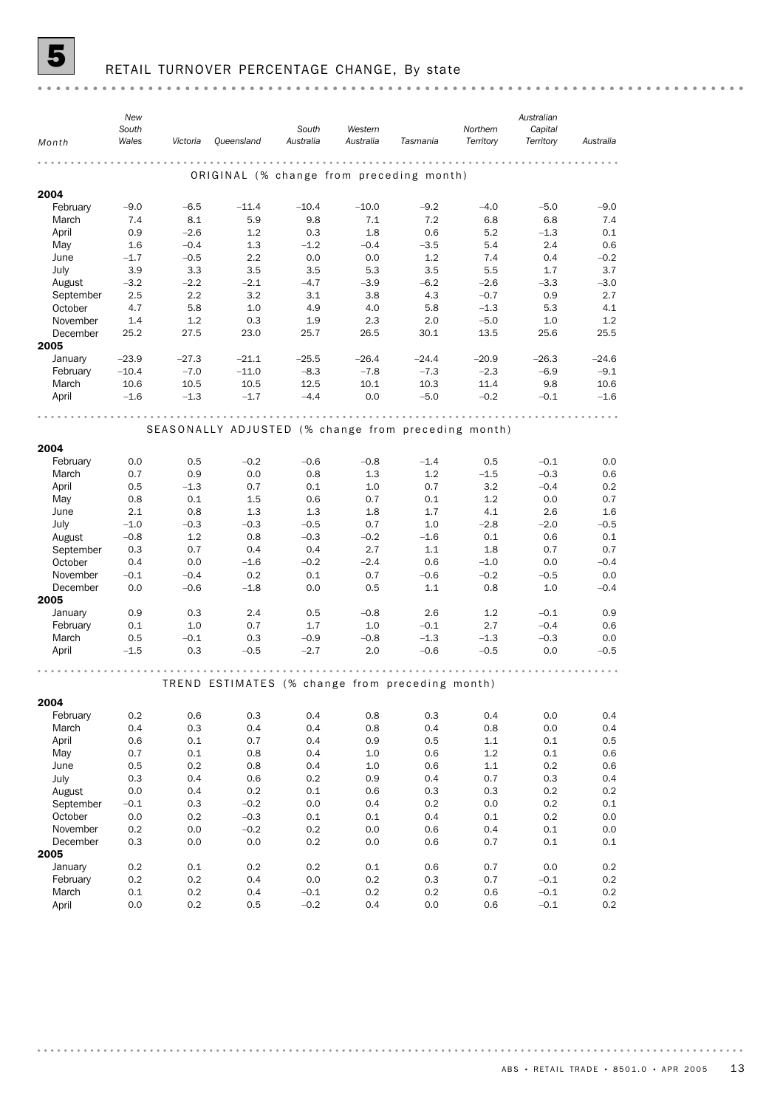

## **5** RETAIL TURNOVER PERCENTAGE CHANGE, By state

| Wales<br>Australia<br>Australia<br>Territory<br>Territory<br>Victoria<br>Queensland<br>Tasmania<br>Australia<br>Month<br>$- 0 - 0 - 0 - 0 - 0 - 0$<br>.<br>ORIGINAL (% change from preceding month)<br>2004<br>February<br>$-5.0$<br>$-9.0$<br>$-9.0$<br>$-6.5$<br>$-11.4$<br>$-10.4$<br>$-10.0$<br>$-9.2$<br>$-4.0$<br>8.1<br>5.9<br>9.8<br>7.1<br>7.2<br>6.8<br>7.4<br>March<br>7.4<br>6.8<br>0.1<br>April<br>0.9<br>$-2.6$<br>1.2<br>0.3<br>1.8<br>0.6<br>5.2<br>$-1.3$<br>May<br>1.6<br>1.3<br>$-1.2$<br>$-0.4$<br>2.4<br>0.6<br>$-0.4$<br>$-3.5$<br>5.4<br>2.2<br>0.0<br>$-0.2$<br>June<br>$-1.7$<br>$-0.5$<br>0.0<br>1.2<br>7.4<br>0.4<br>July<br>3.5<br>3.5<br>3.7<br>3.9<br>3.3<br>3.5<br>5.3<br>5.5<br>1.7<br>$-2.2$<br>$-2.1$<br>$-3.0$<br>$-3.2$<br>$-4.7$<br>$-3.9$<br>$-6.2$<br>$-2.6$<br>$-3.3$<br>August<br>September<br>2.5<br>2.2<br>3.2<br>3.1<br>3.8<br>4.3<br>$-0.7$<br>0.9<br>2.7<br>October<br>4.7<br>5.8<br>1.0<br>4.9<br>4.0<br>$-1.3$<br>4.1<br>5.8<br>5.3<br>1.4<br>1.2<br>0.3<br>1.9<br>2.3<br>2.0<br>$-5.0$<br>1.0<br>1.2<br>November<br>December<br>25.2<br>27.5<br>23.0<br>25.7<br>26.5<br>30.1<br>13.5<br>25.6<br>25.5<br>2005<br>January<br>$-24.6$<br>$-23.9$<br>$-27.3$<br>$-21.1$<br>$-25.5$<br>$-26.4$<br>$-24.4$<br>$-20.9$<br>$-26.3$<br>February<br>$-10.4$<br>$-7.0$<br>$-11.0$<br>$-8.3$<br>$-2.3$<br>$-6.9$<br>$-9.1$<br>$-7.8$<br>$-7.3$<br>10.5<br>12.5<br>10.1<br>10.3<br>11.4<br>9.8<br>10.6<br>March<br>10.6<br>10.5<br>April<br>$-1.6$<br>$-1.3$<br>$-1.7$<br>$-4.4$<br>0.0<br>$-5.0$<br>$-0.2$<br>$-0.1$<br>$-1.6$<br>SEASONALLY ADJUSTED (% change from preceding month)<br>2004<br>$-0.2$<br>$-1.4$<br>$-0.1$<br>0.0<br>February<br>0.0<br>0.5<br>$-0.6$<br>$-0.8$<br>0.5<br>March<br>0.7<br>0.9<br>0.0<br>0.8<br>1.3<br>1.2<br>$-1.5$<br>$-0.3$<br>0.6<br>0.5<br>$-1.3$<br>0.7<br>0.1<br>1.0<br>3.2<br>$-0.4$<br>0.2<br>April<br>0.7<br>0.8<br>1.2<br>0.7<br>May<br>0.1<br>1.5<br>0.6<br>0.7<br>0.1<br>0.0<br>2.1<br>1.3<br>1.3<br>4.1<br>June<br>0.8<br>1.8<br>1.7<br>2.6<br>1.6<br>$-1.0$<br>$-0.3$<br>$-0.3$<br>$-0.5$<br>0.7<br>1.0<br>$-2.8$<br>$-2.0$<br>$-0.5$<br>July<br>August<br>1.2<br>0.8<br>$-0.3$<br>$-0.2$<br>$-1.6$<br>0.1<br>0.1<br>$-0.8$<br>0.6<br>0.7<br>0.4<br>2.7<br>1.8<br>0.7<br>September<br>0.3<br>0.4<br>1.1<br>0.7<br>October<br>0.4<br>$-0.4$<br>0.0<br>$-1.6$<br>$-0.2$<br>$-2.4$<br>0.6<br>$-1.0$<br>0.0<br>November<br>$-0.1$<br>0.2<br>0.1<br>$-0.2$<br>0.0<br>$-0.4$<br>0.7<br>$-0.6$<br>$-0.5$<br>0.0<br>1.1<br>0.8<br>1.0<br>$-0.4$<br>December<br>$-0.6$<br>$-1.8$<br>0.0<br>0.5<br>2005<br>0.9<br>0.5<br>$-0.8$<br>2.6<br>1.2<br>0.9<br>January<br>0.3<br>2.4<br>$-0.1$<br>February<br>0.1<br>1.0<br>0.7<br>1.7<br>1.0<br>2.7<br>$-0.4$<br>0.6<br>$-0.1$<br>March<br>0.5<br>0.3<br>$-0.8$<br>$-1.3$<br>$-1.3$<br>$-0.3$<br>0.0<br>$-0.1$<br>$-0.9$<br>$-0.5$<br>$-2.7$<br>2.0<br>$-0.5$<br>$-0.5$<br>April<br>$-1.5$<br>0.3<br>$-0.6$<br>0.0<br>TREND ESTIMATES (% change from preceding month)<br>2004<br>0.4<br>0.4<br>0.0<br>February<br>0.2<br>0.6<br>0.3<br>0.8<br>0.3<br>0.4<br>March<br>0.4<br>0.3<br>0.4<br>0.4<br>0.8<br>0.4<br>0.8<br>0.0<br>0.4<br>April<br>0.6<br>0.1<br>0.7<br>0.4<br>0.9<br>0.5<br>1.1<br>0.1<br>0.5<br>1.2<br>0.7<br>0.1<br>0.8<br>0.4<br>1.0<br>0.6<br>0.1<br>0.6<br>May |
|----------------------------------------------------------------------------------------------------------------------------------------------------------------------------------------------------------------------------------------------------------------------------------------------------------------------------------------------------------------------------------------------------------------------------------------------------------------------------------------------------------------------------------------------------------------------------------------------------------------------------------------------------------------------------------------------------------------------------------------------------------------------------------------------------------------------------------------------------------------------------------------------------------------------------------------------------------------------------------------------------------------------------------------------------------------------------------------------------------------------------------------------------------------------------------------------------------------------------------------------------------------------------------------------------------------------------------------------------------------------------------------------------------------------------------------------------------------------------------------------------------------------------------------------------------------------------------------------------------------------------------------------------------------------------------------------------------------------------------------------------------------------------------------------------------------------------------------------------------------------------------------------------------------------------------------------------------------------------------------------------------------------------------------------------------------------------------------------------------------------------------------------------------------------------------------------------------------------------------------------------------------------------------------------------------------------------------------------------------------------------------------------------------------------------------------------------------------------------------------------------------------------------------------------------------------------------------------------------------------------------------------------------------------------------------------------------------------------------------------------------------------------------------------------------------------------------------------------------------------------------------------------------------------------------------------------------------------------------------------------------------------------------------------------------------------------------------------------------------------------------------------------------------------------------------------------------------------------------------------------------------------------------------------------------|
|                                                                                                                                                                                                                                                                                                                                                                                                                                                                                                                                                                                                                                                                                                                                                                                                                                                                                                                                                                                                                                                                                                                                                                                                                                                                                                                                                                                                                                                                                                                                                                                                                                                                                                                                                                                                                                                                                                                                                                                                                                                                                                                                                                                                                                                                                                                                                                                                                                                                                                                                                                                                                                                                                                                                                                                                                                                                                                                                                                                                                                                                                                                                                                                                                                                                                                    |
|                                                                                                                                                                                                                                                                                                                                                                                                                                                                                                                                                                                                                                                                                                                                                                                                                                                                                                                                                                                                                                                                                                                                                                                                                                                                                                                                                                                                                                                                                                                                                                                                                                                                                                                                                                                                                                                                                                                                                                                                                                                                                                                                                                                                                                                                                                                                                                                                                                                                                                                                                                                                                                                                                                                                                                                                                                                                                                                                                                                                                                                                                                                                                                                                                                                                                                    |
|                                                                                                                                                                                                                                                                                                                                                                                                                                                                                                                                                                                                                                                                                                                                                                                                                                                                                                                                                                                                                                                                                                                                                                                                                                                                                                                                                                                                                                                                                                                                                                                                                                                                                                                                                                                                                                                                                                                                                                                                                                                                                                                                                                                                                                                                                                                                                                                                                                                                                                                                                                                                                                                                                                                                                                                                                                                                                                                                                                                                                                                                                                                                                                                                                                                                                                    |
|                                                                                                                                                                                                                                                                                                                                                                                                                                                                                                                                                                                                                                                                                                                                                                                                                                                                                                                                                                                                                                                                                                                                                                                                                                                                                                                                                                                                                                                                                                                                                                                                                                                                                                                                                                                                                                                                                                                                                                                                                                                                                                                                                                                                                                                                                                                                                                                                                                                                                                                                                                                                                                                                                                                                                                                                                                                                                                                                                                                                                                                                                                                                                                                                                                                                                                    |
|                                                                                                                                                                                                                                                                                                                                                                                                                                                                                                                                                                                                                                                                                                                                                                                                                                                                                                                                                                                                                                                                                                                                                                                                                                                                                                                                                                                                                                                                                                                                                                                                                                                                                                                                                                                                                                                                                                                                                                                                                                                                                                                                                                                                                                                                                                                                                                                                                                                                                                                                                                                                                                                                                                                                                                                                                                                                                                                                                                                                                                                                                                                                                                                                                                                                                                    |
|                                                                                                                                                                                                                                                                                                                                                                                                                                                                                                                                                                                                                                                                                                                                                                                                                                                                                                                                                                                                                                                                                                                                                                                                                                                                                                                                                                                                                                                                                                                                                                                                                                                                                                                                                                                                                                                                                                                                                                                                                                                                                                                                                                                                                                                                                                                                                                                                                                                                                                                                                                                                                                                                                                                                                                                                                                                                                                                                                                                                                                                                                                                                                                                                                                                                                                    |
|                                                                                                                                                                                                                                                                                                                                                                                                                                                                                                                                                                                                                                                                                                                                                                                                                                                                                                                                                                                                                                                                                                                                                                                                                                                                                                                                                                                                                                                                                                                                                                                                                                                                                                                                                                                                                                                                                                                                                                                                                                                                                                                                                                                                                                                                                                                                                                                                                                                                                                                                                                                                                                                                                                                                                                                                                                                                                                                                                                                                                                                                                                                                                                                                                                                                                                    |
|                                                                                                                                                                                                                                                                                                                                                                                                                                                                                                                                                                                                                                                                                                                                                                                                                                                                                                                                                                                                                                                                                                                                                                                                                                                                                                                                                                                                                                                                                                                                                                                                                                                                                                                                                                                                                                                                                                                                                                                                                                                                                                                                                                                                                                                                                                                                                                                                                                                                                                                                                                                                                                                                                                                                                                                                                                                                                                                                                                                                                                                                                                                                                                                                                                                                                                    |
|                                                                                                                                                                                                                                                                                                                                                                                                                                                                                                                                                                                                                                                                                                                                                                                                                                                                                                                                                                                                                                                                                                                                                                                                                                                                                                                                                                                                                                                                                                                                                                                                                                                                                                                                                                                                                                                                                                                                                                                                                                                                                                                                                                                                                                                                                                                                                                                                                                                                                                                                                                                                                                                                                                                                                                                                                                                                                                                                                                                                                                                                                                                                                                                                                                                                                                    |
|                                                                                                                                                                                                                                                                                                                                                                                                                                                                                                                                                                                                                                                                                                                                                                                                                                                                                                                                                                                                                                                                                                                                                                                                                                                                                                                                                                                                                                                                                                                                                                                                                                                                                                                                                                                                                                                                                                                                                                                                                                                                                                                                                                                                                                                                                                                                                                                                                                                                                                                                                                                                                                                                                                                                                                                                                                                                                                                                                                                                                                                                                                                                                                                                                                                                                                    |
|                                                                                                                                                                                                                                                                                                                                                                                                                                                                                                                                                                                                                                                                                                                                                                                                                                                                                                                                                                                                                                                                                                                                                                                                                                                                                                                                                                                                                                                                                                                                                                                                                                                                                                                                                                                                                                                                                                                                                                                                                                                                                                                                                                                                                                                                                                                                                                                                                                                                                                                                                                                                                                                                                                                                                                                                                                                                                                                                                                                                                                                                                                                                                                                                                                                                                                    |
|                                                                                                                                                                                                                                                                                                                                                                                                                                                                                                                                                                                                                                                                                                                                                                                                                                                                                                                                                                                                                                                                                                                                                                                                                                                                                                                                                                                                                                                                                                                                                                                                                                                                                                                                                                                                                                                                                                                                                                                                                                                                                                                                                                                                                                                                                                                                                                                                                                                                                                                                                                                                                                                                                                                                                                                                                                                                                                                                                                                                                                                                                                                                                                                                                                                                                                    |
|                                                                                                                                                                                                                                                                                                                                                                                                                                                                                                                                                                                                                                                                                                                                                                                                                                                                                                                                                                                                                                                                                                                                                                                                                                                                                                                                                                                                                                                                                                                                                                                                                                                                                                                                                                                                                                                                                                                                                                                                                                                                                                                                                                                                                                                                                                                                                                                                                                                                                                                                                                                                                                                                                                                                                                                                                                                                                                                                                                                                                                                                                                                                                                                                                                                                                                    |
|                                                                                                                                                                                                                                                                                                                                                                                                                                                                                                                                                                                                                                                                                                                                                                                                                                                                                                                                                                                                                                                                                                                                                                                                                                                                                                                                                                                                                                                                                                                                                                                                                                                                                                                                                                                                                                                                                                                                                                                                                                                                                                                                                                                                                                                                                                                                                                                                                                                                                                                                                                                                                                                                                                                                                                                                                                                                                                                                                                                                                                                                                                                                                                                                                                                                                                    |
|                                                                                                                                                                                                                                                                                                                                                                                                                                                                                                                                                                                                                                                                                                                                                                                                                                                                                                                                                                                                                                                                                                                                                                                                                                                                                                                                                                                                                                                                                                                                                                                                                                                                                                                                                                                                                                                                                                                                                                                                                                                                                                                                                                                                                                                                                                                                                                                                                                                                                                                                                                                                                                                                                                                                                                                                                                                                                                                                                                                                                                                                                                                                                                                                                                                                                                    |
|                                                                                                                                                                                                                                                                                                                                                                                                                                                                                                                                                                                                                                                                                                                                                                                                                                                                                                                                                                                                                                                                                                                                                                                                                                                                                                                                                                                                                                                                                                                                                                                                                                                                                                                                                                                                                                                                                                                                                                                                                                                                                                                                                                                                                                                                                                                                                                                                                                                                                                                                                                                                                                                                                                                                                                                                                                                                                                                                                                                                                                                                                                                                                                                                                                                                                                    |
|                                                                                                                                                                                                                                                                                                                                                                                                                                                                                                                                                                                                                                                                                                                                                                                                                                                                                                                                                                                                                                                                                                                                                                                                                                                                                                                                                                                                                                                                                                                                                                                                                                                                                                                                                                                                                                                                                                                                                                                                                                                                                                                                                                                                                                                                                                                                                                                                                                                                                                                                                                                                                                                                                                                                                                                                                                                                                                                                                                                                                                                                                                                                                                                                                                                                                                    |
|                                                                                                                                                                                                                                                                                                                                                                                                                                                                                                                                                                                                                                                                                                                                                                                                                                                                                                                                                                                                                                                                                                                                                                                                                                                                                                                                                                                                                                                                                                                                                                                                                                                                                                                                                                                                                                                                                                                                                                                                                                                                                                                                                                                                                                                                                                                                                                                                                                                                                                                                                                                                                                                                                                                                                                                                                                                                                                                                                                                                                                                                                                                                                                                                                                                                                                    |
|                                                                                                                                                                                                                                                                                                                                                                                                                                                                                                                                                                                                                                                                                                                                                                                                                                                                                                                                                                                                                                                                                                                                                                                                                                                                                                                                                                                                                                                                                                                                                                                                                                                                                                                                                                                                                                                                                                                                                                                                                                                                                                                                                                                                                                                                                                                                                                                                                                                                                                                                                                                                                                                                                                                                                                                                                                                                                                                                                                                                                                                                                                                                                                                                                                                                                                    |
|                                                                                                                                                                                                                                                                                                                                                                                                                                                                                                                                                                                                                                                                                                                                                                                                                                                                                                                                                                                                                                                                                                                                                                                                                                                                                                                                                                                                                                                                                                                                                                                                                                                                                                                                                                                                                                                                                                                                                                                                                                                                                                                                                                                                                                                                                                                                                                                                                                                                                                                                                                                                                                                                                                                                                                                                                                                                                                                                                                                                                                                                                                                                                                                                                                                                                                    |
|                                                                                                                                                                                                                                                                                                                                                                                                                                                                                                                                                                                                                                                                                                                                                                                                                                                                                                                                                                                                                                                                                                                                                                                                                                                                                                                                                                                                                                                                                                                                                                                                                                                                                                                                                                                                                                                                                                                                                                                                                                                                                                                                                                                                                                                                                                                                                                                                                                                                                                                                                                                                                                                                                                                                                                                                                                                                                                                                                                                                                                                                                                                                                                                                                                                                                                    |
|                                                                                                                                                                                                                                                                                                                                                                                                                                                                                                                                                                                                                                                                                                                                                                                                                                                                                                                                                                                                                                                                                                                                                                                                                                                                                                                                                                                                                                                                                                                                                                                                                                                                                                                                                                                                                                                                                                                                                                                                                                                                                                                                                                                                                                                                                                                                                                                                                                                                                                                                                                                                                                                                                                                                                                                                                                                                                                                                                                                                                                                                                                                                                                                                                                                                                                    |
|                                                                                                                                                                                                                                                                                                                                                                                                                                                                                                                                                                                                                                                                                                                                                                                                                                                                                                                                                                                                                                                                                                                                                                                                                                                                                                                                                                                                                                                                                                                                                                                                                                                                                                                                                                                                                                                                                                                                                                                                                                                                                                                                                                                                                                                                                                                                                                                                                                                                                                                                                                                                                                                                                                                                                                                                                                                                                                                                                                                                                                                                                                                                                                                                                                                                                                    |
|                                                                                                                                                                                                                                                                                                                                                                                                                                                                                                                                                                                                                                                                                                                                                                                                                                                                                                                                                                                                                                                                                                                                                                                                                                                                                                                                                                                                                                                                                                                                                                                                                                                                                                                                                                                                                                                                                                                                                                                                                                                                                                                                                                                                                                                                                                                                                                                                                                                                                                                                                                                                                                                                                                                                                                                                                                                                                                                                                                                                                                                                                                                                                                                                                                                                                                    |
|                                                                                                                                                                                                                                                                                                                                                                                                                                                                                                                                                                                                                                                                                                                                                                                                                                                                                                                                                                                                                                                                                                                                                                                                                                                                                                                                                                                                                                                                                                                                                                                                                                                                                                                                                                                                                                                                                                                                                                                                                                                                                                                                                                                                                                                                                                                                                                                                                                                                                                                                                                                                                                                                                                                                                                                                                                                                                                                                                                                                                                                                                                                                                                                                                                                                                                    |
|                                                                                                                                                                                                                                                                                                                                                                                                                                                                                                                                                                                                                                                                                                                                                                                                                                                                                                                                                                                                                                                                                                                                                                                                                                                                                                                                                                                                                                                                                                                                                                                                                                                                                                                                                                                                                                                                                                                                                                                                                                                                                                                                                                                                                                                                                                                                                                                                                                                                                                                                                                                                                                                                                                                                                                                                                                                                                                                                                                                                                                                                                                                                                                                                                                                                                                    |
|                                                                                                                                                                                                                                                                                                                                                                                                                                                                                                                                                                                                                                                                                                                                                                                                                                                                                                                                                                                                                                                                                                                                                                                                                                                                                                                                                                                                                                                                                                                                                                                                                                                                                                                                                                                                                                                                                                                                                                                                                                                                                                                                                                                                                                                                                                                                                                                                                                                                                                                                                                                                                                                                                                                                                                                                                                                                                                                                                                                                                                                                                                                                                                                                                                                                                                    |
|                                                                                                                                                                                                                                                                                                                                                                                                                                                                                                                                                                                                                                                                                                                                                                                                                                                                                                                                                                                                                                                                                                                                                                                                                                                                                                                                                                                                                                                                                                                                                                                                                                                                                                                                                                                                                                                                                                                                                                                                                                                                                                                                                                                                                                                                                                                                                                                                                                                                                                                                                                                                                                                                                                                                                                                                                                                                                                                                                                                                                                                                                                                                                                                                                                                                                                    |
|                                                                                                                                                                                                                                                                                                                                                                                                                                                                                                                                                                                                                                                                                                                                                                                                                                                                                                                                                                                                                                                                                                                                                                                                                                                                                                                                                                                                                                                                                                                                                                                                                                                                                                                                                                                                                                                                                                                                                                                                                                                                                                                                                                                                                                                                                                                                                                                                                                                                                                                                                                                                                                                                                                                                                                                                                                                                                                                                                                                                                                                                                                                                                                                                                                                                                                    |
|                                                                                                                                                                                                                                                                                                                                                                                                                                                                                                                                                                                                                                                                                                                                                                                                                                                                                                                                                                                                                                                                                                                                                                                                                                                                                                                                                                                                                                                                                                                                                                                                                                                                                                                                                                                                                                                                                                                                                                                                                                                                                                                                                                                                                                                                                                                                                                                                                                                                                                                                                                                                                                                                                                                                                                                                                                                                                                                                                                                                                                                                                                                                                                                                                                                                                                    |
|                                                                                                                                                                                                                                                                                                                                                                                                                                                                                                                                                                                                                                                                                                                                                                                                                                                                                                                                                                                                                                                                                                                                                                                                                                                                                                                                                                                                                                                                                                                                                                                                                                                                                                                                                                                                                                                                                                                                                                                                                                                                                                                                                                                                                                                                                                                                                                                                                                                                                                                                                                                                                                                                                                                                                                                                                                                                                                                                                                                                                                                                                                                                                                                                                                                                                                    |
|                                                                                                                                                                                                                                                                                                                                                                                                                                                                                                                                                                                                                                                                                                                                                                                                                                                                                                                                                                                                                                                                                                                                                                                                                                                                                                                                                                                                                                                                                                                                                                                                                                                                                                                                                                                                                                                                                                                                                                                                                                                                                                                                                                                                                                                                                                                                                                                                                                                                                                                                                                                                                                                                                                                                                                                                                                                                                                                                                                                                                                                                                                                                                                                                                                                                                                    |
|                                                                                                                                                                                                                                                                                                                                                                                                                                                                                                                                                                                                                                                                                                                                                                                                                                                                                                                                                                                                                                                                                                                                                                                                                                                                                                                                                                                                                                                                                                                                                                                                                                                                                                                                                                                                                                                                                                                                                                                                                                                                                                                                                                                                                                                                                                                                                                                                                                                                                                                                                                                                                                                                                                                                                                                                                                                                                                                                                                                                                                                                                                                                                                                                                                                                                                    |
|                                                                                                                                                                                                                                                                                                                                                                                                                                                                                                                                                                                                                                                                                                                                                                                                                                                                                                                                                                                                                                                                                                                                                                                                                                                                                                                                                                                                                                                                                                                                                                                                                                                                                                                                                                                                                                                                                                                                                                                                                                                                                                                                                                                                                                                                                                                                                                                                                                                                                                                                                                                                                                                                                                                                                                                                                                                                                                                                                                                                                                                                                                                                                                                                                                                                                                    |
|                                                                                                                                                                                                                                                                                                                                                                                                                                                                                                                                                                                                                                                                                                                                                                                                                                                                                                                                                                                                                                                                                                                                                                                                                                                                                                                                                                                                                                                                                                                                                                                                                                                                                                                                                                                                                                                                                                                                                                                                                                                                                                                                                                                                                                                                                                                                                                                                                                                                                                                                                                                                                                                                                                                                                                                                                                                                                                                                                                                                                                                                                                                                                                                                                                                                                                    |
|                                                                                                                                                                                                                                                                                                                                                                                                                                                                                                                                                                                                                                                                                                                                                                                                                                                                                                                                                                                                                                                                                                                                                                                                                                                                                                                                                                                                                                                                                                                                                                                                                                                                                                                                                                                                                                                                                                                                                                                                                                                                                                                                                                                                                                                                                                                                                                                                                                                                                                                                                                                                                                                                                                                                                                                                                                                                                                                                                                                                                                                                                                                                                                                                                                                                                                    |
|                                                                                                                                                                                                                                                                                                                                                                                                                                                                                                                                                                                                                                                                                                                                                                                                                                                                                                                                                                                                                                                                                                                                                                                                                                                                                                                                                                                                                                                                                                                                                                                                                                                                                                                                                                                                                                                                                                                                                                                                                                                                                                                                                                                                                                                                                                                                                                                                                                                                                                                                                                                                                                                                                                                                                                                                                                                                                                                                                                                                                                                                                                                                                                                                                                                                                                    |
|                                                                                                                                                                                                                                                                                                                                                                                                                                                                                                                                                                                                                                                                                                                                                                                                                                                                                                                                                                                                                                                                                                                                                                                                                                                                                                                                                                                                                                                                                                                                                                                                                                                                                                                                                                                                                                                                                                                                                                                                                                                                                                                                                                                                                                                                                                                                                                                                                                                                                                                                                                                                                                                                                                                                                                                                                                                                                                                                                                                                                                                                                                                                                                                                                                                                                                    |
|                                                                                                                                                                                                                                                                                                                                                                                                                                                                                                                                                                                                                                                                                                                                                                                                                                                                                                                                                                                                                                                                                                                                                                                                                                                                                                                                                                                                                                                                                                                                                                                                                                                                                                                                                                                                                                                                                                                                                                                                                                                                                                                                                                                                                                                                                                                                                                                                                                                                                                                                                                                                                                                                                                                                                                                                                                                                                                                                                                                                                                                                                                                                                                                                                                                                                                    |
|                                                                                                                                                                                                                                                                                                                                                                                                                                                                                                                                                                                                                                                                                                                                                                                                                                                                                                                                                                                                                                                                                                                                                                                                                                                                                                                                                                                                                                                                                                                                                                                                                                                                                                                                                                                                                                                                                                                                                                                                                                                                                                                                                                                                                                                                                                                                                                                                                                                                                                                                                                                                                                                                                                                                                                                                                                                                                                                                                                                                                                                                                                                                                                                                                                                                                                    |
|                                                                                                                                                                                                                                                                                                                                                                                                                                                                                                                                                                                                                                                                                                                                                                                                                                                                                                                                                                                                                                                                                                                                                                                                                                                                                                                                                                                                                                                                                                                                                                                                                                                                                                                                                                                                                                                                                                                                                                                                                                                                                                                                                                                                                                                                                                                                                                                                                                                                                                                                                                                                                                                                                                                                                                                                                                                                                                                                                                                                                                                                                                                                                                                                                                                                                                    |
|                                                                                                                                                                                                                                                                                                                                                                                                                                                                                                                                                                                                                                                                                                                                                                                                                                                                                                                                                                                                                                                                                                                                                                                                                                                                                                                                                                                                                                                                                                                                                                                                                                                                                                                                                                                                                                                                                                                                                                                                                                                                                                                                                                                                                                                                                                                                                                                                                                                                                                                                                                                                                                                                                                                                                                                                                                                                                                                                                                                                                                                                                                                                                                                                                                                                                                    |
|                                                                                                                                                                                                                                                                                                                                                                                                                                                                                                                                                                                                                                                                                                                                                                                                                                                                                                                                                                                                                                                                                                                                                                                                                                                                                                                                                                                                                                                                                                                                                                                                                                                                                                                                                                                                                                                                                                                                                                                                                                                                                                                                                                                                                                                                                                                                                                                                                                                                                                                                                                                                                                                                                                                                                                                                                                                                                                                                                                                                                                                                                                                                                                                                                                                                                                    |
| 0.8<br>1.1<br>0.2<br>June<br>0.5<br>0.2<br>0.4<br>1.0<br>0.6<br>0.6                                                                                                                                                                                                                                                                                                                                                                                                                                                                                                                                                                                                                                                                                                                                                                                                                                                                                                                                                                                                                                                                                                                                                                                                                                                                                                                                                                                                                                                                                                                                                                                                                                                                                                                                                                                                                                                                                                                                                                                                                                                                                                                                                                                                                                                                                                                                                                                                                                                                                                                                                                                                                                                                                                                                                                                                                                                                                                                                                                                                                                                                                                                                                                                                                                |
| 0.6<br>0.9<br>0.4<br>July<br>0.3<br>0.4<br>0.2<br>0.4<br>0.7<br>0.3                                                                                                                                                                                                                                                                                                                                                                                                                                                                                                                                                                                                                                                                                                                                                                                                                                                                                                                                                                                                                                                                                                                                                                                                                                                                                                                                                                                                                                                                                                                                                                                                                                                                                                                                                                                                                                                                                                                                                                                                                                                                                                                                                                                                                                                                                                                                                                                                                                                                                                                                                                                                                                                                                                                                                                                                                                                                                                                                                                                                                                                                                                                                                                                                                                |
| 0.0<br>$0.2\,$<br>August<br>0.4<br>0.1<br>0.6<br>0.3<br>0.2<br>0.2<br>0.3                                                                                                                                                                                                                                                                                                                                                                                                                                                                                                                                                                                                                                                                                                                                                                                                                                                                                                                                                                                                                                                                                                                                                                                                                                                                                                                                                                                                                                                                                                                                                                                                                                                                                                                                                                                                                                                                                                                                                                                                                                                                                                                                                                                                                                                                                                                                                                                                                                                                                                                                                                                                                                                                                                                                                                                                                                                                                                                                                                                                                                                                                                                                                                                                                          |
| September<br>$-0.1$<br>0.3<br>$-0.2$<br>0.0<br>0.4<br>0.2<br>0.0<br>0.2<br>0.1                                                                                                                                                                                                                                                                                                                                                                                                                                                                                                                                                                                                                                                                                                                                                                                                                                                                                                                                                                                                                                                                                                                                                                                                                                                                                                                                                                                                                                                                                                                                                                                                                                                                                                                                                                                                                                                                                                                                                                                                                                                                                                                                                                                                                                                                                                                                                                                                                                                                                                                                                                                                                                                                                                                                                                                                                                                                                                                                                                                                                                                                                                                                                                                                                     |
| 0.0<br>October<br>0.0<br>0.2<br>$-0.3$<br>0.1<br>0.1<br>0.4<br>0.1<br>0.2                                                                                                                                                                                                                                                                                                                                                                                                                                                                                                                                                                                                                                                                                                                                                                                                                                                                                                                                                                                                                                                                                                                                                                                                                                                                                                                                                                                                                                                                                                                                                                                                                                                                                                                                                                                                                                                                                                                                                                                                                                                                                                                                                                                                                                                                                                                                                                                                                                                                                                                                                                                                                                                                                                                                                                                                                                                                                                                                                                                                                                                                                                                                                                                                                          |
| November<br>0.2<br>$-0.2$<br>0.0<br>0.4<br>0.1<br>0.0<br>0.2<br>0.6<br>0.0                                                                                                                                                                                                                                                                                                                                                                                                                                                                                                                                                                                                                                                                                                                                                                                                                                                                                                                                                                                                                                                                                                                                                                                                                                                                                                                                                                                                                                                                                                                                                                                                                                                                                                                                                                                                                                                                                                                                                                                                                                                                                                                                                                                                                                                                                                                                                                                                                                                                                                                                                                                                                                                                                                                                                                                                                                                                                                                                                                                                                                                                                                                                                                                                                         |
| 0.0<br>December<br>0.3<br>0.0<br>0.2<br>0.0<br>0.6<br>0.7<br>0.1<br>0.1                                                                                                                                                                                                                                                                                                                                                                                                                                                                                                                                                                                                                                                                                                                                                                                                                                                                                                                                                                                                                                                                                                                                                                                                                                                                                                                                                                                                                                                                                                                                                                                                                                                                                                                                                                                                                                                                                                                                                                                                                                                                                                                                                                                                                                                                                                                                                                                                                                                                                                                                                                                                                                                                                                                                                                                                                                                                                                                                                                                                                                                                                                                                                                                                                            |
| 2005                                                                                                                                                                                                                                                                                                                                                                                                                                                                                                                                                                                                                                                                                                                                                                                                                                                                                                                                                                                                                                                                                                                                                                                                                                                                                                                                                                                                                                                                                                                                                                                                                                                                                                                                                                                                                                                                                                                                                                                                                                                                                                                                                                                                                                                                                                                                                                                                                                                                                                                                                                                                                                                                                                                                                                                                                                                                                                                                                                                                                                                                                                                                                                                                                                                                                               |
| 0.0<br>January<br>0.2<br>0.1<br>0.2<br>0.2<br>0.1<br>0.6<br>0.7<br>0.2                                                                                                                                                                                                                                                                                                                                                                                                                                                                                                                                                                                                                                                                                                                                                                                                                                                                                                                                                                                                                                                                                                                                                                                                                                                                                                                                                                                                                                                                                                                                                                                                                                                                                                                                                                                                                                                                                                                                                                                                                                                                                                                                                                                                                                                                                                                                                                                                                                                                                                                                                                                                                                                                                                                                                                                                                                                                                                                                                                                                                                                                                                                                                                                                                             |
| $0.2\,$<br>0.2<br>0.2<br>0.4<br>0.0<br>0.2<br>0.3<br>0.7<br>$-0.1$<br>February<br>$-0.1$<br>0.2<br>$-0.1$<br>0.2                                                                                                                                                                                                                                                                                                                                                                                                                                                                                                                                                                                                                                                                                                                                                                                                                                                                                                                                                                                                                                                                                                                                                                                                                                                                                                                                                                                                                                                                                                                                                                                                                                                                                                                                                                                                                                                                                                                                                                                                                                                                                                                                                                                                                                                                                                                                                                                                                                                                                                                                                                                                                                                                                                                                                                                                                                                                                                                                                                                                                                                                                                                                                                                   |
| March<br>0.1<br>0.2<br>0.4<br>0.2<br>0.6<br>0.2<br>$0.2\,$<br>April<br>0.0<br>0.5<br>$-0.2$<br>0.4<br>0.0<br>0.6<br>$-0.1$                                                                                                                                                                                                                                                                                                                                                                                                                                                                                                                                                                                                                                                                                                                                                                                                                                                                                                                                                                                                                                                                                                                                                                                                                                                                                                                                                                                                                                                                                                                                                                                                                                                                                                                                                                                                                                                                                                                                                                                                                                                                                                                                                                                                                                                                                                                                                                                                                                                                                                                                                                                                                                                                                                                                                                                                                                                                                                                                                                                                                                                                                                                                                                         |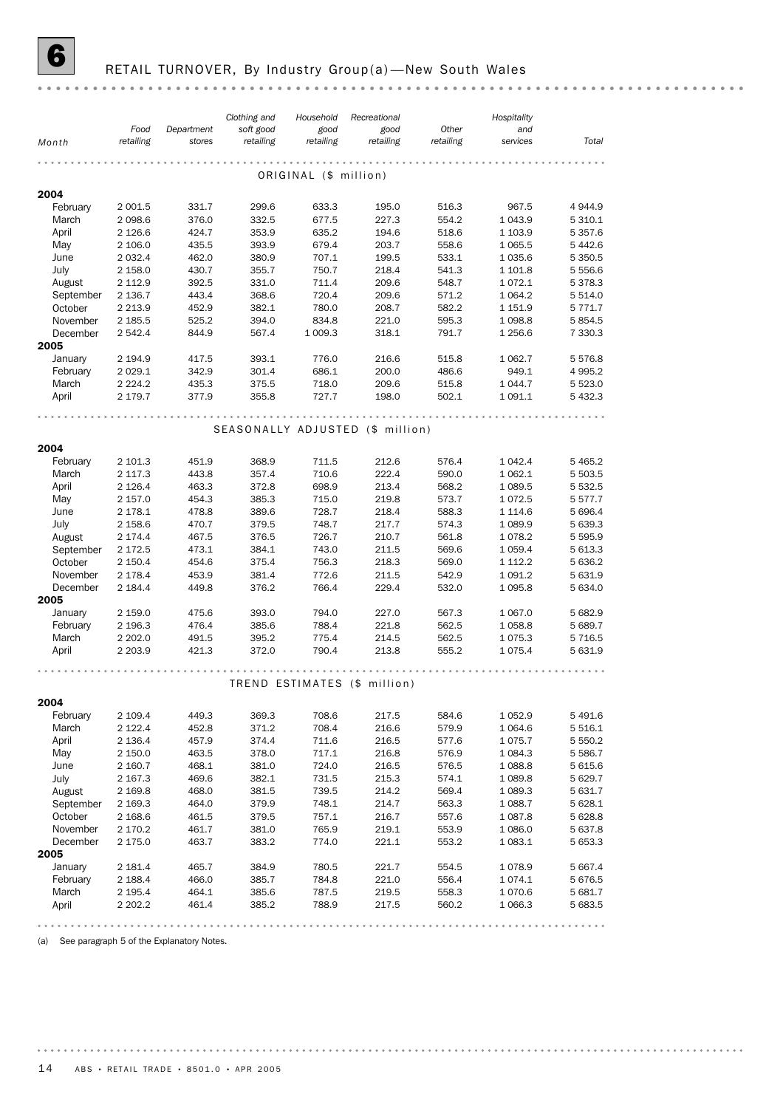## **6** RETAIL TURNOVER, By Industry Group(a)—New South Wales

|                     |                       |                      | Clothing and           | Household             | Recreational                     |                    | Hospitality           |                        |
|---------------------|-----------------------|----------------------|------------------------|-----------------------|----------------------------------|--------------------|-----------------------|------------------------|
| Month               | Food<br>retailing     | Department<br>stores | soft good<br>retailing | good<br>retailing     | good<br>retailing                | Other<br>retailing | and<br>services       | Total                  |
|                     |                       |                      |                        |                       |                                  |                    |                       |                        |
|                     |                       |                      |                        | ORIGINAL (\$ million) |                                  |                    |                       |                        |
|                     |                       |                      |                        |                       |                                  |                    |                       |                        |
| 2004                |                       |                      |                        |                       |                                  |                    |                       |                        |
| February<br>March   | 2 0 0 1.5<br>2 0 98.6 | 331.7<br>376.0       | 299.6<br>332.5         | 633.3<br>677.5        | 195.0<br>227.3                   | 516.3<br>554.2     | 967.5<br>1 0 4 3.9    | 4944.9<br>5 310.1      |
| April               | 2 1 2 6.6             | 424.7                | 353.9                  | 635.2                 | 194.6                            | 518.6              | 1 1 0 3.9             | 5 3 5 7 . 6            |
| May                 | 2 106.0               | 435.5                | 393.9                  | 679.4                 | 203.7                            | 558.6              | 1 0 6 5.5             | 5 442.6                |
| June                | 2 0 3 2.4             | 462.0                | 380.9                  | 707.1                 | 199.5                            | 533.1              | 1 0 3 5.6             | 5 3 5 0.5              |
| July                | 2 158.0               | 430.7                | 355.7                  | 750.7                 | 218.4                            | 541.3              | 1 101.8               | 5 5 5 6.6              |
| August              | 2 112.9               | 392.5                | 331.0                  | 711.4                 | 209.6                            | 548.7              | 1072.1                | 5 378.3                |
| September           | 2 136.7               | 443.4                | 368.6                  | 720.4                 | 209.6                            | 571.2              | 1 0 64.2              | 5 514.0                |
| October             | 2 2 1 3 . 9           | 452.9                | 382.1                  | 780.0                 | 208.7                            | 582.2              | 1 151.9               | 5 771.7                |
| November            | 2 185.5               | 525.2                | 394.0                  | 834.8                 | 221.0                            | 595.3              | 1 0 98.8              | 5 8 5 4.5              |
| December            | 2 542.4               | 844.9                | 567.4                  | 1 009.3               | 318.1                            | 791.7              | 1 256.6               | 7 330.3                |
| 2005                |                       |                      |                        |                       |                                  |                    |                       |                        |
| January             | 2 194.9               | 417.5                | 393.1                  | 776.0                 | 216.6                            | 515.8              | 1 0 6 2.7             | 5 576.8                |
| February            | 2 0 2 9 . 1           | 342.9                | 301.4                  | 686.1                 | 200.0                            | 486.6              | 949.1                 | 4 9 9 5.2              |
| March               | 2 2 2 4 . 2           | 435.3                | 375.5                  | 718.0                 | 209.6                            | 515.8              | 1 044.7               | 5 5 2 3.0              |
| April               | 2 179.7               | 377.9                | 355.8                  | 727.7                 | 198.0                            | 502.1              | 1 0 9 1 . 1           | 5 432.3                |
|                     |                       |                      |                        |                       |                                  |                    |                       |                        |
|                     |                       |                      |                        |                       | SEASONALLY ADJUSTED (\$ million) |                    |                       |                        |
|                     |                       |                      |                        |                       |                                  |                    |                       |                        |
| 2004                |                       |                      |                        |                       |                                  |                    |                       |                        |
| February            | 2 101.3               | 451.9                | 368.9                  | 711.5                 | 212.6                            | 576.4              | 1 0 4 2.4             | 5 4 6 5.2              |
| March               | 2 117.3               | 443.8                | 357.4                  | 710.6                 | 222.4                            | 590.0              | 1 0 6 2.1             | 5 503.5                |
| April               | 2 1 2 6.4             | 463.3                | 372.8                  | 698.9                 | 213.4                            | 568.2              | 1 0 8 9.5             | 5 532.5                |
| May                 | 2 157.0<br>2 178.1    | 454.3<br>478.8       | 385.3<br>389.6         | 715.0<br>728.7        | 219.8<br>218.4                   | 573.7<br>588.3     | 1072.5<br>1 1 1 4 . 6 | 5 5 7 7 . 7<br>5 696.4 |
| June                | 2 158.6               | 470.7                | 379.5                  | 748.7                 | 217.7                            | 574.3              | 1 0 8 9.9             | 5 639.3                |
| July<br>August      | 2 174.4               | 467.5                | 376.5                  | 726.7                 | 210.7                            | 561.8              | 1078.2                | 5 595.9                |
| September           | 2 172.5               | 473.1                | 384.1                  | 743.0                 | 211.5                            | 569.6              | 1 0 5 9.4             | 5 613.3                |
| October             | 2 150.4               | 454.6                | 375.4                  | 756.3                 | 218.3                            | 569.0              | 1 112.2               | 5 636.2                |
| November            | 2 178.4               | 453.9                | 381.4                  | 772.6                 | 211.5                            | 542.9              | 1 0 9 1.2             | 5 631.9                |
| December            | 2 184.4               | 449.8                | 376.2                  | 766.4                 | 229.4                            | 532.0              | 1 0 9 5.8             | 5 634.0                |
| 2005                |                       |                      |                        |                       |                                  |                    |                       |                        |
| January             | 2 159.0               | 475.6                | 393.0                  | 794.0                 | 227.0                            | 567.3              | 1 0 6 7 .0            | 5 682.9                |
| February            | 2 196.3               | 476.4                | 385.6                  | 788.4                 | 221.8                            | 562.5              | 1058.8                | 5 689.7                |
| March               | 2 202.0               | 491.5                | 395.2                  | 775.4                 | 214.5                            | 562.5              | 1075.3                | 5 7 1 6.5              |
| April               | 2 2 0 3 .9            | 421.3                | 372.0                  | 790.4                 | 213.8                            | 555.2              | 1075.4                | 5 631.9                |
|                     |                       |                      |                        |                       |                                  |                    |                       |                        |
|                     |                       |                      |                        |                       | TREND ESTIMATES (\$ million)     |                    |                       |                        |
|                     |                       |                      |                        |                       |                                  |                    |                       |                        |
| 2004                |                       |                      |                        |                       |                                  |                    |                       |                        |
| February            | 2 109.4               | 449.3                | 369.3                  | 708.6                 | 217.5                            | 584.6              | 1052.9                | 5491.6                 |
| March               | 2 122.4               | 452.8                | 371.2                  | 708.4                 | 216.6                            | 579.9              | 1 0 64.6              | 5 516.1                |
| April               | 2 136.4               | 457.9                | 374.4                  | 711.6                 | 216.5                            | 577.6              | 1075.7                | 5 550.2                |
| May                 | 2 150.0               | 463.5                | 378.0                  | 717.1                 | 216.8                            | 576.9              | 1 0 8 4 . 3           | 5 5 8 6.7              |
| June                | 2 160.7               | 468.1                | 381.0                  | 724.0                 | 216.5                            | 576.5              | 1088.8                | 5 615.6                |
| July                | 2 167.3               | 469.6                | 382.1                  | 731.5                 | 215.3                            | 574.1              | 1089.8                | 5 629.7                |
| August<br>September | 2 169.8               | 468.0<br>464.0       | 381.5<br>379.9         | 739.5<br>748.1        | 214.2<br>214.7                   | 569.4<br>563.3     | 1 089.3<br>1 0 88.7   | 5 631.7<br>5 628.1     |
| October             | 2 169.3<br>2 168.6    | 461.5                | 379.5                  | 757.1                 | 216.7                            | 557.6              | 1 0 8 7 .8            | 5 628.8                |
| November            | 2 170.2               | 461.7                | 381.0                  | 765.9                 | 219.1                            | 553.9              | 1 0 8 6.0             | 5 637.8                |
| December            | 2 175.0               | 463.7                | 383.2                  | 774.0                 | 221.1                            | 553.2              | 1 083.1               | 5 653.3                |
| 2005                |                       |                      |                        |                       |                                  |                    |                       |                        |
| January             | 2 181.4               | 465.7                | 384.9                  | 780.5                 | 221.7                            | 554.5              | 1078.9                | 5 667.4                |
| February            | 2 188.4               | 466.0                | 385.7                  | 784.8                 | 221.0                            | 556.4              | 1074.1                | 5 676.5                |
| March               | 2 195.4               | 464.1                | 385.6                  | 787.5                 | 219.5                            | 558.3              | 1070.6                | 5 681.7                |
| April               | 2 202.2               | 461.4                | 385.2                  | 788.9                 | 217.5                            | 560.2              | 1066.3                | 5 683.5                |
|                     |                       |                      |                        |                       |                                  |                    |                       |                        |

(a) See paragraph 5 of the Explanatory Notes.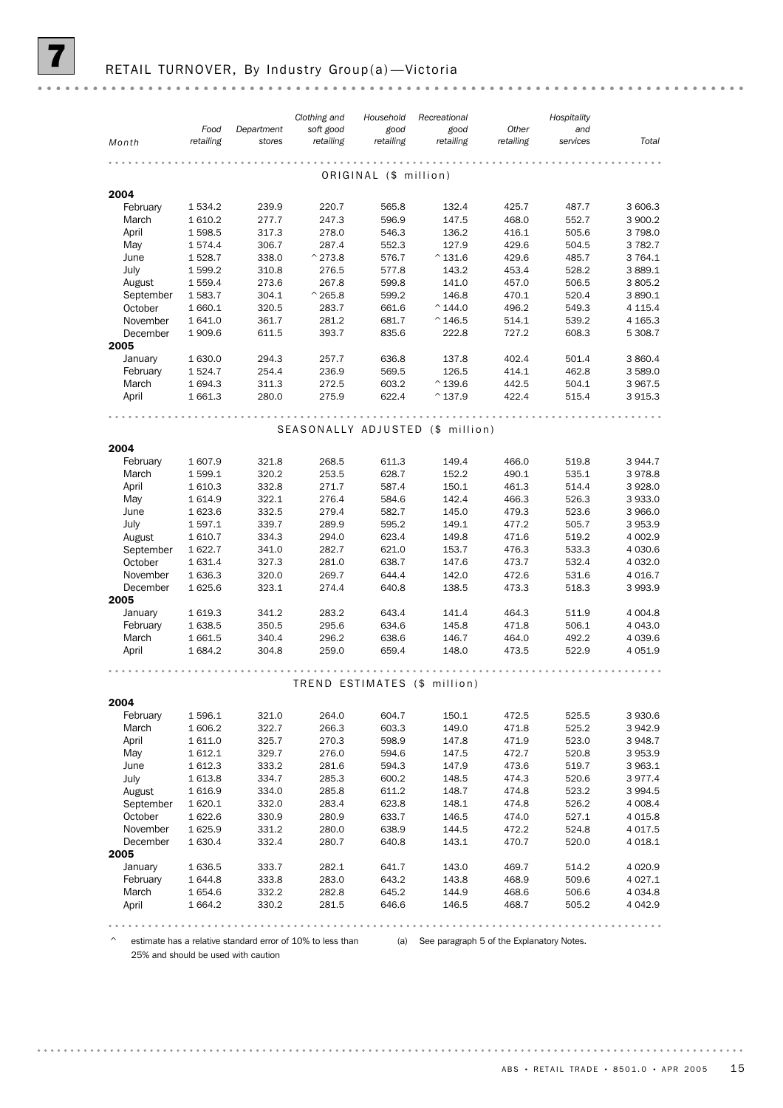|                   |                    |                      | Clothing and                     | Household             | Recreational      |                    | Hospitality     |                         |
|-------------------|--------------------|----------------------|----------------------------------|-----------------------|-------------------|--------------------|-----------------|-------------------------|
| Month             | Food<br>retailing  | Department<br>stores | soft good<br>retailing           | good<br>retailing     | good<br>retailing | Other<br>retailing | and<br>services | Total                   |
|                   |                    |                      |                                  |                       |                   |                    |                 |                         |
|                   |                    |                      |                                  | ORIGINAL (\$ million) |                   |                    |                 |                         |
|                   |                    |                      |                                  |                       |                   |                    |                 |                         |
| 2004              |                    |                      |                                  |                       |                   |                    |                 |                         |
| February          | 1 534.2            | 239.9                | 220.7                            | 565.8                 | 132.4             | 425.7              | 487.7           | 3 606.3                 |
| March<br>April    | 1610.2<br>1598.5   | 277.7<br>317.3       | 247.3<br>278.0                   | 596.9<br>546.3        | 147.5<br>136.2    | 468.0<br>416.1     | 552.7<br>505.6  | 3 900.2<br>3798.0       |
| May               | 1574.4             | 306.7                | 287.4                            | 552.3                 | 127.9             | 429.6              | 504.5           | 3 7 8 2.7               |
| June              | 1528.7             | 338.0                | $^{\wedge}$ 273.8                | 576.7                 | $^{\circ}$ 131.6  | 429.6              | 485.7           | 3 7 64.1                |
| July              | 1 599.2            | 310.8                | 276.5                            | 577.8                 | 143.2             | 453.4              | 528.2           | 3889.1                  |
| August            | 1 559.4            | 273.6                | 267.8                            | 599.8                 | 141.0             | 457.0              | 506.5           | 3 805.2                 |
| September         | 1583.7             | 304.1                | $^{\wedge}$ 265.8                | 599.2                 | 146.8             | 470.1              | 520.4           | 3890.1                  |
| October           | 1 660.1            | 320.5                | 283.7                            | 661.6                 | $^{\circ}$ 144.0  | 496.2              | 549.3           | 4 1 1 5 . 4             |
| November          | 1 641.0            | 361.7                | 281.2                            | 681.7                 | $^{\circ}$ 146.5  | 514.1              | 539.2           | 4 1 65.3                |
| December          | 1909.6             | 611.5                | 393.7                            | 835.6                 | 222.8             | 727.2              | 608.3           | 5 308.7                 |
| 2005              |                    |                      |                                  |                       |                   |                    |                 |                         |
| January           | 1 630.0            | 294.3                | 257.7                            | 636.8                 | 137.8             | 402.4              | 501.4           | 3 860.4                 |
| February          | 1524.7             | 254.4                | 236.9                            | 569.5                 | 126.5             | 414.1              | 462.8           | 3 589.0                 |
| March             | 1 694.3            | 311.3                | 272.5                            | 603.2                 | $^{\wedge}$ 139.6 | 442.5              | 504.1           | 3 967.5                 |
| April             | 1661.3             | 280.0                | 275.9                            | 622.4                 | $^{\wedge}$ 137.9 | 422.4              | 515.4           | 3915.3                  |
|                   |                    |                      |                                  |                       |                   |                    |                 |                         |
|                   |                    |                      | SEASONALLY ADJUSTED (\$ million) |                       |                   |                    |                 |                         |
|                   |                    |                      |                                  |                       |                   |                    |                 |                         |
| 2004              |                    | 321.8                |                                  | 611.3                 |                   | 466.0              |                 | 3 944.7                 |
| February<br>March | 1 607.9<br>1 599.1 | 320.2                | 268.5<br>253.5                   | 628.7                 | 149.4<br>152.2    | 490.1              | 519.8<br>535.1  | 3978.8                  |
| April             | 1 610.3            | 332.8                | 271.7                            | 587.4                 | 150.1             | 461.3              | 514.4           | 3928.0                  |
| May               | 1614.9             | 322.1                | 276.4                            | 584.6                 | 142.4             | 466.3              | 526.3           | 3933.0                  |
| June              | 1 623.6            | 332.5                | 279.4                            | 582.7                 | 145.0             | 479.3              | 523.6           | 3 966.0                 |
| July              | 1 597.1            | 339.7                | 289.9                            | 595.2                 | 149.1             | 477.2              | 505.7           | 3953.9                  |
| August            | 1610.7             | 334.3                | 294.0                            | 623.4                 | 149.8             | 471.6              | 519.2           | 4 002.9                 |
| September         | 1622.7             | 341.0                | 282.7                            | 621.0                 | 153.7             | 476.3              | 533.3           | 4 0 3 0.6               |
| October           | 1631.4             | 327.3                | 281.0                            | 638.7                 | 147.6             | 473.7              | 532.4           | 4 0 3 2.0               |
| November          | 1 636.3            | 320.0                | 269.7                            | 644.4                 | 142.0             | 472.6              | 531.6           | 4 0 16.7                |
| December          | 1 625.6            | 323.1                | 274.4                            | 640.8                 | 138.5             | 473.3              | 518.3           | 3993.9                  |
| 2005              |                    |                      |                                  |                       |                   |                    |                 |                         |
| January           | 1619.3             | 341.2                | 283.2                            | 643.4                 | 141.4             | 464.3              | 511.9           | 4 0 0 4.8               |
| February          | 1 638.5            | 350.5                | 295.6                            | 634.6                 | 145.8             | 471.8              | 506.1           | 4 0 4 3 .0              |
| March             | 1661.5             | 340.4                | 296.2                            | 638.6                 | 146.7             | 464.0              | 492.2           | 4 0 3 9.6               |
| April             | 1684.2             | 304.8                | 259.0                            | 659.4                 | 148.0             | 473.5              | 522.9           | 4 0 5 1.9               |
|                   |                    |                      |                                  |                       |                   |                    |                 |                         |
|                   |                    |                      | TREND ESTIMATES (\$ million)     |                       |                   |                    |                 |                         |
| 2004              |                    |                      |                                  |                       |                   |                    |                 |                         |
| February          | 1596.1             | 321.0                | 264.0                            | 604.7                 | 150.1             | 472.5              | 525.5           | 3 930.6                 |
| March             | 1 606.2            | 322.7                | 266.3                            | 603.3                 | 149.0             | 471.8              | 525.2           | 3942.9                  |
| April             | 1 611.0            | 325.7                | 270.3                            | 598.9                 | 147.8             | 471.9              | 523.0           | 3948.7                  |
| May               | 1 612.1            | 329.7                | 276.0                            | 594.6                 | 147.5             | 472.7              | 520.8           | 3953.9                  |
| June              | 1612.3             | 333.2                | 281.6                            | 594.3                 | 147.9             | 473.6              | 519.7           | 3 963.1                 |
| July              | 1613.8             | 334.7                | 285.3                            | 600.2                 | 148.5             | 474.3              | 520.6           | 3977.4                  |
| August            | 1 616.9            | 334.0                | 285.8                            | 611.2                 | 148.7             | 474.8              | 523.2           | 3 9 9 4.5               |
| September         | 1620.1             | 332.0                | 283.4                            | 623.8                 | 148.1             | 474.8              | 526.2           | 4 0 0 8.4               |
| October           | 1622.6             | 330.9                | 280.9                            | 633.7                 | 146.5             | 474.0              | 527.1           | 4 0 1 5.8               |
| November          | 1625.9             | 331.2                | 280.0                            | 638.9                 | 144.5             | 472.2              | 524.8           | 4 0 1 7 .5              |
| December          | 1630.4             | 332.4                | 280.7                            | 640.8                 | 143.1             | 470.7              | 520.0           | 4 0 18.1                |
| 2005              |                    |                      |                                  |                       |                   |                    |                 |                         |
| January           | 1636.5             | 333.7                | 282.1                            | 641.7                 | 143.0             | 469.7              | 514.2           | 4 0 20.9                |
| February          | 1 644.8            | 333.8                | 283.0                            | 643.2                 | 143.8             | 468.9              | 509.6           | 4 0 27.1                |
| March             | 1 654.6            | 332.2<br>330.2       | 282.8<br>281.5                   | 645.2<br>646.6        | 144.9             | 468.6<br>468.7     | 506.6           | 4 0 3 4 .8<br>4 0 4 2.9 |
| April             | 1 664.2            |                      |                                  |                       | 146.5             |                    | 505.2           |                         |

^ estimate has a relative standard error of 10% to less than (a) See paragraph 5 of the Explanatory Notes.

25% and should be used with caution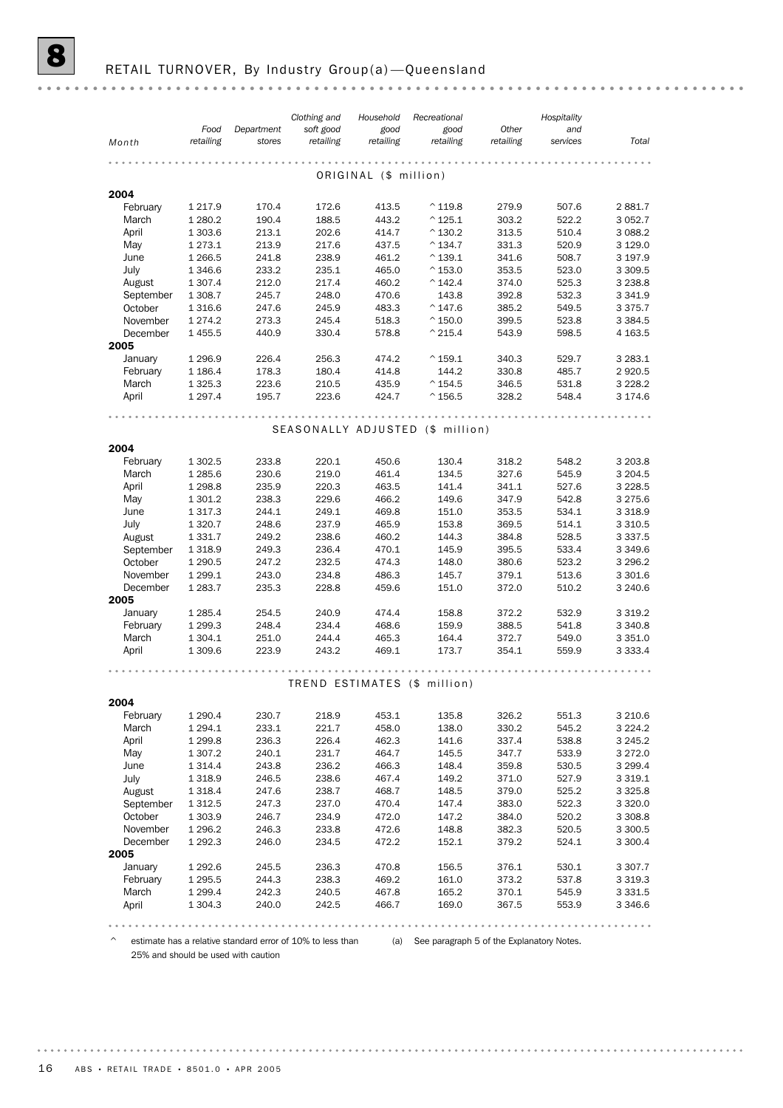|                  | Food        | Department | Clothing and<br>soft good | Household<br>good     | Recreational<br>good             | Other     | Hospitality<br>and |             |
|------------------|-------------|------------|---------------------------|-----------------------|----------------------------------|-----------|--------------------|-------------|
| Month            | retailing   | stores     | retailing                 | retailing             | retailing                        | retailing | services           | Total       |
|                  |             |            |                           |                       |                                  |           |                    |             |
|                  |             |            |                           | ORIGINAL (\$ million) |                                  |           |                    |             |
| 2004             |             |            |                           |                       |                                  |           |                    |             |
| February         | 1 2 1 7 . 9 | 170.4      | 172.6                     | 413.5                 | $^{\wedge}$ 119.8                | 279.9     | 507.6              | 2881.7      |
| March            | 1 2 8 0.2   | 190.4      | 188.5                     | 443.2                 | $^{\wedge}$ 125.1                | 303.2     | 522.2              | 3 0 5 2.7   |
| April            | 1 303.6     | 213.1      | 202.6                     | 414.7                 | $^{\wedge}$ 130.2                | 313.5     | 510.4              | 3 0 8 8.2   |
| May              | 1 2 7 3 . 1 | 213.9      | 217.6                     | 437.5                 | $^{\circ}$ 134.7                 | 331.3     | 520.9              | 3 1 2 9 . 0 |
| June             | 1 2 6 6.5   | 241.8      | 238.9                     | 461.2                 | $^{\wedge}$ 139.1                | 341.6     | 508.7              | 3 197.9     |
| July             | 1 3 4 6.6   | 233.2      | 235.1                     | 465.0                 | $^{\wedge}$ 153.0                | 353.5     | 523.0              | 3 3 0 9.5   |
| August           | 1 307.4     | 212.0      | 217.4                     | 460.2                 | $^{\wedge}$ 142.4                | 374.0     | 525.3              | 3 2 3 8.8   |
| September        | 1 308.7     | 245.7      | 248.0                     | 470.6                 | 143.8                            | 392.8     | 532.3              | 3 3 4 1.9   |
| October          | 1 3 1 6.6   | 247.6      | 245.9                     | 483.3                 | $^{\wedge}$ 147.6                | 385.2     | 549.5              | 3 3 7 5 . 7 |
| November         | 1 2 7 4 . 2 | 273.3      | 245.4                     | 518.3                 | $^{\wedge}$ 150.0                | 399.5     | 523.8              | 3 3 8 4.5   |
| December<br>2005 | 1 4 5 5.5   | 440.9      | 330.4                     | 578.8                 | $^{\wedge}$ 215.4                | 543.9     | 598.5              | 4 1 6 3.5   |
| January          | 1 2 9 6.9   | 226.4      | 256.3                     | 474.2                 | $^{\wedge}$ 159.1                | 340.3     | 529.7              | 3 2 8 3 . 1 |
| February         | 1 1 86.4    | 178.3      | 180.4                     | 414.8                 | 144.2                            | 330.8     | 485.7              | 2 9 2 0.5   |
| March            | 1 3 2 5 . 3 | 223.6      | 210.5                     | 435.9                 | $^{\wedge}$ 154.5                | 346.5     | 531.8              | 3 2 2 8 . 2 |
| April            | 1 2 9 7 . 4 | 195.7      | 223.6                     | 424.7                 | $^{\wedge}$ 156.5                | 328.2     | 548.4              | 3 174.6     |
|                  |             |            |                           |                       |                                  |           |                    |             |
|                  |             |            |                           |                       | SEASONALLY ADJUSTED (\$ million) |           |                    |             |
| 2004             |             |            |                           |                       |                                  |           |                    |             |
| February         | 1 302.5     | 233.8      | 220.1                     | 450.6                 | 130.4                            | 318.2     | 548.2              | 3 203.8     |
| March            | 1 2 8 5.6   | 230.6      | 219.0                     | 461.4                 | 134.5                            | 327.6     | 545.9              | 3 204.5     |
| April            | 1 2 9 8.8   | 235.9      | 220.3                     | 463.5                 | 141.4                            | 341.1     | 527.6              | 3 2 2 8.5   |
| May              | 1 301.2     | 238.3      | 229.6                     | 466.2                 | 149.6                            | 347.9     | 542.8              | 3 2 7 5 . 6 |
| June             | 1 3 1 7 . 3 | 244.1      | 249.1                     | 469.8                 | 151.0                            | 353.5     | 534.1              | 3 3 1 8 .9  |
| July             | 1 3 2 0.7   | 248.6      | 237.9                     | 465.9                 | 153.8                            | 369.5     | 514.1              | 3 3 1 0.5   |
| August           | 1 3 3 1 . 7 | 249.2      | 238.6                     | 460.2                 | 144.3                            | 384.8     | 528.5              | 3 3 3 7 .5  |
| September        | 1 3 1 8.9   | 249.3      | 236.4                     | 470.1                 | 145.9                            | 395.5     | 533.4              | 3 3 4 9.6   |
| October          | 1 2 9 0.5   | 247.2      | 232.5                     | 474.3                 | 148.0                            | 380.6     | 523.2              | 3 2 9 6.2   |
| November         | 1 2 9 9.1   | 243.0      | 234.8                     | 486.3                 | 145.7                            | 379.1     | 513.6              | 3 301.6     |
| December         | 1 2 8 3.7   | 235.3      | 228.8                     | 459.6                 | 151.0                            | 372.0     | 510.2              | 3 2 4 0.6   |
| 2005             |             |            |                           |                       |                                  |           |                    |             |
| January          | 1 2 8 5.4   | 254.5      | 240.9                     | 474.4                 | 158.8                            | 372.2     | 532.9              | 3 3 1 9 . 2 |
| February         | 1 299.3     | 248.4      | 234.4                     | 468.6                 | 159.9                            | 388.5     | 541.8              | 3 3 4 0.8   |
| March            | 1 304.1     | 251.0      | 244.4                     | 465.3                 | 164.4                            | 372.7     | 549.0              | 3 3 5 1.0   |
| April            | 1 309.6     | 223.9      | 243.2                     | 469.1                 | 173.7                            | 354.1     | 559.9              | 3 3 3 3 . 4 |
|                  |             |            |                           |                       |                                  |           |                    |             |
|                  |             |            |                           |                       | TREND ESTIMATES (\$ million)     |           |                    |             |
| 2004             |             |            |                           |                       |                                  |           |                    |             |
| February         | 1 2 9 0.4   | 230.7      | 218.9                     | 453.1                 | 135.8                            | 326.2     | 551.3              | 3 2 1 0.6   |
| March            | 1 2 9 4 . 1 | 233.1      | 221.7                     | 458.0                 | 138.0                            | 330.2     | 545.2              | 3 2 2 4 . 2 |
| April            | 1 2 9 9.8   | 236.3      | 226.4                     | 462.3                 | 141.6                            | 337.4     | 538.8              | 3 2 4 5 . 2 |
| May              | 1 307.2     | 240.1      | 231.7                     | 464.7                 | 145.5                            | 347.7     | 533.9              | 3 2 7 2.0   |
| June             | 1 3 1 4 .4  | 243.8      | 236.2                     | 466.3                 | 148.4                            | 359.8     | 530.5              | 3 2 9 9.4   |
| July             | 1 3 1 8 .9  | 246.5      | 238.6                     | 467.4                 | 149.2                            | 371.0     | 527.9              | 3 3 1 9 . 1 |
| August           | 1 3 1 8 . 4 | 247.6      | 238.7                     | 468.7                 | 148.5                            | 379.0     | 525.2              | 3 3 2 5.8   |
| September        | 1 312.5     | 247.3      | 237.0                     | 470.4                 | 147.4                            | 383.0     | 522.3              | 3 3 2 0.0   |
| October          | 1 3 0 3.9   | 246.7      | 234.9                     | 472.0                 | 147.2                            | 384.0     | 520.2              | 3 3 0 8.8   |
| November         | 1 2 9 6.2   | 246.3      | 233.8                     | 472.6                 | 148.8                            | 382.3     | 520.5              | 3 300.5     |

^ estimate has a relative standard error of 10% to less than (a) See paragraph 5 of the Explanatory Notes.

April 1 304.3 240.0 242.5 466.7 169.0 367.5 553.9 3 346.6 March 1 299.4 242.3 240.5 467.8 165.2 370.1 545.9 3 331.5 February 1 295.5 244.3 238.3 469.2 161.0 373.2 537.8 3 319.3 January 1 292.6 245.5 236.3 470.8 156.5 376.1 530.1 3 307.7

December 1 292.3 246.0 234.5 472.2 152.1 379.2 524.1 3 300.4

25% and should be used with caution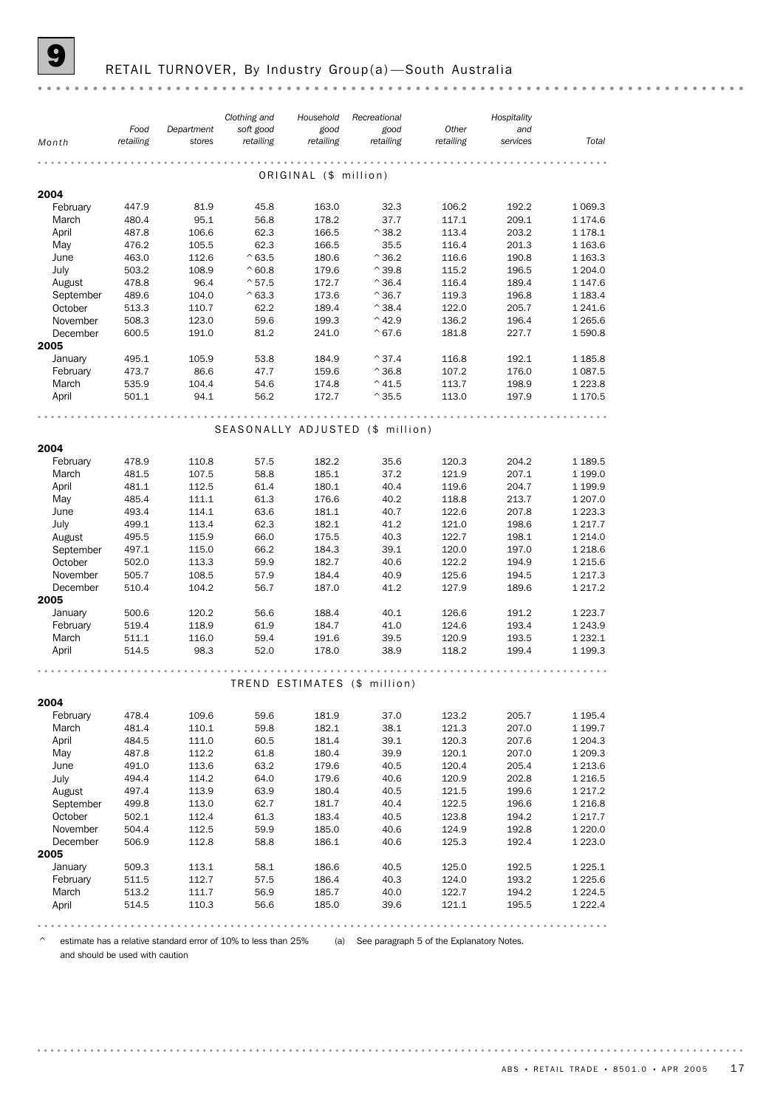#### RETAIL TURNOVER, By Industry Group(a)-South Australia

*Clothing and Hospitality Recreational Household Food Other Department soft good good good and Month retailing retailing retailing retailing retailing stores services Total* . . . . . . . . . . . . . . . . . . . . ORIGINAL (\$ million) 2004<br>February February 447.9 81.9 45.8 163.0 32.3 106.2 192.2 1 069.3 March 480.4 95.1 56.8 178.2 37.7 117.1 209.1 1 174.6 April 487.8 106.6 62.3 166.5 ^38.2 113.4 203.2 1 178.1 May 476.2 105.5 62.3 166.5 35.5 116.4 201.3 1 163.6 June 463.0 112.6 ^63.5 180.6 ^36.2 116.6 190.8 1 163.3 July 503.2 108.9 ^60.8 179.6 ^39.8 115.2 196.5 1 204.0 August 478.8 96.4 ^57.5 172.7 ^36.4 116.4 189.4 1 147.6 September 489.6 104.0 ^63.3 173.6 ^36.7 119.3 196.8 1 183.4 October 513.3 110.7 62.2 189.4 ^38.4 122.0 205.7 1 241.6 November 508.3 123.0 59.6 199.3 ^42.9 136.2 196.4 1 265.6 December 600.5 191.0 81.2 241.0 ^67.6 181.8 227.7 1 590.8 2005 January 495.1 105.9 53.8 184.9 <sup>2</sup> 37.4 116.8 192.1 1 185.8<br>
February 473.7 86.6 47.7 159.6 <sup>2</sup> 36.8 107.2 176.0 1 087.5 February 473.7 86.6 47.7 159.6 ^36.8 107.2 176.0 1 087.5 March 535.9 104.4 54.6 174.8 ^41.5 113.7 198.9 1 223.8 April 501.1 94.1 56.2 172.7 ^35.5 113.0 197.9 1 170.5 SEASONALLY ADJUSTED (\$ million) 2004 February 478.9 110.8 57.5 182.2 35.6 120.3 204.2 1 189.5 March 481.5 107.5 58.8 185.1 37.2 121.9 207.1 1 199.0 April 481.1 112.5 61.4 180.1 40.4 119.6 204.7 1 199.9 May 485.4 111.1 61.3 176.6 40.2 118.8 213.7 1 207.0 June 493.4 114.1 63.6 181.1 40.7 122.6 207.8 1 223.3 July 499.1 113.4 62.3 182.1 41.2 121.0 198.6 1 217.7 August 495.5 115.9 66.0 175.5 40.3 122.7 198.1 1 214.0 September 497.1 115.0 66.2 184.3 39.1 120.0 197.0 1 218.6<br>
October 502.0 113.3 59.9 182.7 40.6 122.2 194.9 1 215.6 October 502.0 113.3 59.9 182.7 40.6 122.2 194.9 1 215.6 December 510.4 104.2 56.7 187.0 41.2 127.9 189.6 1 217.2 November 505.7 108.5 57.9 184.4 40.9 125.6 194.5 1 217.3 2005 January 500.6 120.2 56.6 188.4 40.1 126.6 191.2 1 223.7 February 519.4 118.9 61.9 184.7 41.0 124.6 193.4 1 243.9 March 511.1 116.0 59.4 191.6 39.5 120.9 193.5 1 232.1 April 514.5 98.3 52.0 178.0 38.9 118.2 199.4 1 199.3 TREND ESTIMATES (\$ million) 2004 February 478.4 109.6 59.6 181.9 37.0 123.2 205.7 1 195.4 March 481.4 110.1 59.8 182.1 38.1 121.3 207.0 1 199.7 April 484.5 111.0 60.5 181.4 39.1 120.3 207.6 1 204.3 May 487.8 112.2 61.8 180.4 39.9 120.1 207.0 1 209.3 June 491.0 113.6 63.2 179.6 40.5 120.4 205.4 1 213.6 July 494.4 114.2 64.0 179.6 40.6 120.9 202.8 1 216.5 August 497.4 113.9 63.9 180.4 40.5 121.5 199.6 1 217.2 September 499.8 113.0 62.7 181.7 40.4 122.5 196.6 1 216.8 October 502.1 112.4 61.3 183.4 40.5 123.8 194.2 1 217.7 November 504.4 112.5 59.9 185.0 40.6 124.9 192.8 1 220.0 December 506.9 112.8 58.8 186.1 40.6 125.3 192.4 1 223.0 2005 January 509.3 113.1 58.1 186.6 40.5 125.0 192.5 1 225.1 February 511.5 112.7 57.5 186.4 40.3 124.0 193.2 1 225.6 March 513.2 111.7 56.9 185.7 40.0 122.7 194.2 1 224.5 April 514.5 110.3 56.6 185.0 39.6 121.1 195.5 1 222.4 

estimate has a relative standard error of 10% to less than 25% (a) See paragraph 5 of the Explanatory Notes.

and should be used with caution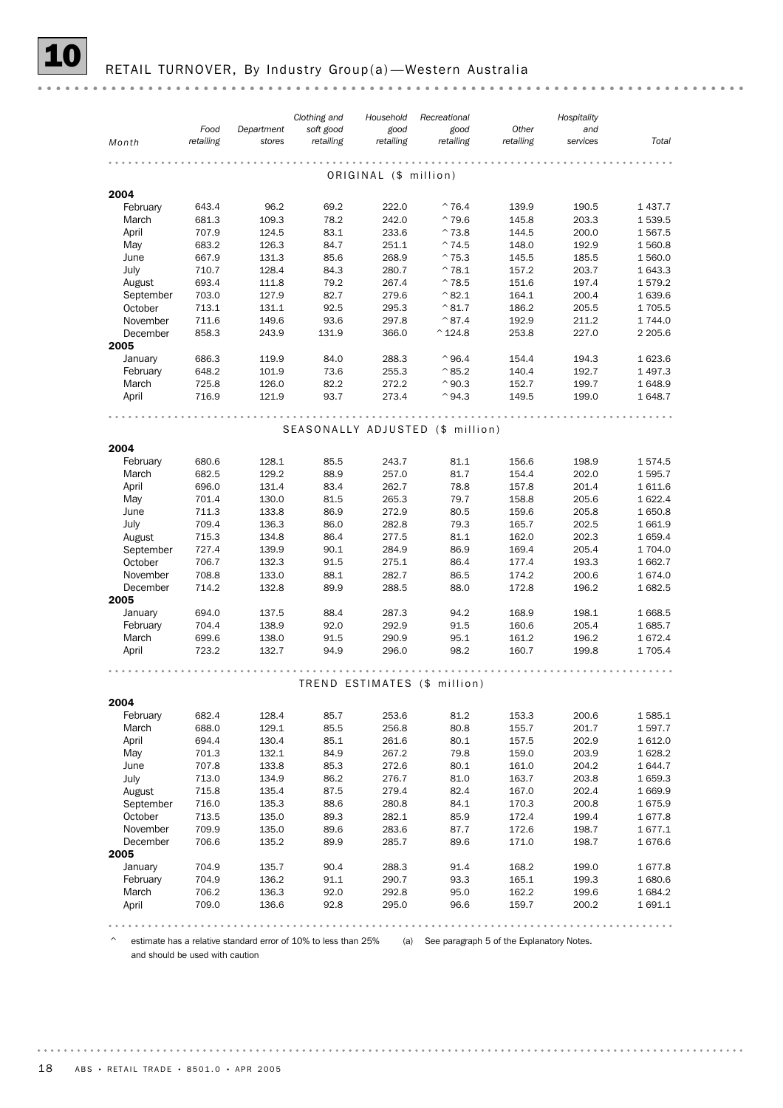## RETAIL TURNOVER, By Industry Group(a) - Western Australia

|                  | Clothing and |            | Household | Recreational          |                                  | Hospitality |          |             |
|------------------|--------------|------------|-----------|-----------------------|----------------------------------|-------------|----------|-------------|
|                  | Food         | Department | soft good | good                  | good                             | Other       | and      |             |
| Month            | retailing    | stores     | retailing | retailing             | retailing                        | retailing   | services | Total       |
|                  |              |            |           |                       |                                  |             |          |             |
|                  |              |            |           | ORIGINAL (\$ million) |                                  |             |          |             |
| 2004             |              |            |           |                       |                                  |             |          |             |
| February         | 643.4        | 96.2       | 69.2      | 222.0                 | $^{\sim}76.4$                    | 139.9       | 190.5    | 1 4 3 7 . 7 |
| March            | 681.3        | 109.3      | 78.2      | 242.0                 | $^{\sim}$ 79.6                   | 145.8       | 203.3    | 1539.5      |
| April            | 707.9        | 124.5      | 83.1      | 233.6                 | $^{\wedge}73.8$                  | 144.5       | 200.0    | 1567.5      |
| May              | 683.2        | 126.3      | 84.7      | 251.1                 | $^{\sim}$ 74.5                   | 148.0       | 192.9    | 1560.8      |
| June             | 667.9        | 131.3      | 85.6      | 268.9                 | $^{\sim}$ 75.3                   | 145.5       | 185.5    | 1 560.0     |
| July             | 710.7        | 128.4      | 84.3      | 280.7                 | $^{\wedge}78.1$                  | 157.2       | 203.7    | 1 643.3     |
| August           | 693.4        | 111.8      | 79.2      | 267.4                 | $^{\sim}$ 78.5                   | 151.6       | 197.4    | 1579.2      |
| September        | 703.0        | 127.9      | 82.7      | 279.6                 | $^{\wedge}82.1$                  | 164.1       | 200.4    | 1 639.6     |
| October          | 713.1        | 131.1      | 92.5      | 295.3                 | $^{\wedge}81.7$                  | 186.2       | 205.5    | 1705.5      |
| November         | 711.6        | 149.6      | 93.6      | 297.8                 | $^{\wedge}87.4$                  | 192.9       | 211.2    | 1744.0      |
| December<br>2005 | 858.3        | 243.9      | 131.9     | 366.0                 | $^{\wedge}$ 124.8                | 253.8       | 227.0    | 2 2 0 5.6   |
| January          | 686.3        | 119.9      | 84.0      | 288.3                 | $^{\wedge}$ 96.4                 | 154.4       | 194.3    | 1 623.6     |
| February         | 648.2        | 101.9      | 73.6      | 255.3                 | $^{\wedge}85.2$                  | 140.4       | 192.7    | 1 497.3     |
| March            | 725.8        | 126.0      | 82.2      | 272.2                 | $^{\wedge}$ 90.3                 | 152.7       | 199.7    | 1648.9      |
| April            | 716.9        | 121.9      | 93.7      | 273.4                 | $^{\wedge}94.3$                  | 149.5       | 199.0    | 1648.7      |
|                  |              |            |           |                       |                                  |             |          |             |
|                  |              |            |           |                       | SEASONALLY ADJUSTED (\$ million) |             |          |             |
| 2004             |              |            |           |                       |                                  |             |          |             |
| February         | 680.6        | 128.1      | 85.5      | 243.7                 | 81.1                             | 156.6       | 198.9    | 1574.5      |
| March            | 682.5        | 129.2      | 88.9      | 257.0                 | 81.7                             | 154.4       | 202.0    | 1595.7      |
| April            | 696.0        | 131.4      | 83.4      | 262.7                 | 78.8                             | 157.8       | 201.4    | 1611.6      |
| May              | 701.4        | 130.0      | 81.5      | 265.3                 | 79.7                             | 158.8       | 205.6    | 1622.4      |
| June             | 711.3        | 133.8      | 86.9      | 272.9                 | 80.5                             | 159.6       | 205.8    | 1650.8      |
| July             | 709.4        | 136.3      | 86.0      | 282.8                 | 79.3                             | 165.7       | 202.5    | 1661.9      |
| August           | 715.3        | 134.8      | 86.4      | 277.5                 | 81.1                             | 162.0       | 202.3    | 1659.4      |
| September        | 727.4        | 139.9      | 90.1      | 284.9                 | 86.9                             | 169.4       | 205.4    | 1704.0      |
| October          | 706.7        | 132.3      | 91.5      | 275.1                 | 86.4                             | 177.4       | 193.3    | 1 662.7     |
| November         | 708.8        | 133.0      | 88.1      | 282.7                 | 86.5                             | 174.2       | 200.6    | 1674.0      |
| December         | 714.2        | 132.8      | 89.9      | 288.5                 | 88.0                             | 172.8       | 196.2    | 1682.5      |
| 2005             |              |            |           |                       |                                  |             |          |             |
| January          | 694.0        | 137.5      | 88.4      | 287.3                 | 94.2                             | 168.9       | 198.1    | 1 668.5     |
| February         | 704.4        | 138.9      | 92.0      | 292.9                 | 91.5                             | 160.6       | 205.4    | 1685.7      |
| March            | 699.6        | 138.0      | 91.5      | 290.9                 | 95.1                             | 161.2       | 196.2    | 1672.4      |
| April            | 723.2        | 132.7      | 94.9      | 296.0                 | 98.2                             | 160.7       | 199.8    | 1 705.4     |
|                  |              |            |           |                       |                                  |             |          |             |
|                  |              |            |           |                       | TREND ESTIMATES (\$ million)     |             |          |             |
| 2004             |              |            |           |                       |                                  |             |          |             |
| February         | 682.4        | 128.4      | 85.7      | 253.6                 | 81.2                             | 153.3       | 200.6    | 1585.1      |
| March            | 688.0        | 129.1      | 85.5      | 256.8                 | 80.8                             | 155.7       | 201.7    | 1597.7      |
| April            | 694.4        | 130.4      | 85.1      | 261.6                 | 80.1                             | 157.5       | 202.9    | 1612.0      |
| May              | 701.3        | 132.1      | 84.9      | 267.2                 | 79.8                             | 159.0       | 203.9    | 1628.2      |
| June             | 707.8        | 133.8      | 85.3      | 272.6                 | 80.1                             | 161.0       | 204.2    | 1 644.7     |
| July             | 713.0        | 134.9      | 86.2      | 276.7                 | 81.0                             | 163.7       | 203.8    | 1659.3      |
| August           | 715.8        | 135.4      | 87.5      | 279.4                 | 82.4                             | 167.0       | 202.4    | 1 669.9     |
| September        | 716.0        | 135.3      | 88.6      | 280.8                 | 84.1                             | 170.3       | 200.8    | 1675.9      |
| October          | 713.5        | 135.0      | 89.3      | 282.1                 | 85.9                             | 172.4       | 199.4    | 1677.8      |
| November         | 709.9        | 135.0      | 89.6      | 283.6                 | 87.7                             | 172.6       | 198.7    | 1677.1      |
| December         | 706.6        | 135.2      | 89.9      | 285.7                 | 89.6                             | 171.0       | 198.7    | 1676.6      |
| 2005             |              |            |           |                       |                                  |             |          |             |
| January          | 704.9        | 135.7      | 90.4      | 288.3                 | 91.4                             | 168.2       | 199.0    | 1677.8      |
| February         | 704.9        | 136.2      | 91.1      | 290.7                 | 93.3                             | 165.1       | 199.3    | 1680.6      |
| March            | 706.2        | 136.3      | 92.0      | 292.8                 | 95.0                             | 162.2       | 199.6    | 1684.2      |
| April            | 709.0        | 136.6      | 92.8      | 295.0                 | 96.6                             | 159.7       | 200.2    | 1 691.1     |
|                  |              |            |           |                       |                                  |             |          |             |

^ estimate has a relative standard error of 10% to less than 25% (a) See paragraph 5 of the Explanatory Notes. and should be used with caution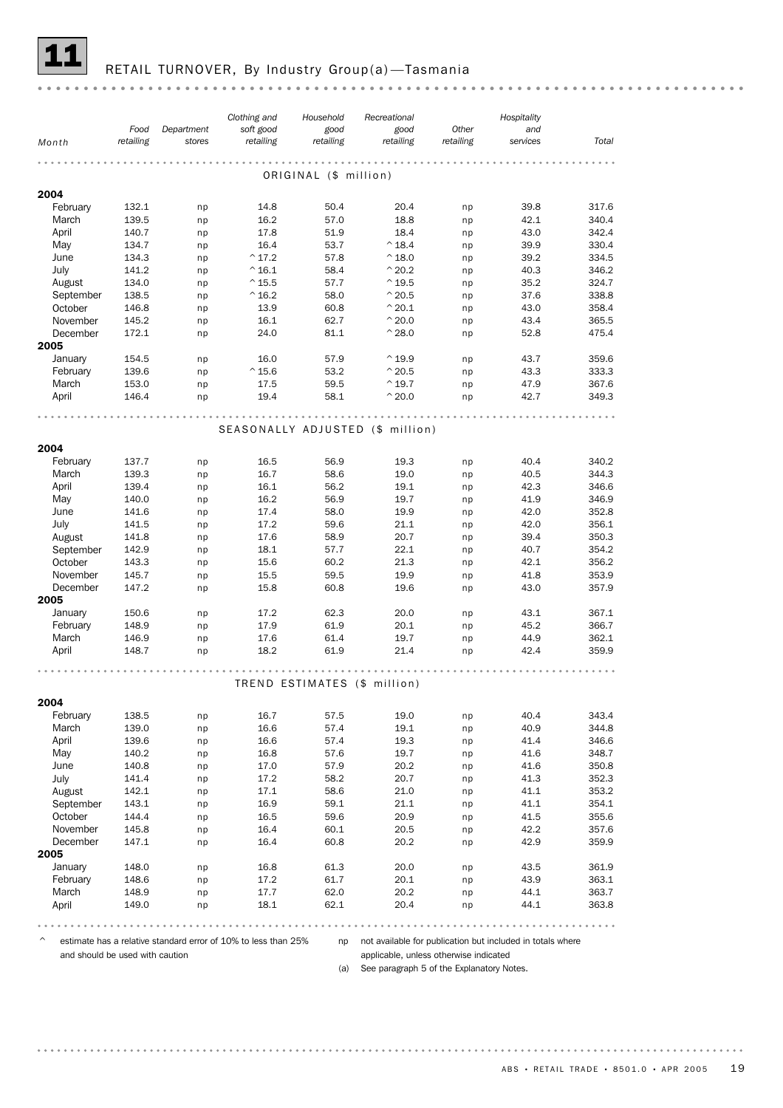

## RETAIL TURNOVER, By Industry Group(a)-Tasmania

|           |                   |                      | Clothing and                     | Household             | Recreational                 |                    | Hospitality     |       |
|-----------|-------------------|----------------------|----------------------------------|-----------------------|------------------------------|--------------------|-----------------|-------|
| Month     | Food<br>retailing | Department<br>stores | soft good<br>retailing           | good<br>retailing     | good<br>retailing            | Other<br>retailing | and<br>services | Total |
|           |                   |                      |                                  |                       |                              |                    |                 |       |
|           |                   |                      |                                  | ORIGINAL (\$ million) |                              |                    |                 |       |
| 2004      |                   |                      |                                  |                       |                              |                    |                 |       |
| February  | 132.1             | np                   | 14.8                             | 50.4                  | 20.4                         | np                 | 39.8            | 317.6 |
| March     | 139.5             | np                   | 16.2                             | 57.0                  | 18.8                         | np                 | 42.1            | 340.4 |
| April     | 140.7             | np                   | 17.8                             | 51.9                  | 18.4                         | np                 | 43.0            | 342.4 |
| May       | 134.7             | np                   | 16.4                             | 53.7                  | $^{\wedge}$ 18.4             | np                 | 39.9            | 330.4 |
| June      | 134.3             | np                   | $^{\wedge}$ 17.2                 | 57.8                  | $^{\wedge}$ 18.0             | np                 | 39.2            | 334.5 |
| July      | 141.2             | np                   | $^{\wedge}$ 16.1                 | 58.4                  | $^{\wedge}$ 20.2             | np                 | 40.3            | 346.2 |
| August    | 134.0             | np                   | $^{\wedge}$ 15.5                 | 57.7                  | $^{\wedge}$ 19.5             | np                 | 35.2            | 324.7 |
| September | 138.5             | np                   | $^{\wedge}$ 16.2                 | 58.0                  | $^{\wedge}$ 20.5             | np                 | 37.6            | 338.8 |
| October   | 146.8             | np                   | 13.9                             | 60.8                  | $^{\wedge}$ 20.1             | np                 | 43.0            | 358.4 |
| November  | 145.2             | np                   | 16.1                             | 62.7                  | $^{\wedge}$ 20.0             | np                 | 43.4            | 365.5 |
| December  | 172.1             | np                   | 24.0                             | 81.1                  | $^{\wedge}$ 28.0             | np                 | 52.8            | 475.4 |
| 2005      |                   |                      |                                  |                       |                              |                    |                 |       |
| January   | 154.5             | np                   | 16.0                             | 57.9                  | $^{\wedge}$ 19.9             | np                 | 43.7            | 359.6 |
| February  | 139.6             | np                   | $^{\wedge}$ 15.6                 | 53.2                  | $^{\wedge}$ 20.5             | np                 | 43.3            | 333.3 |
| March     | 153.0             | np                   | 17.5                             | 59.5                  | $^{\wedge}$ 19.7             | np                 | 47.9            | 367.6 |
| April     | 146.4             | np                   | 19.4                             | 58.1                  | $^{\wedge}$ 20.0             | np                 | 42.7            | 349.3 |
|           |                   |                      |                                  |                       |                              |                    |                 |       |
|           |                   |                      | SEASONALLY ADJUSTED (\$ million) |                       |                              |                    |                 |       |
| 2004      |                   |                      |                                  |                       |                              |                    |                 |       |
| February  | 137.7             | np                   | 16.5                             | 56.9                  | 19.3                         | np                 | 40.4            | 340.2 |
| March     | 139.3             | np                   | 16.7                             | 58.6                  | 19.0                         | np                 | 40.5            | 344.3 |
| April     | 139.4             | np                   | 16.1                             | 56.2                  | 19.1                         | np                 | 42.3            | 346.6 |
| May       | 140.0             | np                   | 16.2                             | 56.9                  | 19.7                         | np                 | 41.9            | 346.9 |
| June      | 141.6             | np                   | 17.4                             | 58.0                  | 19.9                         | np                 | 42.0            | 352.8 |
| July      | 141.5             | np                   | 17.2                             | 59.6                  | 21.1                         | np                 | 42.0            | 356.1 |
| August    | 141.8             | np                   | 17.6                             | 58.9                  | 20.7                         | np                 | 39.4            | 350.3 |
| September | 142.9             | np                   | 18.1                             | 57.7                  | 22.1                         | np                 | 40.7            | 354.2 |
| October   | 143.3             | np                   | 15.6                             | 60.2                  | 21.3                         | np                 | 42.1            | 356.2 |
| November  | 145.7             | np                   | 15.5                             | 59.5                  | 19.9                         | np                 | 41.8            | 353.9 |
| December  | 147.2             | np                   | 15.8                             | 60.8                  | 19.6                         | np                 | 43.0            | 357.9 |
| 2005      |                   |                      |                                  |                       |                              |                    |                 |       |
| January   | 150.6             | np                   | 17.2                             | 62.3                  | 20.0                         | np                 | 43.1            | 367.1 |
| February  | 148.9             | np                   | 17.9                             | 61.9                  | 20.1                         | np                 | 45.2            | 366.7 |
| March     | 146.9             | np                   | 17.6                             | 61.4                  | 19.7                         | np                 | 44.9            | 362.1 |
| April     | 148.7             | np                   | 18.2                             | 61.9                  | 21.4                         | np                 | 42.4            | 359.9 |
|           |                   |                      |                                  |                       |                              |                    |                 |       |
|           |                   |                      |                                  |                       | TREND ESTIMATES (\$ million) |                    |                 |       |
| 2004      |                   |                      |                                  |                       |                              |                    |                 |       |
| February  | 138.5             | np                   | 16.7                             | 57.5                  | 19.0                         | np                 | 40.4            | 343.4 |
| March     | 139.0             | np                   | 16.6                             | 57.4                  | 19.1                         | np                 | 40.9            | 344.8 |
| April     | 139.6             | np                   | 16.6                             | 57.4                  | 19.3                         | np                 | 41.4            | 346.6 |
| May       | 140.2             | np                   | 16.8                             | 57.6                  | 19.7                         | np                 | 41.6            | 348.7 |
| June      | 140.8             | np                   | 17.0                             | 57.9                  | 20.2                         | np                 | 41.6            | 350.8 |
| July      | 141.4             | np                   | 17.2                             | 58.2                  | 20.7                         | np                 | 41.3            | 352.3 |
| August    | 142.1             | np                   | 17.1                             | 58.6                  | 21.0                         | np                 | 41.1            | 353.2 |
| September | 143.1             | np                   | 16.9                             | 59.1                  | 21.1                         | np                 | 41.1            | 354.1 |
| October   | 144.4             | np                   | 16.5                             | 59.6                  | 20.9                         | np                 | 41.5            | 355.6 |
| November  | 145.8             | np                   | 16.4                             | 60.1                  | 20.5                         | np                 | 42.2            | 357.6 |
| December  | 147.1             | np                   | 16.4                             | 60.8                  | 20.2                         | np                 | 42.9            | 359.9 |
| 2005      |                   |                      |                                  |                       |                              |                    |                 |       |
| January   | 148.0             | np                   | 16.8                             | 61.3                  | 20.0                         | np                 | 43.5            | 361.9 |
| February  | 148.6             | np                   | 17.2                             | 61.7                  | 20.1                         | np                 | 43.9            | 363.1 |
| March     | 148.9             | np                   | 17.7                             | 62.0                  | 20.2                         | np                 | 44.1            | 363.7 |
| April     | 149.0             | np                   | 18.1                             | 62.1                  | 20.4                         | np                 | 44.1            | 363.8 |
|           |                   |                      |                                  |                       |                              |                    |                 |       |

 $\degree$  estimate has a relative standard error of 10% to less than 25% and not available for publication but included in totals where and should be used with caution

applicable, unless otherwise indicated

(a) See paragraph 5 of the Explanatory Notes.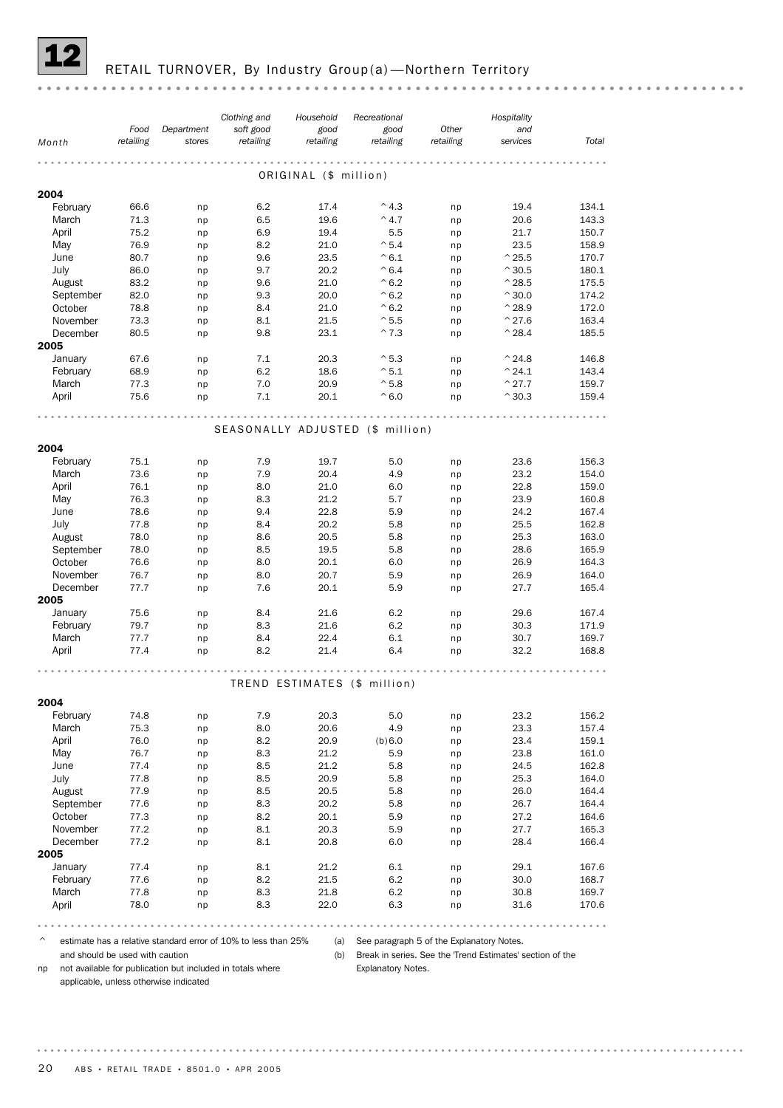

## RETAIL TURNOVER, By Industry Group(a)-Northern Territory

|                   | Food         | Department | Clothing and<br>soft good | Household<br>good     | Recreational<br>good             | Other     | Hospitality<br>and       |                |
|-------------------|--------------|------------|---------------------------|-----------------------|----------------------------------|-----------|--------------------------|----------------|
| Month             | retailing    | stores     | retailing                 | retailing             | retailing                        | retailing | services                 | Total          |
|                   |              |            |                           |                       |                                  |           |                          |                |
|                   |              |            |                           | ORIGINAL (\$ million) |                                  |           |                          |                |
| 2004              |              |            |                           |                       |                                  |           |                          |                |
| February          | 66.6         | np         | 6.2                       | 17.4                  | $^{\wedge}$ 4.3                  | np        | 19.4                     | 134.1          |
| March             | 71.3         | np         | 6.5                       | 19.6                  | $^{\wedge}$ 4.7                  | np        | 20.6                     | 143.3          |
| April             | 75.2         | np         | 6.9                       | 19.4                  | 5.5                              | np        | 21.7                     | 150.7          |
| May               | 76.9<br>80.7 | np         | 8.2                       | 21.0<br>23.5          | $^{\sim}$ 5.4<br>$^{\wedge}6.1$  | np        | 23.5<br>$^{\wedge}$ 25.5 | 158.9          |
| June<br>July      | 86.0         | np         | 9.6<br>9.7                | 20.2                  | $^{\wedge} 6.4$                  | np        | $^{\wedge}30.5$          | 170.7<br>180.1 |
| August            | 83.2         | np<br>np   | 9.6                       | 21.0                  | $^{\wedge}6.2$                   | np<br>np  | $^{\wedge}$ 28.5         | 175.5          |
| September         | 82.0         | np         | 9.3                       | 20.0                  | $^{\wedge}6.2$                   | np        | $^{\wedge}30.0$          | 174.2          |
| October           | 78.8         | np         | 8.4                       | 21.0                  | $^{\wedge}6.2$                   | np        | $^{\wedge}$ 28.9         | 172.0          |
| November          | 73.3         | np         | 8.1                       | 21.5                  | $^{\wedge}5.5$                   | np        | $^{\wedge}$ 27.6         | 163.4          |
| December          | 80.5         | np         | 9.8                       | 23.1                  | $^{\wedge}7.3$                   | np        | $^{\wedge}$ 28.4         | 185.5          |
| 2005              |              |            |                           |                       |                                  |           |                          |                |
| January           | 67.6         | np         | 7.1                       | 20.3                  | $^{\wedge}5.3$                   | np        | $^{\wedge}$ 24.8         | 146.8          |
| February          | 68.9         | np         | 6.2                       | 18.6                  | $^{\wedge}5.1$                   | np        | $^{\wedge}$ 24.1         | 143.4          |
| March             | 77.3         | np         | 7.0                       | 20.9                  | $^{\wedge}$ 5.8                  | np        | $^{\wedge}$ 27.7         | 159.7          |
| April             | 75.6         | np         | 7.1                       | 20.1                  | $^{\wedge}6.0$                   | np        | $^{\wedge}30.3$          | 159.4          |
|                   |              |            |                           |                       |                                  |           |                          |                |
|                   |              |            |                           |                       | SEASONALLY ADJUSTED (\$ million) |           |                          |                |
|                   |              |            |                           |                       |                                  |           |                          |                |
| 2004              |              |            |                           |                       |                                  |           |                          | 156.3          |
| February<br>March | 75.1<br>73.6 | np         | 7.9                       | 19.7<br>20.4          | 5.0<br>4.9                       | np        | 23.6<br>23.2             | 154.0          |
| April             | 76.1         | np<br>np   | 7.9<br>8.0                | 21.0                  | 6.0                              | np<br>np  | 22.8                     | 159.0          |
| May               | 76.3         | np         | 8.3                       | 21.2                  | 5.7                              | np        | 23.9                     | 160.8          |
| June              | 78.6         | np         | 9.4                       | 22.8                  | 5.9                              | np        | 24.2                     | 167.4          |
| July              | 77.8         | np         | 8.4                       | 20.2                  | 5.8                              | np        | 25.5                     | 162.8          |
| August            | 78.0         | np         | 8.6                       | 20.5                  | 5.8                              | np        | 25.3                     | 163.0          |
| September         | 78.0         | np         | 8.5                       | 19.5                  | 5.8                              | np        | 28.6                     | 165.9          |
| October           | 76.6         | np         | 8.0                       | 20.1                  | 6.0                              | np        | 26.9                     | 164.3          |
| November          | 76.7         | np         | 8.0                       | 20.7                  | 5.9                              | np        | 26.9                     | 164.0          |
| December          | 77.7         | np         | 7.6                       | 20.1                  | 5.9                              | np        | 27.7                     | 165.4          |
| 2005              |              |            |                           |                       |                                  |           |                          |                |
| January           | 75.6         | np         | 8.4                       | 21.6                  | 6.2                              | np        | 29.6                     | 167.4          |
| February          | 79.7         | np         | 8.3                       | 21.6                  | 6.2                              | np        | 30.3                     | 171.9          |
| March             | 77.7         | np         | 8.4                       | 22.4                  | 6.1                              | np        | 30.7                     | 169.7          |
| April             | 77.4         | np         | 8.2                       | 21.4                  | 6.4                              | np        | 32.2                     | 168.8          |
|                   |              |            |                           |                       |                                  |           |                          |                |
|                   |              |            |                           |                       | TREND ESTIMATES (\$ million)     |           |                          |                |
| 2004              |              |            |                           |                       |                                  |           |                          |                |
| February          | 74.8         | np         | 7.9                       | 20.3                  | 5.0                              | np        | 23.2                     | 156.2          |
| March             | 75.3         | np         | 8.0                       | 20.6                  | 4.9                              | np        | 23.3                     | 157.4          |
| April             | 76.0         | np         | 8.2                       | 20.9                  | (b) 6.0                          | np        | 23.4                     | 159.1          |
| May               | 76.7         | np         | 8.3                       | 21.2                  | 5.9                              | np        | 23.8                     | 161.0          |
| June              | 77.4         | np         | 8.5                       | 21.2                  | 5.8                              | np        | 24.5                     | 162.8          |
| July              | 77.8         | np         | 8.5                       | 20.9                  | 5.8                              | np        | 25.3                     | 164.0          |
| August            | 77.9         | np         | 8.5                       | 20.5                  | 5.8                              | np        | 26.0                     | 164.4          |
| September         | 77.6         | np         | 8.3                       | 20.2                  | 5.8                              | np        | 26.7                     | 164.4          |
| October           | 77.3         | np         | 8.2                       | 20.1                  | 5.9                              | np        | 27.2                     | 164.6          |
| November          | 77.2         | np         | 8.1                       | 20.3                  | 5.9                              | np        | 27.7                     | 165.3          |
| December          | 77.2         | np         | 8.1                       | 20.8                  | 6.0                              | np        | 28.4                     | 166.4          |
| 2005              |              |            |                           |                       |                                  |           |                          |                |
| January           | 77.4         | np         | 8.1                       | 21.2                  | 6.1                              | np        | 29.1                     | 167.6          |
| February<br>March | 77.6<br>77.8 | np         | 8.2<br>8.3                | 21.5<br>21.8          | 6.2<br>6.2                       | np        | 30.0<br>30.8             | 168.7<br>169.7 |
| April             | 78.0         | np<br>np   | 8.3                       | 22.0                  | 6.3                              | np<br>np  | 31.6                     | 170.6          |
|                   |              |            |                           |                       |                                  |           |                          |                |

 $\degree$  estimate has a relative standard error of 10% to less than 25% (a) See paragraph 5 of the Explanatory Notes.

and should be used with caution

(b) Break in series. See the 'Trend Estimates' section of the<br>
Explanatory Notes. Explanatory Notes.

np not available for publication but included in totals where applicable, unless otherwise indicated

20 ABS • RETAIL TRADE • 8501.0 • APR 2005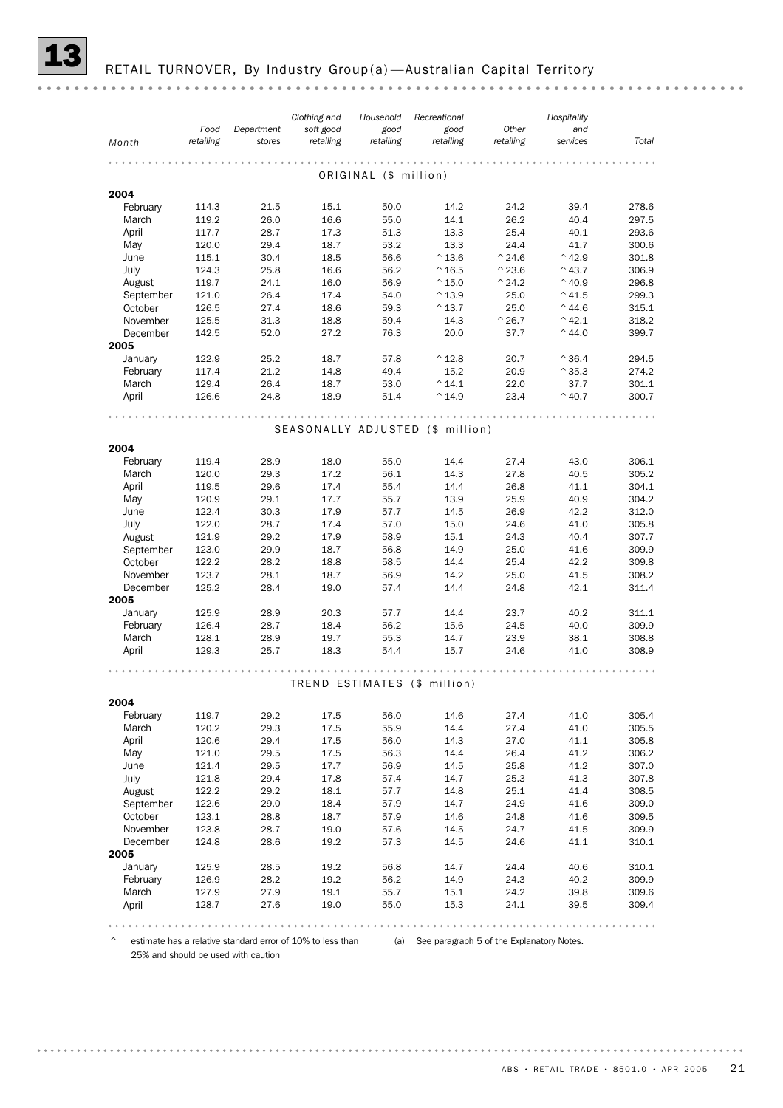RETAIL TURNOVER, By Industry Group(a) - Australian Capital Territory

|           | Food      | Department | Clothing and<br>soft good | Household<br>good          | Recreational<br>good             | Other                 | Hospitality<br>and |       |
|-----------|-----------|------------|---------------------------|----------------------------|----------------------------------|-----------------------|--------------------|-------|
| Month     | retailing | stores     | retailing                 | retailing                  | retailing                        | retailing             | services           | Total |
|           |           |            |                           | .<br>ORIGINAL (\$ million) |                                  | .                     |                    |       |
| 2004      |           |            |                           |                            |                                  |                       |                    |       |
| February  | 114.3     | 21.5       | 15.1                      | 50.0                       | 14.2                             | 24.2                  | 39.4               | 278.6 |
| March     | 119.2     | 26.0       | 16.6                      | 55.0                       | 14.1                             | 26.2                  | 40.4               | 297.5 |
| April     | 117.7     | 28.7       | 17.3                      | 51.3                       | 13.3                             | 25.4                  | 40.1               | 293.6 |
|           |           |            |                           |                            |                                  |                       |                    |       |
| May       | 120.0     | 29.4       | 18.7                      | 53.2                       | 13.3                             | 24.4                  | 41.7               | 300.6 |
| June      | 115.1     | 30.4       | 18.5                      | 56.6                       | $^{\wedge}$ 13.6                 | $^{\wedge}$ 24.6      | $^{\wedge}$ 42.9   | 301.8 |
| July      | 124.3     | 25.8       | 16.6                      | 56.2                       | $^{\wedge}$ 16.5                 | $^{\wedge}$ 23.6      | $^{\wedge}$ 43.7   | 306.9 |
| August    | 119.7     | 24.1       | 16.0                      | 56.9                       | $^{\wedge}$ 15.0                 | $^{\wedge}$ 24.2      | $^{\wedge}$ 40.9   | 296.8 |
| September | 121.0     | 26.4       | 17.4                      | 54.0                       | $^{\wedge}$ 13.9                 | 25.0                  | $^{\wedge}$ 41.5   | 299.3 |
| October   | 126.5     | 27.4       | 18.6                      | 59.3                       | $^{\wedge}$ 13.7                 | 25.0                  | $^{\wedge}$ 44.6   | 315.1 |
| November  | 125.5     | 31.3       | 18.8                      | 59.4                       | 14.3                             | $^{\smallfrown}$ 26.7 | $^{\wedge}$ 42.1   | 318.2 |
| December  | 142.5     | 52.0       | 27.2                      | 76.3                       | 20.0                             | 37.7                  | $^{\wedge}$ 44.0   | 399.7 |
| 2005      |           |            |                           |                            |                                  |                       |                    |       |
| January   | 122.9     | 25.2       | 18.7                      | 57.8                       | $^{\wedge}$ 12.8                 | 20.7                  | $^{\wedge}36.4$    | 294.5 |
| February  | 117.4     | 21.2       | 14.8                      | 49.4                       | 15.2                             | 20.9                  | $^{\wedge}35.3$    | 274.2 |
|           |           |            |                           |                            | $^{\wedge}$ 14.1                 |                       |                    |       |
| March     | 129.4     | 26.4       | 18.7                      | 53.0                       |                                  | 22.0                  | 37.7               | 301.1 |
| April     | 126.6     | 24.8       | 18.9                      | 51.4                       | $^{\smallfrown}$ 14.9            | 23.4                  | $^{\wedge}$ 40.7   | 300.7 |
|           |           |            |                           |                            |                                  |                       |                    |       |
|           |           |            |                           |                            | SEASONALLY ADJUSTED (\$ million) |                       |                    |       |
| 2004      |           |            |                           |                            |                                  |                       |                    |       |
| February  | 119.4     | 28.9       | 18.0                      | 55.0                       | 14.4                             | 27.4                  | 43.0               | 306.1 |
| March     | 120.0     | 29.3       | 17.2                      | 56.1                       | 14.3                             | 27.8                  | 40.5               | 305.2 |
| April     | 119.5     | 29.6       | 17.4                      | 55.4                       | 14.4                             | 26.8                  | 41.1               | 304.1 |
| May       | 120.9     | 29.1       | 17.7                      | 55.7                       | 13.9                             | 25.9                  | 40.9               | 304.2 |
| June      | 122.4     | 30.3       | 17.9                      | 57.7                       | 14.5                             | 26.9                  | 42.2               | 312.0 |
| July      | 122.0     | 28.7       | 17.4                      | 57.0                       | 15.0                             | 24.6                  | 41.0               | 305.8 |
|           | 121.9     | 29.2       | 17.9                      | 58.9                       | 15.1                             | 24.3                  | 40.4               | 307.7 |
| August    |           |            |                           |                            |                                  |                       |                    |       |
| September | 123.0     | 29.9       | 18.7                      | 56.8                       | 14.9                             | 25.0                  | 41.6               | 309.9 |
| October   | 122.2     | 28.2       | 18.8                      | 58.5                       | 14.4                             | 25.4                  | 42.2               | 309.8 |
| November  | 123.7     | 28.1       | 18.7                      | 56.9                       | 14.2                             | 25.0                  | 41.5               | 308.2 |
| December  | 125.2     | 28.4       | 19.0                      | 57.4                       | 14.4                             | 24.8                  | 42.1               | 311.4 |
| 2005      |           |            |                           |                            |                                  |                       |                    |       |
| January   | 125.9     | 28.9       | 20.3                      | 57.7                       | 14.4                             | 23.7                  | 40.2               | 311.1 |
| February  | 126.4     | 28.7       | 18.4                      | 56.2                       | 15.6                             | 24.5                  | 40.0               | 309.9 |
| March     | 128.1     | 28.9       | 19.7                      | 55.3                       | 14.7                             | 23.9                  | 38.1               | 308.8 |
| April     | 129.3     | 25.7       | 18.3                      | 54.4                       | 15.7                             | 24.6                  | 41.0               | 308.9 |
|           |           | .          |                           | .                          |                                  |                       |                    |       |
|           |           |            |                           |                            | TREND ESTIMATES (\$ million)     |                       |                    |       |
| 2004      |           |            |                           |                            |                                  |                       |                    |       |
| February  | 119.7     | 29.2       | 17.5                      | 56.0                       | 14.6                             | 27.4                  | 41.0               | 305.4 |
| March     | 120.2     | 29.3       | 17.5                      | 55.9                       | 14.4                             | 27.4                  | 41.0               | 305.5 |
| April     | 120.6     | 29.4       | 17.5                      | 56.0                       | 14.3                             | 27.0                  | 41.1               | 305.8 |
| May       | 121.0     | 29.5       | 17.5                      | 56.3                       | 14.4                             | 26.4                  | 41.2               | 306.2 |
| June      | 121.4     | 29.5       | 17.7                      | 56.9                       | 14.5                             | 25.8                  | 41.2               | 307.0 |
| July      | 121.8     | 29.4       | 17.8                      | 57.4                       | 14.7                             | 25.3                  | 41.3               | 307.8 |
|           |           |            |                           |                            |                                  |                       |                    |       |
| August    | 122.2     | 29.2       | 18.1                      | 57.7                       | 14.8                             | 25.1                  | 41.4               | 308.5 |
| September | 122.6     | 29.0       | 18.4                      | 57.9                       | 14.7                             | 24.9                  | 41.6               | 309.0 |
| October   | 123.1     | 28.8       | 18.7                      | 57.9                       | 14.6                             | 24.8                  | 41.6               | 309.5 |
| November  | 123.8     | 28.7       | 19.0                      | 57.6                       | 14.5                             | 24.7                  | 41.5               | 309.9 |
| December  | 124.8     | 28.6       | 19.2                      | 57.3                       | 14.5                             | 24.6                  | 41.1               | 310.1 |
| 2005      |           |            |                           |                            |                                  |                       |                    |       |
| January   | 125.9     | 28.5       | 19.2                      | 56.8                       | 14.7                             | 24.4                  | 40.6               | 310.1 |
| February  | 126.9     | 28.2       | 19.2                      | 56.2                       | 14.9                             | 24.3                  | 40.2               | 309.9 |
|           | 127.9     | 27.9       | 19.1                      | 55.7                       | 15.1                             | 24.2                  | 39.8               | 309.6 |
| March     |           |            |                           |                            |                                  |                       |                    |       |

^ estimate has a relative standard error of 10% to less than (a) See paragraph 5 of the Explanatory Notes.

25% and should be used with caution

ABS • RETAIL TRADE • 8501.0 • APR 2005 21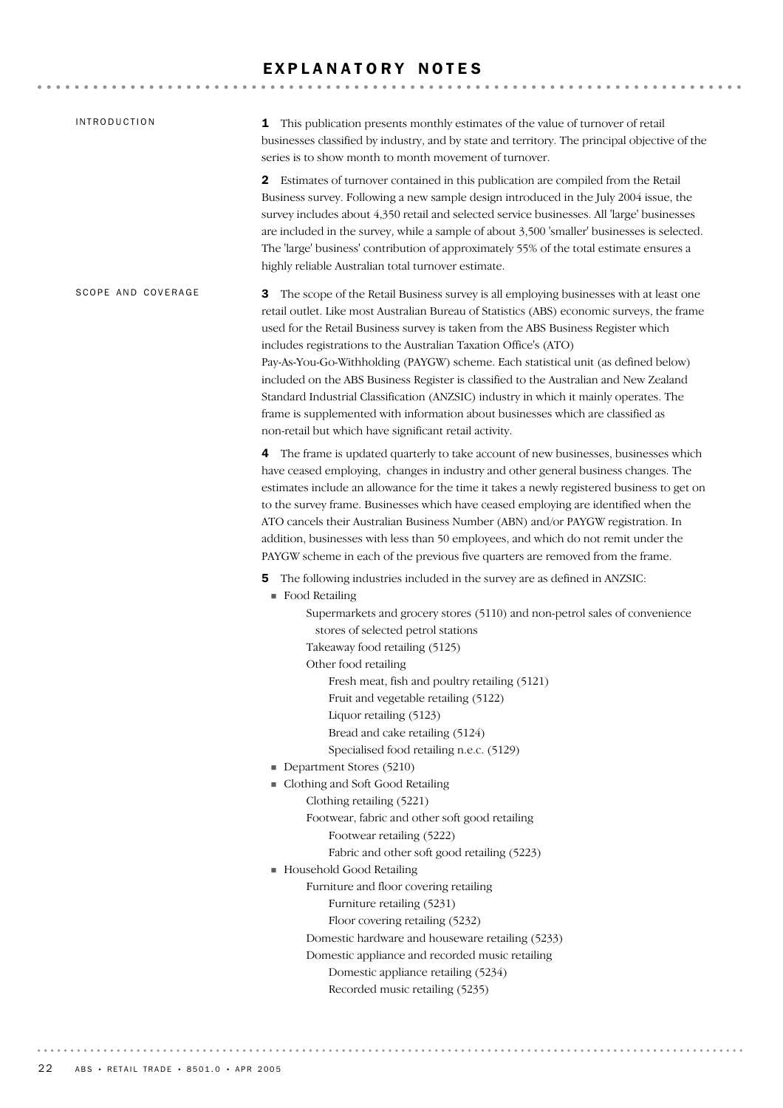## EXPLANATORY NOTES

| <b>INTRODUCTION</b> | 1 This publication presents monthly estimates of the value of turnover of retail<br>businesses classified by industry, and by state and territory. The principal objective of the<br>series is to show month to month movement of turnover.                                                                                                                                                                                                                                                                                                                                                                                                                                                                                                                                                                                                                                                                                                                |
|---------------------|------------------------------------------------------------------------------------------------------------------------------------------------------------------------------------------------------------------------------------------------------------------------------------------------------------------------------------------------------------------------------------------------------------------------------------------------------------------------------------------------------------------------------------------------------------------------------------------------------------------------------------------------------------------------------------------------------------------------------------------------------------------------------------------------------------------------------------------------------------------------------------------------------------------------------------------------------------|
|                     | 2 Estimates of turnover contained in this publication are compiled from the Retail<br>Business survey. Following a new sample design introduced in the July 2004 issue, the<br>survey includes about 4,350 retail and selected service businesses. All 'large' businesses<br>are included in the survey, while a sample of about 3,500 'smaller' businesses is selected.<br>The 'large' business' contribution of approximately 55% of the total estimate ensures a<br>highly reliable Australian total turnover estimate.                                                                                                                                                                                                                                                                                                                                                                                                                                 |
| SCOPE AND COVERAGE  | The scope of the Retail Business survey is all employing businesses with at least one<br>З<br>retail outlet. Like most Australian Bureau of Statistics (ABS) economic surveys, the frame<br>used for the Retail Business survey is taken from the ABS Business Register which<br>includes registrations to the Australian Taxation Office's (ATO)<br>Pay-As-You-Go-Withholding (PAYGW) scheme. Each statistical unit (as defined below)<br>included on the ABS Business Register is classified to the Australian and New Zealand<br>Standard Industrial Classification (ANZSIC) industry in which it mainly operates. The<br>frame is supplemented with information about businesses which are classified as<br>non-retail but which have significant retail activity.                                                                                                                                                                                     |
|                     | The frame is updated quarterly to take account of new businesses, businesses which<br>4<br>have ceased employing, changes in industry and other general business changes. The<br>estimates include an allowance for the time it takes a newly registered business to get on<br>to the survey frame. Businesses which have ceased employing are identified when the<br>ATO cancels their Australian Business Number (ABN) and/or PAYGW registration. In<br>addition, businesses with less than 50 employees, and which do not remit under the<br>PAYGW scheme in each of the previous five quarters are removed from the frame.                                                                                                                                                                                                                                                                                                                             |
|                     | The following industries included in the survey are as defined in ANZSIC:<br>5<br>Food Retailing<br>Supermarkets and grocery stores (5110) and non-petrol sales of convenience<br>stores of selected petrol stations<br>Takeaway food retailing (5125)<br>Other food retailing<br>Fresh meat, fish and poultry retailing (5121)<br>Fruit and vegetable retailing (5122)<br>Liquor retailing (5123)<br>Bread and cake retailing (5124)<br>Specialised food retailing n.e.c. (5129)<br>Department Stores (5210)<br>Clothing and Soft Good Retailing<br>Clothing retailing (5221)<br>Footwear, fabric and other soft good retailing<br>Footwear retailing (5222)<br>Fabric and other soft good retailing (5223)<br>Household Good Retailing<br>Furniture and floor covering retailing<br>Furniture retailing (5231)<br>Floor covering retailing (5232)<br>Domestic hardware and houseware retailing (5233)<br>Domestic appliance and recorded music retailing |
|                     | Domestic appliance retailing (5234)<br>Recorded music retailing (5235)                                                                                                                                                                                                                                                                                                                                                                                                                                                                                                                                                                                                                                                                                                                                                                                                                                                                                     |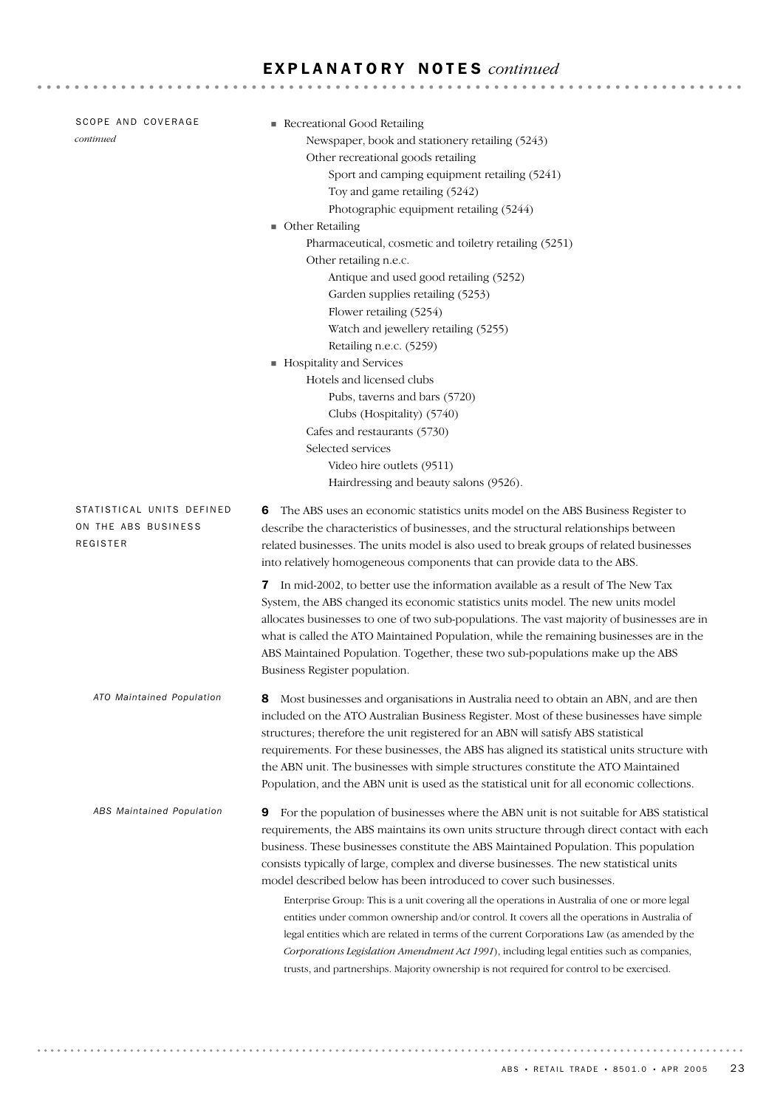| SCOPE AND COVERAGE<br>continued                              | Recreational Good Retailing<br>Newspaper, book and stationery retailing (5243)<br>Other recreational goods retailing<br>Sport and camping equipment retailing (5241)<br>Toy and game retailing (5242)<br>Photographic equipment retailing (5244)<br><b>Other Retailing</b><br>Pharmaceutical, cosmetic and toiletry retailing (5251)<br>Other retailing n.e.c.<br>Antique and used good retailing (5252)<br>Garden supplies retailing (5253)<br>Flower retailing (5254)<br>Watch and jewellery retailing (5255)                                                                                                                                                                                                                                                                                                                                                                                                                               |
|--------------------------------------------------------------|-----------------------------------------------------------------------------------------------------------------------------------------------------------------------------------------------------------------------------------------------------------------------------------------------------------------------------------------------------------------------------------------------------------------------------------------------------------------------------------------------------------------------------------------------------------------------------------------------------------------------------------------------------------------------------------------------------------------------------------------------------------------------------------------------------------------------------------------------------------------------------------------------------------------------------------------------|
|                                                              | Retailing n.e.c. (5259)<br>Hospitality and Services<br>Hotels and licensed clubs<br>Pubs, taverns and bars (5720)<br>Clubs (Hospitality) (5740)<br>Cafes and restaurants (5730)<br>Selected services<br>Video hire outlets (9511)<br>Hairdressing and beauty salons (9526).                                                                                                                                                                                                                                                                                                                                                                                                                                                                                                                                                                                                                                                                   |
| STATISTICAL UNITS DEFINED<br>ON THE ABS BUSINESS<br>REGISTER | The ABS uses an economic statistics units model on the ABS Business Register to<br>6<br>describe the characteristics of businesses, and the structural relationships between<br>related businesses. The units model is also used to break groups of related businesses<br>into relatively homogeneous components that can provide data to the ABS.                                                                                                                                                                                                                                                                                                                                                                                                                                                                                                                                                                                            |
|                                                              | 7 In mid-2002, to better use the information available as a result of The New Tax<br>System, the ABS changed its economic statistics units model. The new units model<br>allocates businesses to one of two sub-populations. The vast majority of businesses are in<br>what is called the ATO Maintained Population, while the remaining businesses are in the<br>ABS Maintained Population. Together, these two sub-populations make up the ABS<br>Business Register population.                                                                                                                                                                                                                                                                                                                                                                                                                                                             |
| ATO Maintained Population                                    | Most businesses and organisations in Australia need to obtain an ABN, and are then<br>included on the ATO Australian Business Register. Most of these businesses have simple<br>structures; therefore the unit registered for an ABN will satisfy ABS statistical<br>requirements. For these businesses, the ABS has aligned its statistical units structure with<br>the ABN unit. The businesses with simple structures constitute the ATO Maintained<br>Population, and the ABN unit is used as the statistical unit for all economic collections.                                                                                                                                                                                                                                                                                                                                                                                          |
| ABS Maintained Population                                    | For the population of businesses where the ABN unit is not suitable for ABS statistical<br>9<br>requirements, the ABS maintains its own units structure through direct contact with each<br>business. These businesses constitute the ABS Maintained Population. This population<br>consists typically of large, complex and diverse businesses. The new statistical units<br>model described below has been introduced to cover such businesses.<br>Enterprise Group: This is a unit covering all the operations in Australia of one or more legal<br>entities under common ownership and/or control. It covers all the operations in Australia of<br>legal entities which are related in terms of the current Corporations Law (as amended by the<br>Corporations Legislation Amendment Act 1991), including legal entities such as companies,<br>trusts, and partnerships. Majority ownership is not required for control to be exercised. |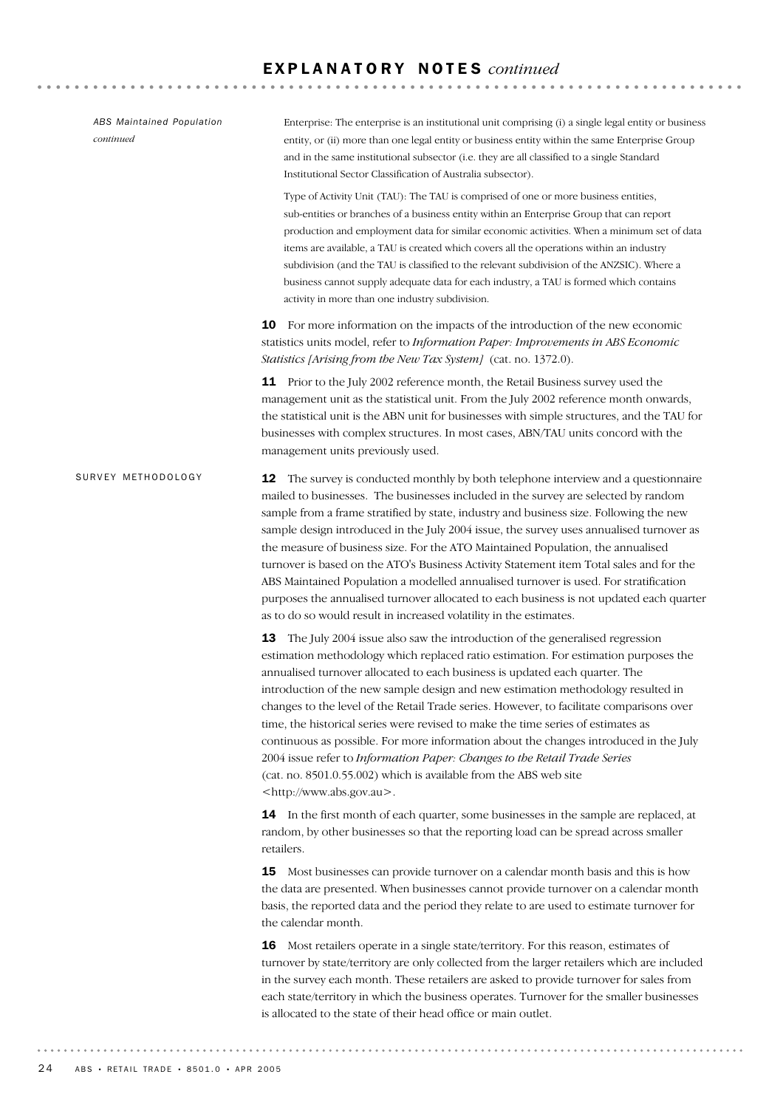**12** The survey is conducted monthly by both telephone interview and a questionnaire mailed to businesses. The businesses included in the survey are selected by random sample from a frame stratified by state, industry and business size. Following the new sample design introduced in the July 2004 issue, the survey uses annualised turnover as the measure of business size. For the ATO Maintained Population, the annualised turnover is based on the ATO's Business Activity Statement item Total sales and for the ABS Maintained Population a modelled annualised turnover is used. For stratification purposes the annualised turnover allocated to each business is not updated each quarter as to do so would result in increased volatility in the estimates. 13 The July 2004 issue also saw the introduction of the generalised regression estimation methodology which replaced ratio estimation. For estimation purposes the annualised turnover allocated to each business is updated each quarter. The introduction of the new sample design and new estimation methodology resulted in changes to the level of the Retail Trade series. However, to facilitate comparisons over time, the historical series were revised to make the time series of estimates as continuous as possible. For more information about the changes introduced in the July 2004 issue refer to *Information Paper: Changes to the Retail Trade Series* (cat. no. 8501.0.55.002) which is available from the ABS web site <http://www.abs.gov.au>. **14** In the first month of each quarter, some businesses in the sample are replaced, at random, by other businesses so that the reporting load can be spread across smaller retailers. 15 Most businesses can provide turnover on a calendar month basis and this is how the data are presented. When businesses cannot provide turnover on a calendar month basis, the reported data and the period they relate to are used to estimate turnover for the calendar month. 16 Most retailers operate in a single state/territory. For this reason, estimates of turnover by state/territory are only collected from the larger retailers which are included in the survey each month. These retailers are asked to provide turnover for sales from each state/territory in which the business operates. Turnover for the smaller businesses is allocated to the state of their head office or main outlet. SURVEY METHODOLOGY Enterprise: The enterprise is an institutional unit comprising (i) a single legal entity or business entity, or (ii) more than one legal entity or business entity within the same Enterprise Group and in the same institutional subsector (i.e. they are all classified to a single Standard Institutional Sector Classification of Australia subsector). Type of Activity Unit (TAU): The TAU is comprised of one or more business entities, sub-entities or branches of a business entity within an Enterprise Group that can report production and employment data for similar economic activities. When a minimum set of data items are available, a TAU is created which covers all the operations within an industry subdivision (and the TAU is classified to the relevant subdivision of the ANZSIC). Where a business cannot supply adequate data for each industry, a TAU is formed which contains activity in more than one industry subdivision. 10 For more information on the impacts of the introduction of the new economic statistics units model, refer to *Information Paper: Improvements in ABS Economic Statistics [Arising from the New Tax System]* (cat. no. 1372.0). 11 Prior to the July 2002 reference month, the Retail Business survey used the management unit as the statistical unit. From the July 2002 reference month onwards, the statistical unit is the ABN unit for businesses with simple structures, and the TAU for businesses with complex structures. In most cases, ABN/TAU units concord with the management units previously used. *ABS Maintained Population continued*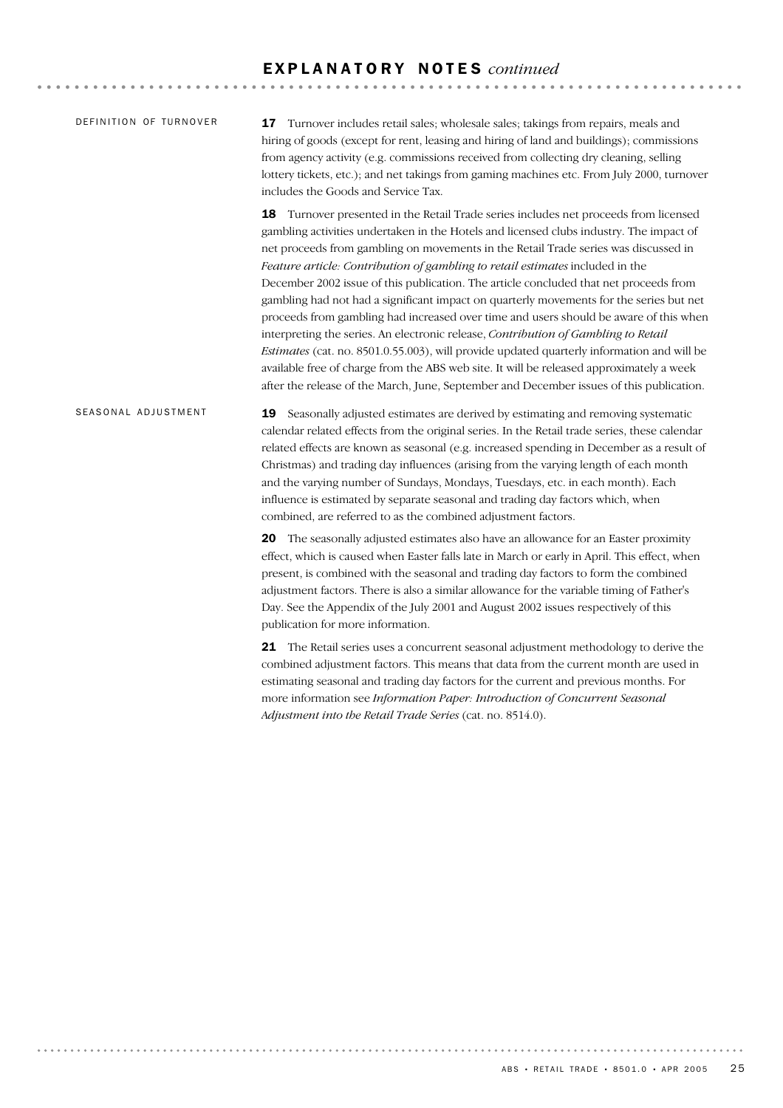| DEFINITION OF TURNOVER |    | <b>17</b> Turnover includes retail sales; wholesale sales; takings from repairs, meals and |
|------------------------|----|--------------------------------------------------------------------------------------------|
|                        |    | hiring of goods (except for rent, leasing and hiring of land and buildings); commissions   |
|                        |    | from agency activity (e.g. commissions received from collecting dry cleaning, selling      |
|                        |    | lottery tickets, etc.); and net takings from gaming machines etc. From July 2000, turnover |
|                        |    | includes the Goods and Service Tax.                                                        |
|                        | 18 | Turnover presented in the Retail Trade series includes net proceeds from licensed          |

gambling activities undertaken in the Hotels and licensed clubs industry. The impact of net proceeds from gambling on movements in the Retail Trade series was discussed in *Feature article: Contribution of gambling to retail estimates* included in the December 2002 issue of this publication. The article concluded that net proceeds from gambling had not had a significant impact on quarterly movements for the series but net proceeds from gambling had increased over time and users should be aware of this when interpreting the series. An electronic release, *Contribution of Gambling to Retail Estimates* (cat. no. 8501.0.55.003), will provide updated quarterly information and will be available free of charge from the ABS web site. It will be released approximately a week after the release of the March, June, September and December issues of this publication.

19 Seasonally adjusted estimates are derived by estimating and removing systematic calendar related effects from the original series. In the Retail trade series, these calendar related effects are known as seasonal (e.g. increased spending in December as a result of Christmas) and trading day influences (arising from the varying length of each month and the varying number of Sundays, Mondays, Tuesdays, etc. in each month). Each influence is estimated by separate seasonal and trading day factors which, when combined, are referred to as the combined adjustment factors. SEASONAL ADJUSTMENT

> 20 The seasonally adjusted estimates also have an allowance for an Easter proximity effect, which is caused when Easter falls late in March or early in April. This effect, when present, is combined with the seasonal and trading day factors to form the combined adjustment factors. There is also a similar allowance for the variable timing of Father's Day. See the Appendix of the July 2001 and August 2002 issues respectively of this publication for more information.

> 21 The Retail series uses a concurrent seasonal adjustment methodology to derive the combined adjustment factors. This means that data from the current month are used in estimating seasonal and trading day factors for the current and previous months. For more information see *Information Paper: Introduction of Concurrent Seasonal Adjustment into the Retail Trade Series* (cat. no. 8514.0).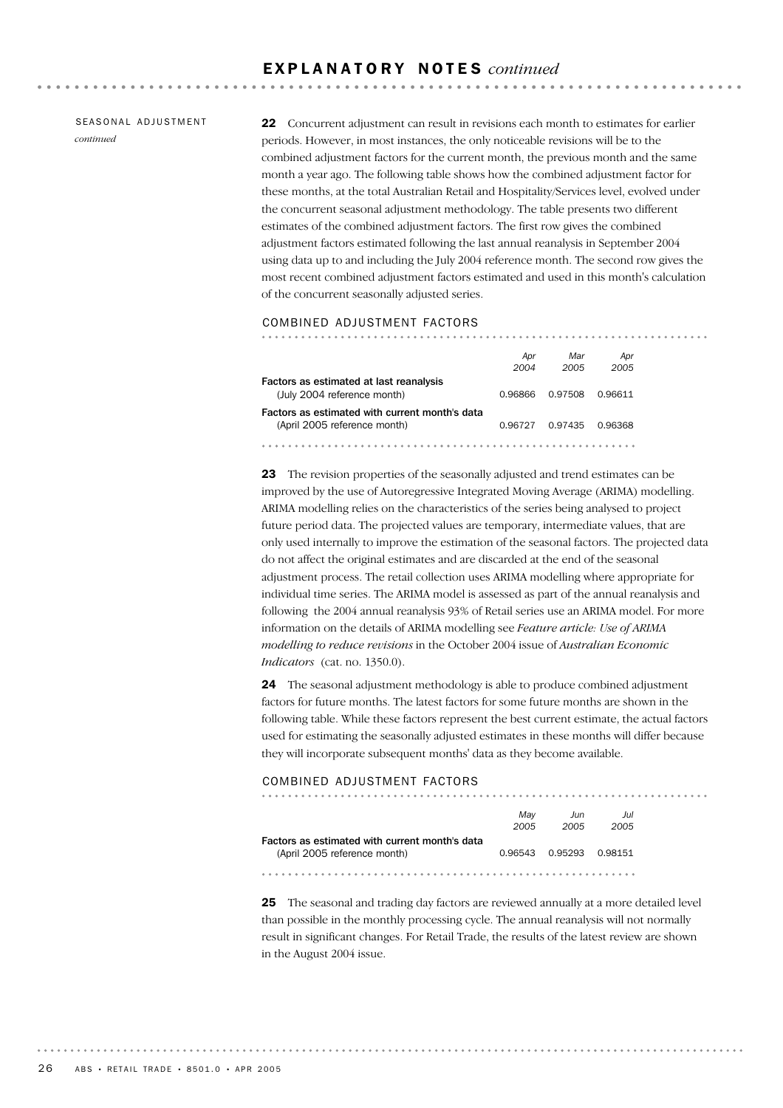SEASONAL ADJUSTMENT *continued*

22 Concurrent adjustment can result in revisions each month to estimates for earlier periods. However, in most instances, the only noticeable revisions will be to the combined adjustment factors for the current month, the previous month and the same month a year ago. The following table shows how the combined adjustment factor for these months, at the total Australian Retail and Hospitality/Services level, evolved under the concurrent seasonal adjustment methodology. The table presents two different estimates of the combined adjustment factors. The first row gives the combined adjustment factors estimated following the last annual reanalysis in September 2004 using data up to and including the July 2004 reference month. The second row gives the most recent combined adjustment factors estimated and used in this month's calculation of the concurrent seasonally adjusted series.

#### COMBINED ADJUSTMENT FACTORS

|                                                | Apr     | Mar     | Apr     |
|------------------------------------------------|---------|---------|---------|
|                                                | 2004    | 2005    | 2005    |
| Factors as estimated at last reanalysis        |         |         |         |
| (July 2004 reference month)                    | 0.96866 | 0.97508 | 0.96611 |
| Factors as estimated with current month's data |         |         |         |
| (April 2005 reference month)                   | 0.96727 | 0.97435 | 0.96368 |
|                                                |         |         |         |

23 The revision properties of the seasonally adjusted and trend estimates can be improved by the use of Autoregressive Integrated Moving Average (ARIMA) modelling. ARIMA modelling relies on the characteristics of the series being analysed to project future period data. The projected values are temporary, intermediate values, that are only used internally to improve the estimation of the seasonal factors. The projected data do not affect the original estimates and are discarded at the end of the seasonal adjustment process. The retail collection uses ARIMA modelling where appropriate for individual time series. The ARIMA model is assessed as part of the annual reanalysis and following the 2004 annual reanalysis 93% of Retail series use an ARIMA model. For more information on the details of ARIMA modelling see *Feature article: Use of ARIMA modelling to reduce revisions* in the October 2004 issue of *Australian Economic Indicators* (cat. no. 1350.0).

24 The seasonal adjustment methodology is able to produce combined adjustment factors for future months. The latest factors for some future months are shown in the following table. While these factors represent the best current estimate, the actual factors used for estimating the seasonally adjusted estimates in these months will differ because they will incorporate subsequent months' data as they become available.

#### COMBINED ADJUSTMENT FACTORS

|                                                | Mav     | Jun     | Jul     |  |
|------------------------------------------------|---------|---------|---------|--|
|                                                | 2005    | 2005    | 2005    |  |
| Factors as estimated with current month's data |         |         |         |  |
| (April 2005 reference month)                   | 0.96543 | 0.95293 | 0.98151 |  |

25 The seasonal and trading day factors are reviewed annually at a more detailed level than possible in the monthly processing cycle. The annual reanalysis will not normally result in significant changes. For Retail Trade, the results of the latest review are shown in the August 2004 issue.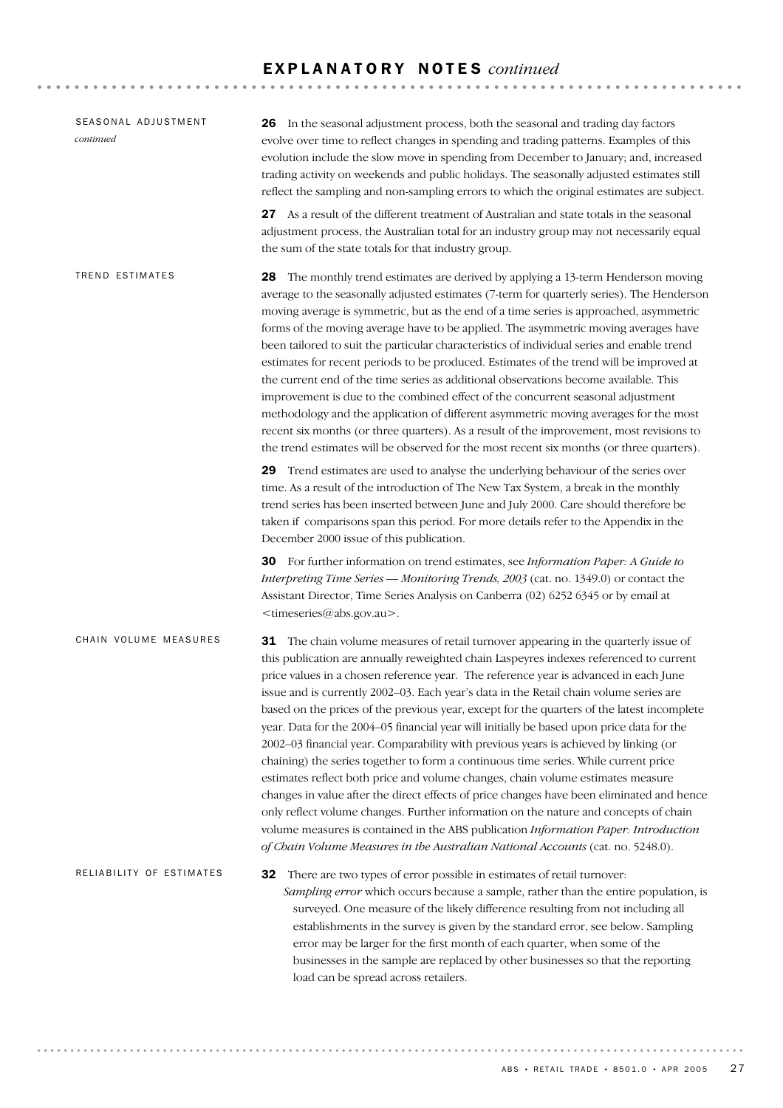| SEASONAL ADJUSTMENT<br>continued | 26 In the seasonal adjustment process, both the seasonal and trading day factors<br>evolve over time to reflect changes in spending and trading patterns. Examples of this<br>evolution include the slow move in spending from December to January; and, increased<br>trading activity on weekends and public holidays. The seasonally adjusted estimates still<br>reflect the sampling and non-sampling errors to which the original estimates are subject.                                                                                                                                                                                                                                                                                                                                                                                                                                                                                                                                                                                                                                                                                                                                       |
|----------------------------------|----------------------------------------------------------------------------------------------------------------------------------------------------------------------------------------------------------------------------------------------------------------------------------------------------------------------------------------------------------------------------------------------------------------------------------------------------------------------------------------------------------------------------------------------------------------------------------------------------------------------------------------------------------------------------------------------------------------------------------------------------------------------------------------------------------------------------------------------------------------------------------------------------------------------------------------------------------------------------------------------------------------------------------------------------------------------------------------------------------------------------------------------------------------------------------------------------|
|                                  | 27 As a result of the different treatment of Australian and state totals in the seasonal<br>adjustment process, the Australian total for an industry group may not necessarily equal<br>the sum of the state totals for that industry group.                                                                                                                                                                                                                                                                                                                                                                                                                                                                                                                                                                                                                                                                                                                                                                                                                                                                                                                                                       |
| <b>TREND ESTIMATES</b>           | 28 The monthly trend estimates are derived by applying a 13-term Henderson moving<br>average to the seasonally adjusted estimates (7-term for quarterly series). The Henderson<br>moving average is symmetric, but as the end of a time series is approached, asymmetric<br>forms of the moving average have to be applied. The asymmetric moving averages have<br>been tailored to suit the particular characteristics of individual series and enable trend<br>estimates for recent periods to be produced. Estimates of the trend will be improved at<br>the current end of the time series as additional observations become available. This<br>improvement is due to the combined effect of the concurrent seasonal adjustment<br>methodology and the application of different asymmetric moving averages for the most<br>recent six months (or three quarters). As a result of the improvement, most revisions to<br>the trend estimates will be observed for the most recent six months (or three quarters).                                                                                                                                                                                |
|                                  | 29 Trend estimates are used to analyse the underlying behaviour of the series over<br>time. As a result of the introduction of The New Tax System, a break in the monthly<br>trend series has been inserted between June and July 2000. Care should therefore be<br>taken if comparisons span this period. For more details refer to the Appendix in the<br>December 2000 issue of this publication.                                                                                                                                                                                                                                                                                                                                                                                                                                                                                                                                                                                                                                                                                                                                                                                               |
|                                  | 30 For further information on trend estimates, see Information Paper: A Guide to<br>Interpreting Time Series - Monitoring Trends, 2003 (cat. no. 1349.0) or contact the<br>Assistant Director, Time Series Analysis on Canberra (02) 6252 6345 or by email at<br><timeseries@abs.gov.au>.</timeseries@abs.gov.au>                                                                                                                                                                                                                                                                                                                                                                                                                                                                                                                                                                                                                                                                                                                                                                                                                                                                                  |
| CHAIN VOLUME MEASURES            | <b>31</b> The chain volume measures of retail turnover appearing in the quarterly issue of<br>this publication are annually reweighted chain Laspeyres indexes referenced to current<br>price values in a chosen reference year. The reference year is advanced in each June<br>issue and is currently 2002-03. Each year's data in the Retail chain volume series are<br>based on the prices of the previous year, except for the quarters of the latest incomplete<br>year. Data for the 2004–05 financial year will initially be based upon price data for the<br>2002-03 financial year. Comparability with previous years is achieved by linking (or<br>chaining) the series together to form a continuous time series. While current price<br>estimates reflect both price and volume changes, chain volume estimates measure<br>changes in value after the direct effects of price changes have been eliminated and hence<br>only reflect volume changes. Further information on the nature and concepts of chain<br>volume measures is contained in the ABS publication Information Paper: Introduction<br>of Chain Volume Measures in the Australian National Accounts (cat. no. 5248.0). |
| RELIABILITY OF ESTIMATES         | There are two types of error possible in estimates of retail turnover:<br>32<br>Sampling error which occurs because a sample, rather than the entire population, is<br>surveyed. One measure of the likely difference resulting from not including all<br>establishments in the survey is given by the standard error, see below. Sampling<br>error may be larger for the first month of each quarter, when some of the<br>businesses in the sample are replaced by other businesses so that the reporting<br>load can be spread across retailers.                                                                                                                                                                                                                                                                                                                                                                                                                                                                                                                                                                                                                                                 |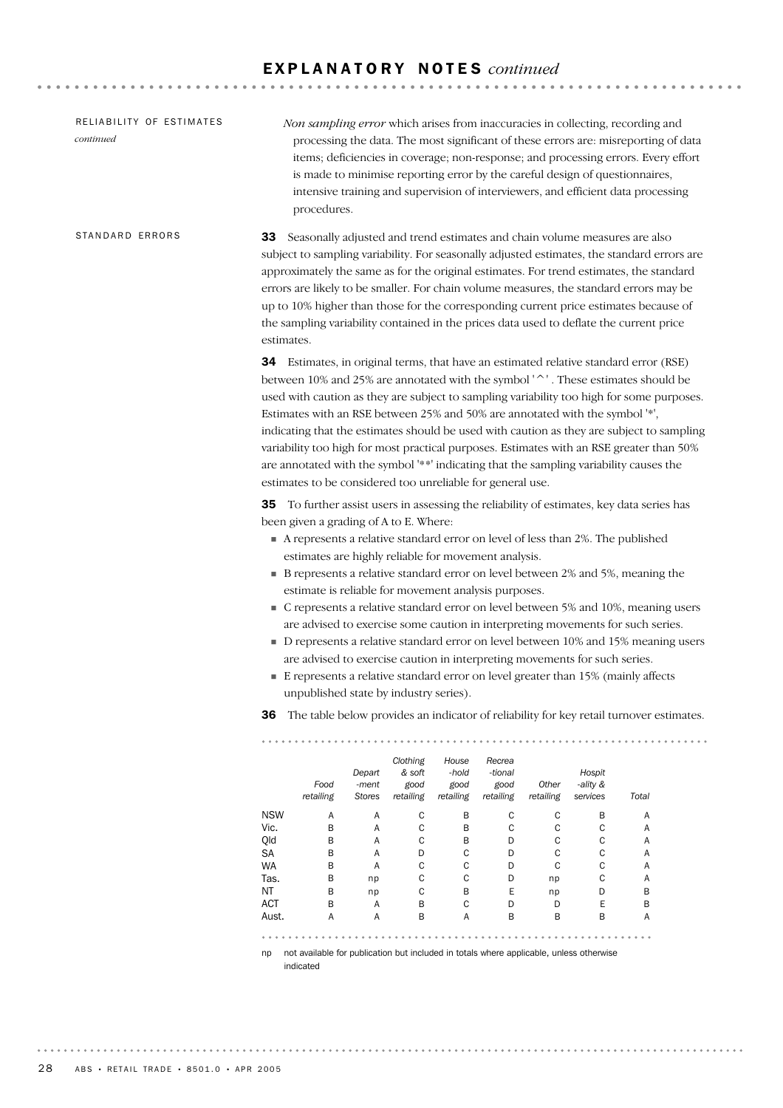| RELIABILITY OF ESTIMATES<br>continued |                                                                                                                                                                                                                                                                                                                                                                                                                                                                                                                                                                       | procedures.                                                                                                                                                                                      |                           |                                         |                                     |                                        |                            |                                                                              | Non sampling error which arises from inaccuracies in collecting, recording and<br>processing the data. The most significant of these errors are: misreporting of data<br>items; deficiencies in coverage; non-response; and processing errors. Every effort<br>is made to minimise reporting error by the careful design of questionnaires,<br>intensive training and supervision of interviewers, and efficient data processing                                                                                                                                                                                          |  |  |
|---------------------------------------|-----------------------------------------------------------------------------------------------------------------------------------------------------------------------------------------------------------------------------------------------------------------------------------------------------------------------------------------------------------------------------------------------------------------------------------------------------------------------------------------------------------------------------------------------------------------------|--------------------------------------------------------------------------------------------------------------------------------------------------------------------------------------------------|---------------------------|-----------------------------------------|-------------------------------------|----------------------------------------|----------------------------|------------------------------------------------------------------------------|---------------------------------------------------------------------------------------------------------------------------------------------------------------------------------------------------------------------------------------------------------------------------------------------------------------------------------------------------------------------------------------------------------------------------------------------------------------------------------------------------------------------------------------------------------------------------------------------------------------------------|--|--|
| STANDARD ERRORS                       | Seasonally adjusted and trend estimates and chain volume measures are also<br>33<br>subject to sampling variability. For seasonally adjusted estimates, the standard errors are<br>approximately the same as for the original estimates. For trend estimates, the standard<br>errors are likely to be smaller. For chain volume measures, the standard errors may be<br>up to 10% higher than those for the corresponding current price estimates because of<br>the sampling variability contained in the prices data used to deflate the current price<br>estimates. |                                                                                                                                                                                                  |                           |                                         |                                     |                                        |                            |                                                                              |                                                                                                                                                                                                                                                                                                                                                                                                                                                                                                                                                                                                                           |  |  |
|                                       |                                                                                                                                                                                                                                                                                                                                                                                                                                                                                                                                                                       | estimates to be considered too unreliable for general use.                                                                                                                                       |                           |                                         |                                     |                                        |                            | Estimates with an RSE between 25% and 50% are annotated with the symbol '*', | 34 Estimates, in original terms, that have an estimated relative standard error (RSE)<br>between 10% and 25% are annotated with the symbol '^'. These estimates should be<br>used with caution as they are subject to sampling variability too high for some purposes.<br>indicating that the estimates should be used with caution as they are subject to sampling<br>variability too high for most practical purposes. Estimates with an RSE greater than 50%<br>are annotated with the symbol '**' indicating that the sampling variability causes the                                                                 |  |  |
|                                       |                                                                                                                                                                                                                                                                                                                                                                                                                                                                                                                                                                       | been given a grading of A to E. Where:<br>estimates are highly reliable for movement analysis.<br>estimate is reliable for movement analysis purposes.<br>unpublished state by industry series). |                           |                                         |                                     |                                        |                            | are advised to exercise caution in interpreting movements for such series.   | <b>35</b> To further assist users in assessing the reliability of estimates, key data series has<br>A represents a relative standard error on level of less than 2%. The published<br>• B represents a relative standard error on level between 2% and 5%, meaning the<br>C represents a relative standard error on level between 5% and 10%, meaning users<br>are advised to exercise some caution in interpreting movements for such series.<br>• D represents a relative standard error on level between 10% and 15% meaning users<br>E represents a relative standard error on level greater than 15% (mainly affects |  |  |
|                                       | 36                                                                                                                                                                                                                                                                                                                                                                                                                                                                                                                                                                    |                                                                                                                                                                                                  |                           |                                         |                                     |                                        |                            |                                                                              | The table below provides an indicator of reliability for key retail turnover estimates.                                                                                                                                                                                                                                                                                                                                                                                                                                                                                                                                   |  |  |
|                                       |                                                                                                                                                                                                                                                                                                                                                                                                                                                                                                                                                                       | Food<br>retailing                                                                                                                                                                                | Depart<br>-ment<br>Stores | Clothing<br>& soft<br>good<br>retailing | House<br>-hold<br>good<br>retailing | Recrea<br>-tional<br>good<br>retailing | Other<br>retailing         | Hospit<br>-ality &<br>services                                               | Total                                                                                                                                                                                                                                                                                                                                                                                                                                                                                                                                                                                                                     |  |  |
|                                       | <b>NSW</b><br>Vic.<br>Qld<br>SA                                                                                                                                                                                                                                                                                                                                                                                                                                                                                                                                       | Α<br>B<br>В<br>В                                                                                                                                                                                 | Α<br>Α<br>Α<br>Α          | С<br>C<br>C<br>D                        | B<br>B<br>В<br>C                    | C<br>C<br>D<br>D                       | C<br>$\mathsf C$<br>C<br>C | В<br>С<br>С<br>С                                                             | Α<br>Α<br>Α<br>Α                                                                                                                                                                                                                                                                                                                                                                                                                                                                                                                                                                                                          |  |  |
|                                       | <b>WA</b><br>Tas.<br>ΝT<br><b>ACT</b>                                                                                                                                                                                                                                                                                                                                                                                                                                                                                                                                 | В<br>B<br>В<br>В                                                                                                                                                                                 | Α<br>np<br>np<br>Α        | С<br>C<br>C<br>В                        | C<br>C<br>B<br>C                    | D<br>D<br>Е<br>D                       | C<br>np<br>np<br>D         | С<br>C<br>D<br>Ε                                                             | Α<br>Α<br>B<br>B                                                                                                                                                                                                                                                                                                                                                                                                                                                                                                                                                                                                          |  |  |
|                                       | Aust.                                                                                                                                                                                                                                                                                                                                                                                                                                                                                                                                                                 | Α                                                                                                                                                                                                | Α                         | B                                       | Α                                   | B                                      | В                          | B                                                                            | Α                                                                                                                                                                                                                                                                                                                                                                                                                                                                                                                                                                                                                         |  |  |

np not available for publication but included in totals where applicable, unless otherwise

indicated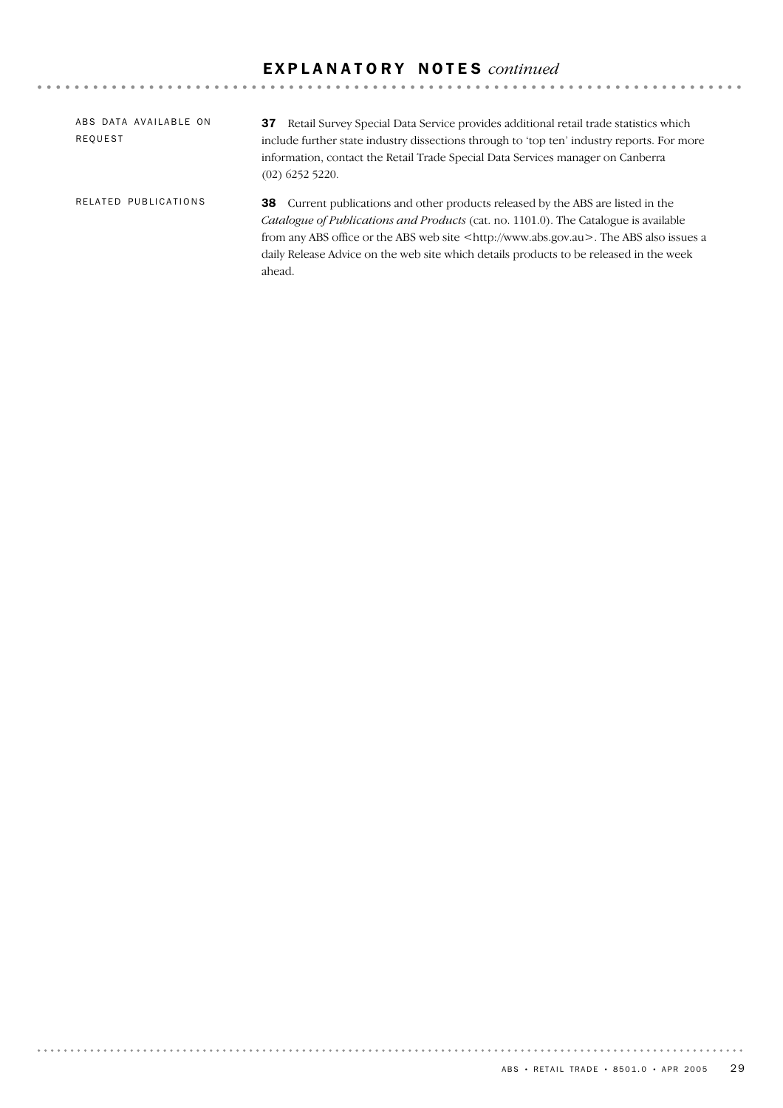| ABS DATA AVAILABLE ON<br>REQUEST | <b>37</b> Retail Survey Special Data Service provides additional retail trade statistics which<br>include further state industry dissections through to 'top ten' industry reports. For more<br>information, contact the Retail Trade Special Data Services manager on Canberra<br>$(02)$ 6252 5220.                                                                                      |
|----------------------------------|-------------------------------------------------------------------------------------------------------------------------------------------------------------------------------------------------------------------------------------------------------------------------------------------------------------------------------------------------------------------------------------------|
| RELATED PUBLICATIONS             | <b>38</b> Current publications and other products released by the ABS are listed in the<br>Catalogue of Publications and Products (cat. no. 1101.0). The Catalogue is available<br>from any ABS office or the ABS web site <http: www.abs.gov.au="">. The ABS also issues a<br/>daily Release Advice on the web site which details products to be released in the week<br/>ahead.</http:> |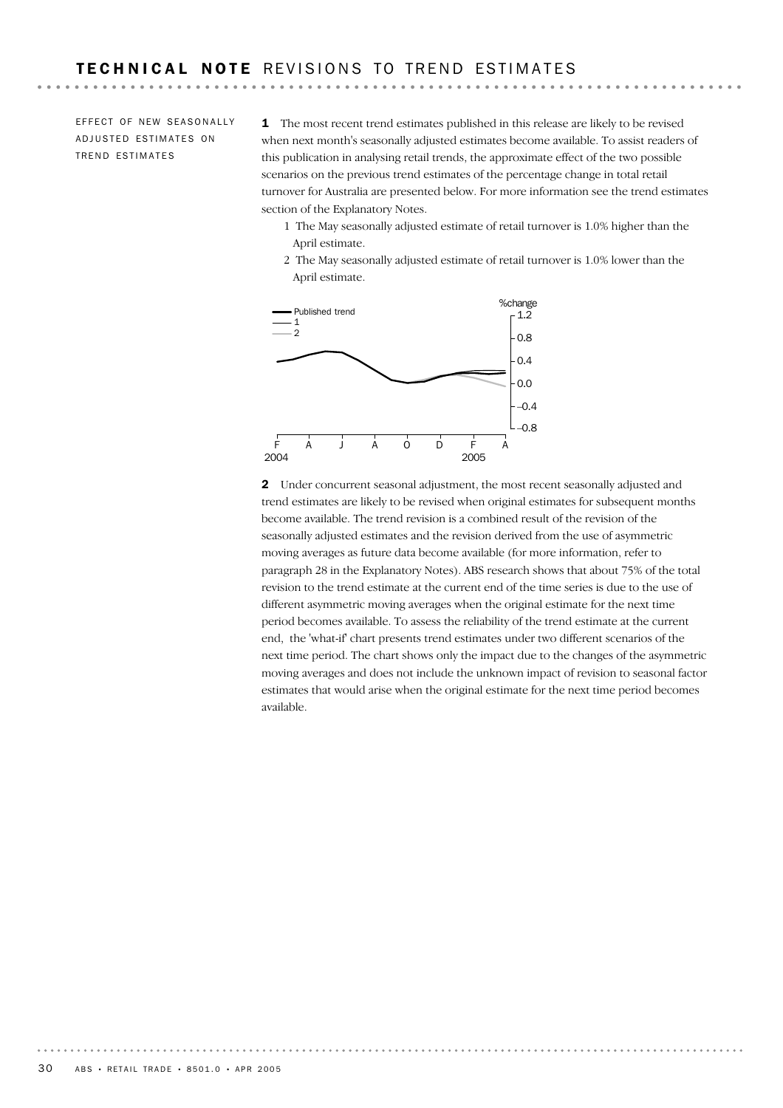EFFECT OF NEW SEASONALLY ADJUSTED ESTIMATES ON TREND ESTIMATES

1 The most recent trend estimates published in this release are likely to be revised when next month's seasonally adjusted estimates become available. To assist readers of this publication in analysing retail trends, the approximate effect of the two possible scenarios on the previous trend estimates of the percentage change in total retail turnover for Australia are presented below. For more information see the trend estimates section of the Explanatory Notes.

- 1 The May seasonally adjusted estimate of retail turnover is 1.0% higher than the April estimate.
- 2 The May seasonally adjusted estimate of retail turnover is 1.0% lower than the April estimate.



2 Under concurrent seasonal adjustment, the most recent seasonally adjusted and trend estimates are likely to be revised when original estimates for subsequent months become available. The trend revision is a combined result of the revision of the seasonally adjusted estimates and the revision derived from the use of asymmetric moving averages as future data become available (for more information, refer to paragraph 28 in the Explanatory Notes). ABS research shows that about 75% of the total revision to the trend estimate at the current end of the time series is due to the use of different asymmetric moving averages when the original estimate for the next time period becomes available. To assess the reliability of the trend estimate at the current end, the 'what-if' chart presents trend estimates under two different scenarios of the next time period. The chart shows only the impact due to the changes of the asymmetric moving averages and does not include the unknown impact of revision to seasonal factor estimates that would arise when the original estimate for the next time period becomes available.